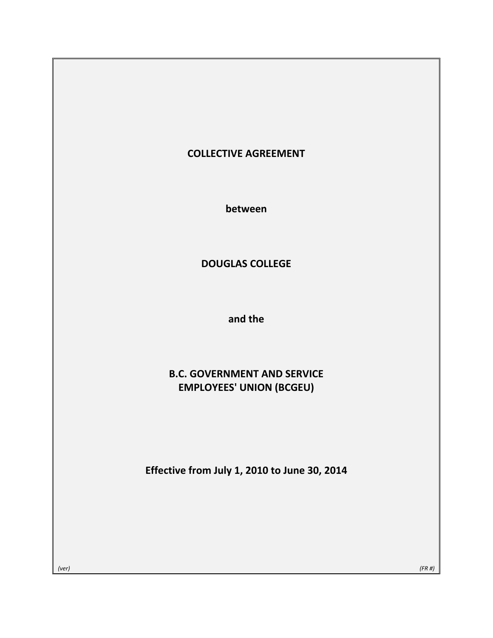# **COLLECTIVE AGREEMENT**

**between**

# **DOUGLAS COLLEGE**

**and the**

# **B.C. GOVERNMENT AND SERVICE EMPLOYEES' UNION (BCGEU)**

**Effective from July 1, 2010 to June 30, 2014**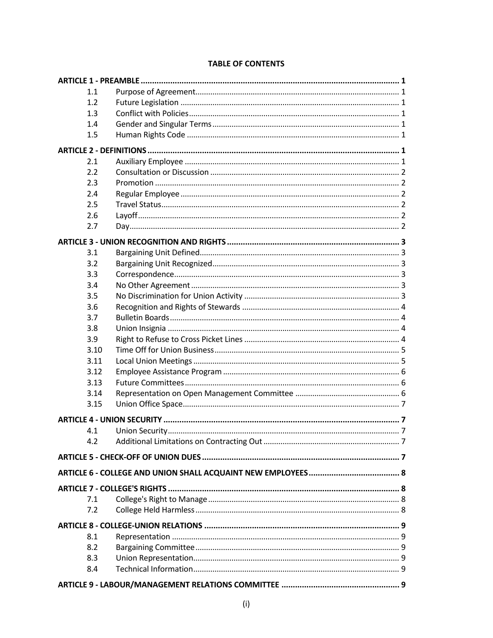| 1.1  |  |
|------|--|
| 1.2  |  |
| 1.3  |  |
| 1.4  |  |
| 1.5  |  |
|      |  |
| 2.1  |  |
| 2.2  |  |
| 2.3  |  |
| 2.4  |  |
| 2.5  |  |
| 2.6  |  |
| 2.7  |  |
|      |  |
| 3.1  |  |
| 3.2  |  |
| 3.3  |  |
| 3.4  |  |
| 3.5  |  |
| 3.6  |  |
| 3.7  |  |
| 3.8  |  |
| 3.9  |  |
| 3.10 |  |
| 3.11 |  |
| 3.12 |  |
| 3.13 |  |
| 3.14 |  |
| 3.15 |  |
|      |  |
|      |  |
| 4.1  |  |
| 4.2  |  |
|      |  |
|      |  |
|      |  |
| 7.1  |  |
| 7.2  |  |
|      |  |
| 8.1  |  |
| 8.2  |  |
| 8.3  |  |
| 8.4  |  |
|      |  |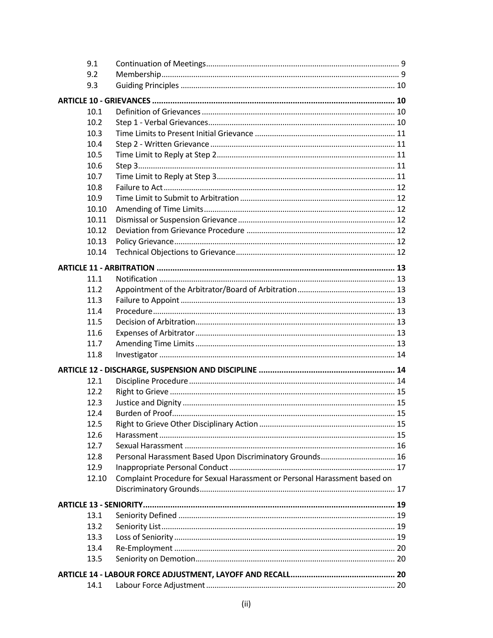| 9.1   |                                                                           |  |
|-------|---------------------------------------------------------------------------|--|
| 9.2   |                                                                           |  |
| 9.3   |                                                                           |  |
|       |                                                                           |  |
| 10.1  |                                                                           |  |
| 10.2  |                                                                           |  |
| 10.3  |                                                                           |  |
| 10.4  |                                                                           |  |
| 10.5  |                                                                           |  |
| 10.6  |                                                                           |  |
| 10.7  |                                                                           |  |
| 10.8  |                                                                           |  |
| 10.9  |                                                                           |  |
| 10.10 |                                                                           |  |
| 10.11 |                                                                           |  |
| 10.12 |                                                                           |  |
| 10.13 |                                                                           |  |
| 10.14 |                                                                           |  |
|       |                                                                           |  |
| 11.1  |                                                                           |  |
| 11.2  |                                                                           |  |
| 11.3  |                                                                           |  |
| 11.4  |                                                                           |  |
| 11.5  |                                                                           |  |
| 11.6  |                                                                           |  |
| 11.7  |                                                                           |  |
|       |                                                                           |  |
| 11.8  |                                                                           |  |
|       |                                                                           |  |
| 12.1  |                                                                           |  |
| 12.2  |                                                                           |  |
| 12.3  |                                                                           |  |
| 12.4  |                                                                           |  |
| 12.5  |                                                                           |  |
| 12.6  |                                                                           |  |
| 12.7  |                                                                           |  |
| 12.8  | Personal Harassment Based Upon Discriminatory Grounds 16                  |  |
| 12.9  |                                                                           |  |
| 12.10 | Complaint Procedure for Sexual Harassment or Personal Harassment based on |  |
|       |                                                                           |  |
|       |                                                                           |  |
| 13.1  |                                                                           |  |
| 13.2  |                                                                           |  |
| 13.3  |                                                                           |  |
| 13.4  |                                                                           |  |
| 13.5  |                                                                           |  |
|       |                                                                           |  |
| 14.1  |                                                                           |  |
|       |                                                                           |  |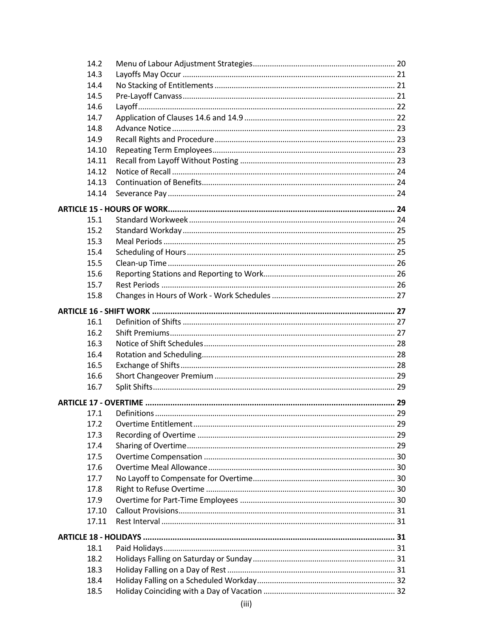| 14.2  |  |
|-------|--|
| 14.3  |  |
| 14.4  |  |
| 14.5  |  |
| 14.6  |  |
| 14.7  |  |
| 14.8  |  |
| 14.9  |  |
| 14.10 |  |
| 14.11 |  |
| 14.12 |  |
| 14.13 |  |
| 14.14 |  |
|       |  |
| 15.1  |  |
| 15.2  |  |
| 15.3  |  |
| 15.4  |  |
| 15.5  |  |
| 15.6  |  |
| 15.7  |  |
| 15.8  |  |
|       |  |
|       |  |
| 16.1  |  |
| 16.2  |  |
| 16.3  |  |
| 16.4  |  |
| 16.5  |  |
| 16.6  |  |
| 16.7  |  |
|       |  |
| 17.1  |  |
| 17.2  |  |
| 17.3  |  |
| 17.4  |  |
| 17.5  |  |
| 17.6  |  |
| 17.7  |  |
| 17.8  |  |
| 17.9  |  |
| 17.10 |  |
| 17.11 |  |
|       |  |
| 18.1  |  |
| 18.2  |  |
| 18.3  |  |
| 18.4  |  |
| 18.5  |  |
|       |  |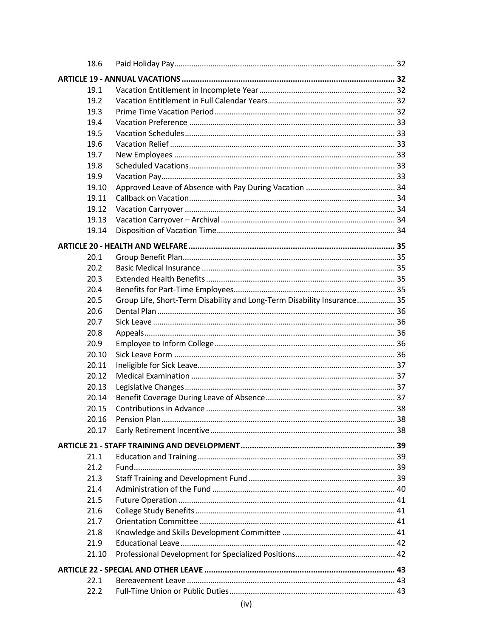| 18.6  |                                                                         |  |
|-------|-------------------------------------------------------------------------|--|
|       |                                                                         |  |
| 19.1  |                                                                         |  |
| 19.2  |                                                                         |  |
| 19.3  |                                                                         |  |
| 19.4  |                                                                         |  |
| 19.5  |                                                                         |  |
| 19.6  |                                                                         |  |
| 19.7  |                                                                         |  |
| 19.8  |                                                                         |  |
| 19.9  |                                                                         |  |
| 19.10 |                                                                         |  |
| 19.11 |                                                                         |  |
| 19.12 |                                                                         |  |
| 19.13 |                                                                         |  |
| 19.14 |                                                                         |  |
|       |                                                                         |  |
| 20.1  |                                                                         |  |
| 20.2  |                                                                         |  |
| 20.3  |                                                                         |  |
| 20.4  |                                                                         |  |
| 20.5  | Group Life, Short-Term Disability and Long-Term Disability Insurance 35 |  |
| 20.6  |                                                                         |  |
| 20.7  |                                                                         |  |
| 20.8  |                                                                         |  |
| 20.9  |                                                                         |  |
| 20.10 |                                                                         |  |
| 20.11 |                                                                         |  |
| 20.12 |                                                                         |  |
| 20.13 |                                                                         |  |
| 20.14 |                                                                         |  |
| 20.15 |                                                                         |  |
| 20.16 |                                                                         |  |
| 20.17 |                                                                         |  |
|       |                                                                         |  |
| 21.1  |                                                                         |  |
| 21.2  |                                                                         |  |
| 21.3  |                                                                         |  |
| 21.4  |                                                                         |  |
| 21.5  |                                                                         |  |
| 21.6  |                                                                         |  |
| 21.7  |                                                                         |  |
| 21.8  |                                                                         |  |
| 21.9  |                                                                         |  |
| 21.10 |                                                                         |  |
|       |                                                                         |  |
| 22.1  |                                                                         |  |
| 22.2  |                                                                         |  |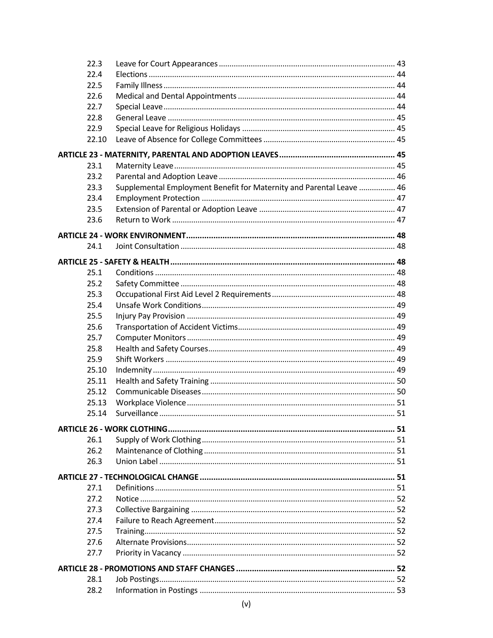| 22.3  |                                                                      |  |
|-------|----------------------------------------------------------------------|--|
| 22.4  |                                                                      |  |
| 22.5  |                                                                      |  |
| 22.6  |                                                                      |  |
| 22.7  |                                                                      |  |
| 22.8  |                                                                      |  |
| 22.9  |                                                                      |  |
| 22.10 |                                                                      |  |
|       |                                                                      |  |
| 23.1  |                                                                      |  |
| 23.2  |                                                                      |  |
| 23.3  | Supplemental Employment Benefit for Maternity and Parental Leave  46 |  |
| 23.4  |                                                                      |  |
| 23.5  |                                                                      |  |
| 23.6  |                                                                      |  |
|       |                                                                      |  |
|       |                                                                      |  |
| 24.1  |                                                                      |  |
|       |                                                                      |  |
| 25.1  |                                                                      |  |
| 25.2  |                                                                      |  |
| 25.3  |                                                                      |  |
| 25.4  |                                                                      |  |
| 25.5  |                                                                      |  |
| 25.6  |                                                                      |  |
| 25.7  |                                                                      |  |
| 25.8  |                                                                      |  |
| 25.9  |                                                                      |  |
| 25.10 |                                                                      |  |
| 25.11 |                                                                      |  |
| 25.12 |                                                                      |  |
| 25.13 |                                                                      |  |
| 25.14 |                                                                      |  |
|       |                                                                      |  |
| 26.1  |                                                                      |  |
| 26.2  |                                                                      |  |
| 26.3  |                                                                      |  |
|       |                                                                      |  |
| 27.1  |                                                                      |  |
| 27.2  |                                                                      |  |
| 27.3  |                                                                      |  |
| 27.4  |                                                                      |  |
| 27.5  |                                                                      |  |
| 27.6  |                                                                      |  |
| 27.7  |                                                                      |  |
|       |                                                                      |  |
|       |                                                                      |  |
| 28.1  |                                                                      |  |
| 28.2  |                                                                      |  |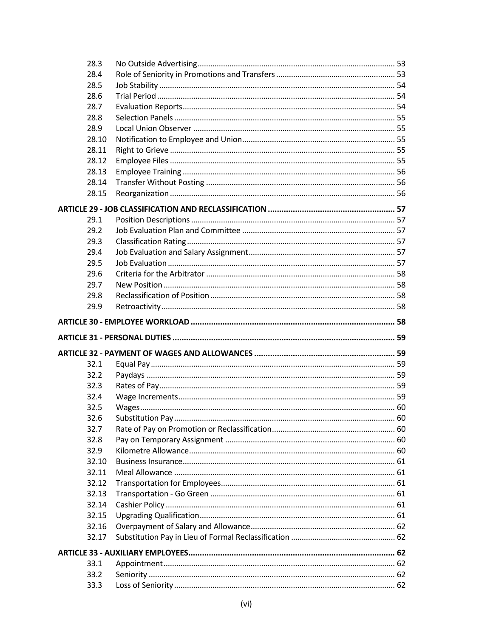| 28.3         |  |
|--------------|--|
| 28.4         |  |
| 28.5         |  |
| 28.6         |  |
| 28.7         |  |
| 28.8         |  |
| 28.9         |  |
| 28.10        |  |
| 28.11        |  |
| 28.12        |  |
| 28.13        |  |
| 28.14        |  |
| 28.15        |  |
|              |  |
| 29.1         |  |
| 29.2         |  |
| 29.3         |  |
| 29.4         |  |
| 29.5         |  |
| 29.6         |  |
| 29.7         |  |
| 29.8         |  |
| 29.9         |  |
|              |  |
|              |  |
|              |  |
|              |  |
|              |  |
| 32.1         |  |
| 32.2         |  |
| 32.3         |  |
| 32.4         |  |
|              |  |
| 32.5         |  |
| 32.6         |  |
| 32.7         |  |
| 32.8         |  |
| 32.9         |  |
| 32.10        |  |
| 32.11        |  |
| 32.12        |  |
| 32.13        |  |
| 32.14        |  |
| 32.15        |  |
| 32.16        |  |
| 32.17        |  |
|              |  |
| 33.1         |  |
| 33.2<br>33.3 |  |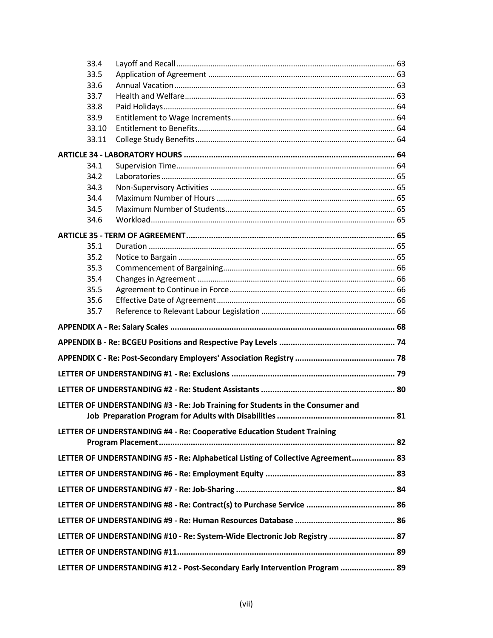| 33.4  |                                                                                  |  |
|-------|----------------------------------------------------------------------------------|--|
| 33.5  |                                                                                  |  |
| 33.6  |                                                                                  |  |
| 33.7  |                                                                                  |  |
| 33.8  |                                                                                  |  |
| 33.9  |                                                                                  |  |
| 33.10 |                                                                                  |  |
| 33.11 |                                                                                  |  |
|       |                                                                                  |  |
| 34.1  |                                                                                  |  |
| 34.2  |                                                                                  |  |
| 34.3  |                                                                                  |  |
| 34.4  |                                                                                  |  |
| 34.5  |                                                                                  |  |
| 34.6  |                                                                                  |  |
|       |                                                                                  |  |
| 35.1  |                                                                                  |  |
| 35.2  |                                                                                  |  |
| 35.3  |                                                                                  |  |
| 35.4  |                                                                                  |  |
| 35.5  |                                                                                  |  |
| 35.6  |                                                                                  |  |
| 35.7  |                                                                                  |  |
|       |                                                                                  |  |
|       |                                                                                  |  |
|       |                                                                                  |  |
|       |                                                                                  |  |
|       |                                                                                  |  |
|       |                                                                                  |  |
|       | LETTER OF UNDERSTANDING #3 - Re: Job Training for Students in the Consumer and   |  |
|       |                                                                                  |  |
|       | LETTER OF UNDERSTANDING #4 - Re: Cooperative Education Student Training          |  |
|       |                                                                                  |  |
|       |                                                                                  |  |
|       | LETTER OF UNDERSTANDING #5 - Re: Alphabetical Listing of Collective Agreement 83 |  |
|       |                                                                                  |  |
|       |                                                                                  |  |
|       |                                                                                  |  |
|       |                                                                                  |  |
|       |                                                                                  |  |
|       | LETTER OF UNDERSTANDING #10 - Re: System-Wide Electronic Job Registry  87        |  |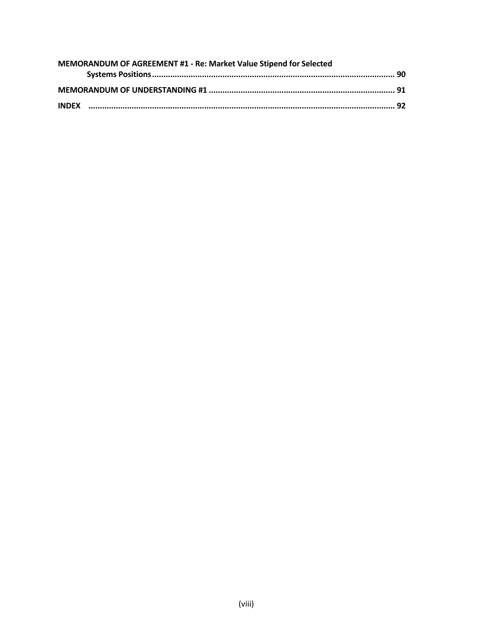| MEMORANDUM OF AGREEMENT #1 - Re: Market Value Stipend for Selected |  |  |  |  |
|--------------------------------------------------------------------|--|--|--|--|
|                                                                    |  |  |  |  |
|                                                                    |  |  |  |  |
|                                                                    |  |  |  |  |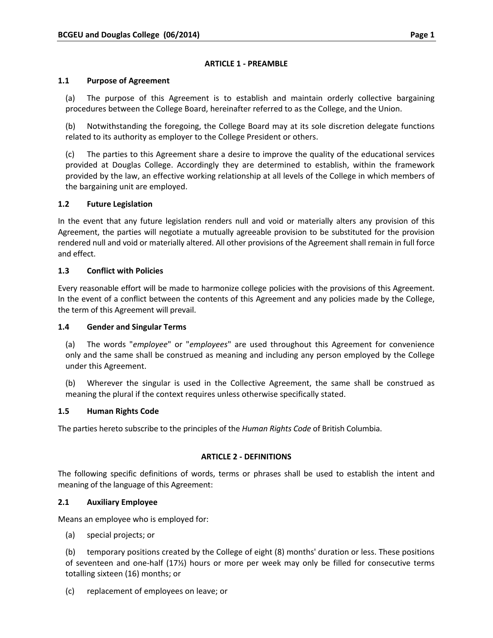## **ARTICLE 1 ‐ PREAMBLE**

#### **1.1 Purpose of Agreement**

(a) The purpose of this Agreement is to establish and maintain orderly collective bargaining procedures between the College Board, hereinafter referred to as the College, and the Union.

(b) Notwithstanding the foregoing, the College Board may at its sole discretion delegate functions related to its authority as employer to the College President or others.

(c) The parties to this Agreement share a desire to improve the quality of the educational services provided at Douglas College. Accordingly they are determined to establish, within the framework provided by the law, an effective working relationship at all levels of the College in which members of the bargaining unit are employed.

## **1.2 Future Legislation**

In the event that any future legislation renders null and void or materially alters any provision of this Agreement, the parties will negotiate a mutually agreeable provision to be substituted for the provision rendered null and void or materially altered. All other provisions of the Agreement shall remain in full force and effect.

## **1.3 Conflict with Policies**

Every reasonable effort will be made to harmonize college policies with the provisions of this Agreement. In the event of a conflict between the contents of this Agreement and any policies made by the College, the term of this Agreement will prevail.

## **1.4 Gender and Singular Terms**

(a) The words "*employee*" or "*employees*" are used throughout this Agreement for convenience only and the same shall be construed as meaning and including any person employed by the College under this Agreement.

(b) Wherever the singular is used in the Collective Agreement, the same shall be construed as meaning the plural if the context requires unless otherwise specifically stated.

## **1.5 Human Rights Code**

The parties hereto subscribe to the principles of the *Human Rights Code* of British Columbia.

## **ARTICLE 2 ‐ DEFINITIONS**

The following specific definitions of words, terms or phrases shall be used to establish the intent and meaning of the language of this Agreement:

## **2.1 Auxiliary Employee**

Means an employee who is employed for:

(a) special projects; or

(b) temporary positions created by the College of eight (8) months' duration or less. These positions of seventeen and one‐half (17½) hours or more per week may only be filled for consecutive terms totalling sixteen (16) months; or

(c) replacement of employees on leave; or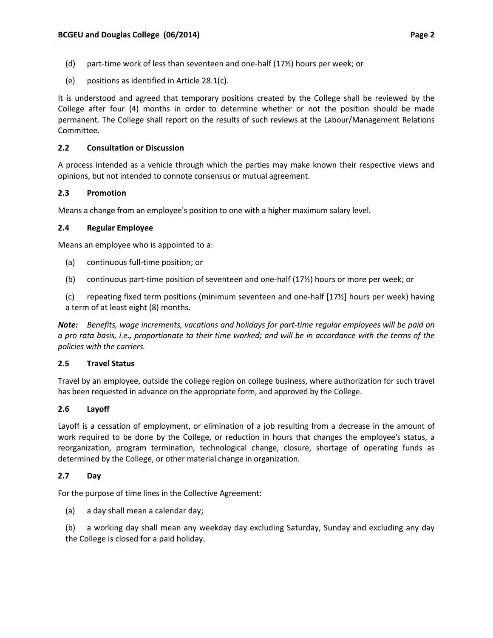- (d) part‐time work of less than seventeen and one‐half (17½) hours per week; or
- (e) positions as identified in Article 28.1(c).

It is understood and agreed that temporary positions created by the College shall be reviewed by the College after four (4) months in order to determine whether or not the position should be made permanent. The College shall report on the results of such reviews at the Labour/Management Relations Committee.

## **2.2 Consultation or Discussion**

A process intended as a vehicle through which the parties may make known their respective views and opinions, but not intended to connote consensus or mutual agreement.

# **2.3 Promotion**

Means a change from an employee's position to one with a higher maximum salary level.

# **2.4 Regular Employee**

Means an employee who is appointed to a:

- (a) continuous full‐time position; or
- (b) continuous part‐time position of seventeen and one‐half (17½) hours or more per week; or

(c) repeating fixed term positions (minimum seventeen and one‐half [17½] hours per week) having a term of at least eight (8) months.

*Note: Benefits, wage increments, vacations and holidays for part‐time regular employees will be paid on* a pro rata basis, i.e., proportionate to their time worked; and will be in accordance with the terms of the *policies with the carriers.*

## **2.5 Travel Status**

Travel by an employee, outside the college region on college business, where authorization for such travel has been requested in advance on the appropriate form, and approved by the College.

## **2.6 Layoff**

Layoff is a cessation of employment, or elimination of a job resulting from a decrease in the amount of work required to be done by the College, or reduction in hours that changes the employee's status, a reorganization, program termination, technological change, closure, shortage of operating funds as determined by the College, or other material change in organization.

# **2.7 Day**

For the purpose of time lines in the Collective Agreement:

(a) a day shall mean a calendar day;

(b) a working day shall mean any weekday day excluding Saturday, Sunday and excluding any day the College is closed for a paid holiday.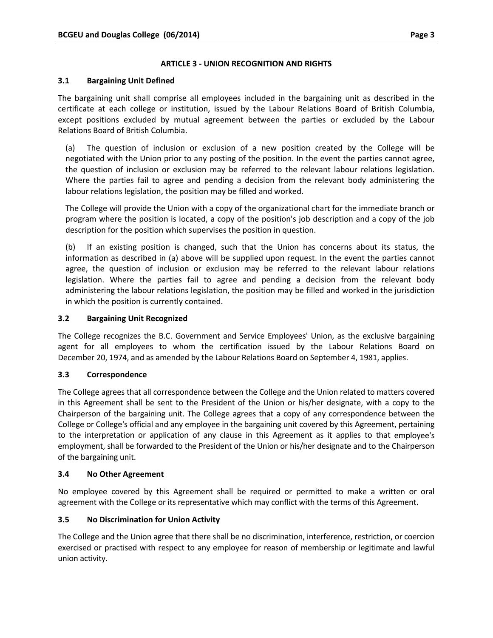# **ARTICLE 3 ‐ UNION RECOGNITION AND RIGHTS**

## **3.1 Bargaining Unit Defined**

The bargaining unit shall comprise all employees included in the bargaining unit as described in the certificate at each college or institution, issued by the Labour Relations Board of British Columbia, except positions excluded by mutual agreement between the parties or excluded by the Labour Relations Board of British Columbia.

(a) The question of inclusion or exclusion of a new position created by the College will be negotiated with the Union prior to any posting of the position. In the event the parties cannot agree, the question of inclusion or exclusion may be referred to the relevant labour relations legislation. Where the parties fail to agree and pending a decision from the relevant body administering the labour relations legislation, the position may be filled and worked.

The College will provide the Union with a copy of the organizational chart for the immediate branch or program where the position is located, a copy of the position's job description and a copy of the job description for the position which supervises the position in question.

(b) If an existing position is changed, such that the Union has concerns about its status, the information as described in (a) above will be supplied upon request. In the event the parties cannot agree, the question of inclusion or exclusion may be referred to the relevant labour relations legislation. Where the parties fail to agree and pending a decision from the relevant body administering the labour relations legislation, the position may be filled and worked in the jurisdiction in which the position is currently contained.

## **3.2 Bargaining Unit Recognized**

The College recognizes the B.C. Government and Service Employees' Union, as the exclusive bargaining agent for all employees to whom the certification issued by the Labour Relations Board on December 20, 1974, and as amended by the Labour Relations Board on September 4, 1981, applies.

## **3.3 Correspondence**

The College agrees that all correspondence between the College and the Union related to matters covered in this Agreement shall be sent to the President of the Union or his/her designate, with a copy to the Chairperson of the bargaining unit. The College agrees that a copy of any correspondence between the College or College's official and any employee in the bargaining unit covered by this Agreement, pertaining to the interpretation or application of any clause in this Agreement as it applies to that employee's employment, shall be forwarded to the President of the Union or his/her designate and to the Chairperson of the bargaining unit.

## **3.4 No Other Agreement**

No employee covered by this Agreement shall be required or permitted to make a written or oral agreement with the College or its representative which may conflict with the terms of this Agreement.

## **3.5 No Discrimination for Union Activity**

The College and the Union agree that there shall be no discrimination, interference, restriction, or coercion exercised or practised with respect to any employee for reason of membership or legitimate and lawful union activity.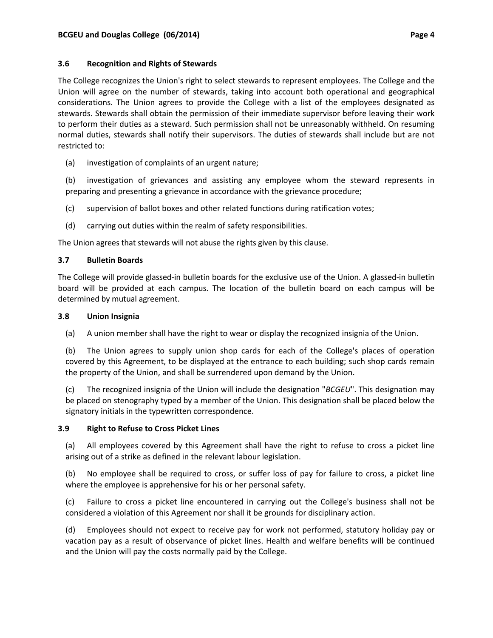## **3.6 Recognition and Rights of Stewards**

The College recognizes the Union's right to select stewards to represent employees. The College and the Union will agree on the number of stewards, taking into account both operational and geographical considerations. The Union agrees to provide the College with a list of the employees designated as stewards. Stewards shall obtain the permission of their immediate supervisor before leaving their work to perform their duties as a steward. Such permission shall not be unreasonably withheld. On resuming normal duties, stewards shall notify their supervisors. The duties of stewards shall include but are not restricted to:

(a) investigation of complaints of an urgent nature;

(b) investigation of grievances and assisting any employee whom the steward represents in preparing and presenting a grievance in accordance with the grievance procedure;

- (c) supervision of ballot boxes and other related functions during ratification votes;
- (d) carrying out duties within the realm of safety responsibilities.

The Union agrees that stewards will not abuse the rights given by this clause.

## **3.7 Bulletin Boards**

The College will provide glassed‐in bulletin boards for the exclusive use of the Union. A glassed‐in bulletin board will be provided at each campus. The location of the bulletin board on each campus will be determined by mutual agreement.

#### **3.8 Union Insignia**

(a) A union member shall have the right to wear or display the recognized insignia of the Union.

(b) The Union agrees to supply union shop cards for each of the College's places of operation covered by this Agreement, to be displayed at the entrance to each building; such shop cards remain the property of the Union, and shall be surrendered upon demand by the Union.

(c) The recognized insignia of the Union will include the designation "*BCGEU*". This designation may be placed on stenography typed by a member of the Union. This designation shall be placed below the signatory initials in the typewritten correspondence.

## **3.9 Right to Refuse to Cross Picket Lines**

(a) All employees covered by this Agreement shall have the right to refuse to cross a picket line arising out of a strike as defined in the relevant labour legislation.

(b) No employee shall be required to cross, or suffer loss of pay for failure to cross, a picket line where the employee is apprehensive for his or her personal safety.

(c) Failure to cross a picket line encountered in carrying out the College's business shall not be considered a violation of this Agreement nor shall it be grounds for disciplinary action.

(d) Employees should not expect to receive pay for work not performed, statutory holiday pay or vacation pay as a result of observance of picket lines. Health and welfare benefits will be continued and the Union will pay the costs normally paid by the College.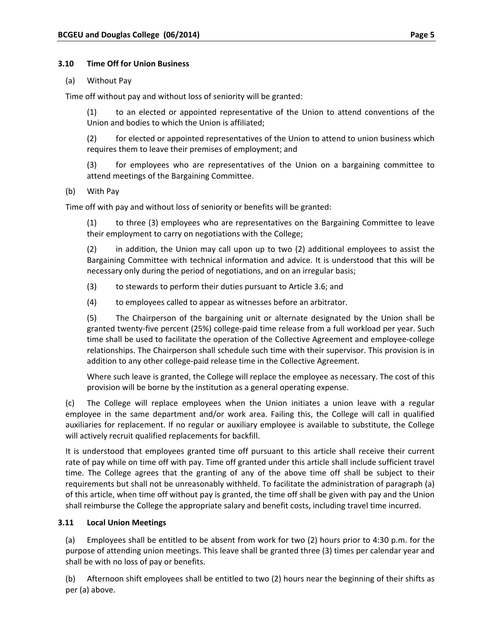#### **3.10 Time Off for Union Business**

#### (a) Without Pay

Time off without pay and without loss of seniority will be granted:

(1) to an elected or appointed representative of the Union to attend conventions of the Union and bodies to which the Union is affiliated;

(2) for elected or appointed representatives of the Union to attend to union business which requires them to leave their premises of employment; and

(3) for employees who are representatives of the Union on a bargaining committee to attend meetings of the Bargaining Committee.

## (b) With Pay

Time off with pay and without loss of seniority or benefits will be granted:

(1) to three (3) employees who are representatives on the Bargaining Committee to leave their employment to carry on negotiations with the College;

(2) in addition, the Union may call upon up to two (2) additional employees to assist the Bargaining Committee with technical information and advice. It is understood that this will be necessary only during the period of negotiations, and on an irregular basis;

(3) to stewards to perform their duties pursuant to Article 3.6; and

(4) to employees called to appear as witnesses before an arbitrator.

(5) The Chairperson of the bargaining unit or alternate designated by the Union shall be granted twenty‐five percent (25%) college‐paid time release from a full workload per year. Such time shall be used to facilitate the operation of the Collective Agreement and employee‐college relationships. The Chairperson shall schedule such time with their supervisor. This provision is in addition to any other college‐paid release time in the Collective Agreement.

Where such leave is granted, the College will replace the employee as necessary. The cost of this provision will be borne by the institution as a general operating expense.

(c) The College will replace employees when the Union initiates a union leave with a regular employee in the same department and/or work area. Failing this, the College will call in qualified auxiliaries for replacement. If no regular or auxiliary employee is available to substitute, the College will actively recruit qualified replacements for backfill.

It is understood that employees granted time off pursuant to this article shall receive their current rate of pay while on time off with pay. Time off granted under this article shall include sufficient travel time. The College agrees that the granting of any of the above time off shall be subject to their requirements but shall not be unreasonably withheld. To facilitate the administration of paragraph (a) of this article, when time off without pay is granted, the time off shall be given with pay and the Union shall reimburse the College the appropriate salary and benefit costs, including travel time incurred.

## **3.11 Local Union Meetings**

(a) Employees shall be entitled to be absent from work for two (2) hours prior to 4:30 p.m. for the purpose of attending union meetings. This leave shall be granted three (3) times per calendar year and shall be with no loss of pay or benefits.

(b) Afternoon shift employees shall be entitled to two (2) hours near the beginning of their shifts as per (a) above.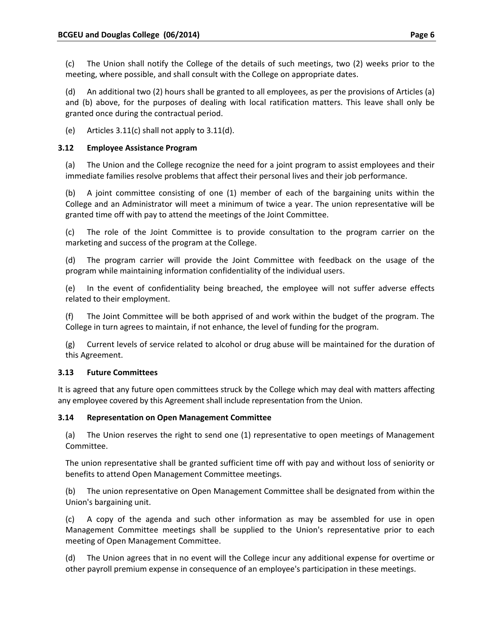(c) The Union shall notify the College of the details of such meetings, two (2) weeks prior to the meeting, where possible, and shall consult with the College on appropriate dates.

(d) An additional two (2) hours shall be granted to all employees, as per the provisions of Articles (a) and (b) above, for the purposes of dealing with local ratification matters. This leave shall only be granted once during the contractual period.

(e) Articles 3.11(c) shall not apply to 3.11(d).

# **3.12 Employee Assistance Program**

(a) The Union and the College recognize the need for a joint program to assist employees and their immediate families resolve problems that affect their personal lives and their job performance.

(b) A joint committee consisting of one (1) member of each of the bargaining units within the College and an Administrator will meet a minimum of twice a year. The union representative will be granted time off with pay to attend the meetings of the Joint Committee.

(c) The role of the Joint Committee is to provide consultation to the program carrier on the marketing and success of the program at the College.

(d) The program carrier will provide the Joint Committee with feedback on the usage of the program while maintaining information confidentiality of the individual users.

(e) In the event of confidentiality being breached, the employee will not suffer adverse effects related to their employment.

(f) The Joint Committee will be both apprised of and work within the budget of the program. The College in turn agrees to maintain, if not enhance, the level of funding for the program.

(g) Current levels of service related to alcohol or drug abuse will be maintained for the duration of this Agreement.

# **3.13 Future Committees**

It is agreed that any future open committees struck by the College which may deal with matters affecting any employee covered by this Agreement shall include representation from the Union.

## **3.14 Representation on Open Management Committee**

(a) The Union reserves the right to send one (1) representative to open meetings of Management Committee.

The union representative shall be granted sufficient time off with pay and without loss of seniority or benefits to attend Open Management Committee meetings.

(b) The union representative on Open Management Committee shall be designated from within the Union's bargaining unit.

(c) A copy of the agenda and such other information as may be assembled for use in open Management Committee meetings shall be supplied to the Union's representative prior to each meeting of Open Management Committee.

(d) The Union agrees that in no event will the College incur any additional expense for overtime or other payroll premium expense in consequence of an employee's participation in these meetings.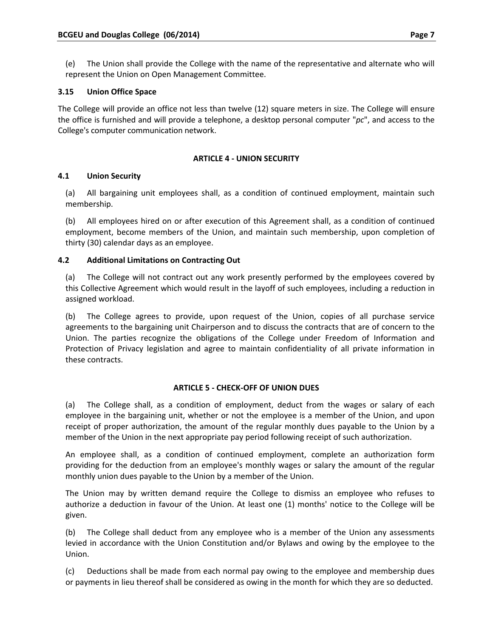(e) The Union shall provide the College with the name of the representative and alternate who will represent the Union on Open Management Committee.

# **3.15 Union Office Space**

The College will provide an office not less than twelve (12) square meters in size. The College will ensure the office is furnished and will provide a telephone, a desktop personal computer "*pc*", and access to the College's computer communication network.

## **ARTICLE 4 ‐ UNION SECURITY**

# **4.1 Union Security**

(a) All bargaining unit employees shall, as a condition of continued employment, maintain such membership.

(b) All employees hired on or after execution of this Agreement shall, as a condition of continued employment, become members of the Union, and maintain such membership, upon completion of thirty (30) calendar days as an employee.

# **4.2 Additional Limitations on Contracting Out**

(a) The College will not contract out any work presently performed by the employees covered by this Collective Agreement which would result in the layoff of such employees, including a reduction in assigned workload.

(b) The College agrees to provide, upon request of the Union, copies of all purchase service agreements to the bargaining unit Chairperson and to discuss the contracts that are of concern to the Union. The parties recognize the obligations of the College under Freedom of Information and Protection of Privacy legislation and agree to maintain confidentiality of all private information in these contracts.

## **ARTICLE 5 ‐ CHECK‐OFF OF UNION DUES**

(a) The College shall, as a condition of employment, deduct from the wages or salary of each employee in the bargaining unit, whether or not the employee is a member of the Union, and upon receipt of proper authorization, the amount of the regular monthly dues payable to the Union by a member of the Union in the next appropriate pay period following receipt of such authorization.

An employee shall, as a condition of continued employment, complete an authorization form providing for the deduction from an employee's monthly wages or salary the amount of the regular monthly union dues payable to the Union by a member of the Union.

The Union may by written demand require the College to dismiss an employee who refuses to authorize a deduction in favour of the Union. At least one (1) months' notice to the College will be given.

(b) The College shall deduct from any employee who is a member of the Union any assessments levied in accordance with the Union Constitution and/or Bylaws and owing by the employee to the Union.

(c) Deductions shall be made from each normal pay owing to the employee and membership dues or payments in lieu thereof shall be considered as owing in the month for which they are so deducted.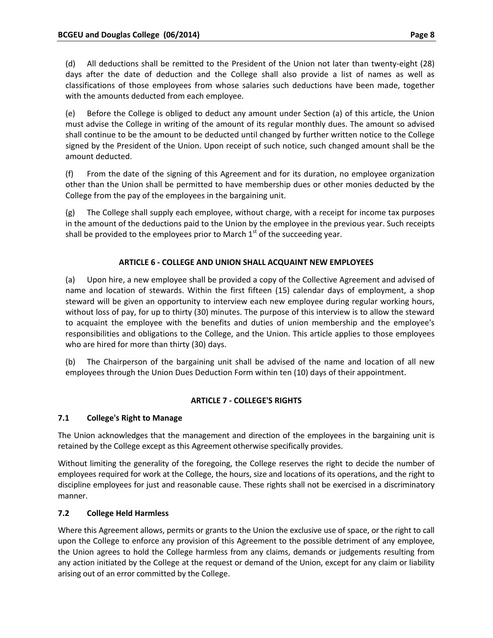(d) All deductions shall be remitted to the President of the Union not later than twenty‐eight (28) days after the date of deduction and the College shall also provide a list of names as well as classifications of those employees from whose salaries such deductions have been made, together with the amounts deducted from each employee.

(e) Before the College is obliged to deduct any amount under Section (a) of this article, the Union must advise the College in writing of the amount of its regular monthly dues. The amount so advised shall continue to be the amount to be deducted until changed by further written notice to the College signed by the President of the Union. Upon receipt of such notice, such changed amount shall be the amount deducted.

(f) From the date of the signing of this Agreement and for its duration, no employee organization other than the Union shall be permitted to have membership dues or other monies deducted by the College from the pay of the employees in the bargaining unit.

(g) The College shall supply each employee, without charge, with a receipt for income tax purposes in the amount of the deductions paid to the Union by the employee in the previous year. Such receipts shall be provided to the employees prior to March  $1<sup>st</sup>$  of the succeeding year.

# **ARTICLE 6 ‐ COLLEGE AND UNION SHALL ACQUAINT NEW EMPLOYEES**

(a) Upon hire, a new employee shall be provided a copy of the Collective Agreement and advised of name and location of stewards. Within the first fifteen (15) calendar days of employment, a shop steward will be given an opportunity to interview each new employee during regular working hours, without loss of pay, for up to thirty (30) minutes. The purpose of this interview is to allow the steward to acquaint the employee with the benefits and duties of union membership and the employee's responsibilities and obligations to the College, and the Union. This article applies to those employees who are hired for more than thirty (30) days.

(b) The Chairperson of the bargaining unit shall be advised of the name and location of all new employees through the Union Dues Deduction Form within ten (10) days of their appointment.

## **ARTICLE 7 ‐ COLLEGE'S RIGHTS**

# **7.1 College's Right to Manage**

The Union acknowledges that the management and direction of the employees in the bargaining unit is retained by the College except as this Agreement otherwise specifically provides.

Without limiting the generality of the foregoing, the College reserves the right to decide the number of employees required for work at the College, the hours, size and locations of its operations, and the right to discipline employees for just and reasonable cause. These rights shall not be exercised in a discriminatory manner.

## **7.2 College Held Harmless**

Where this Agreement allows, permits or grants to the Union the exclusive use of space, or the right to call upon the College to enforce any provision of this Agreement to the possible detriment of any employee, the Union agrees to hold the College harmless from any claims, demands or judgements resulting from any action initiated by the College at the request or demand of the Union, except for any claim or liability arising out of an error committed by the College.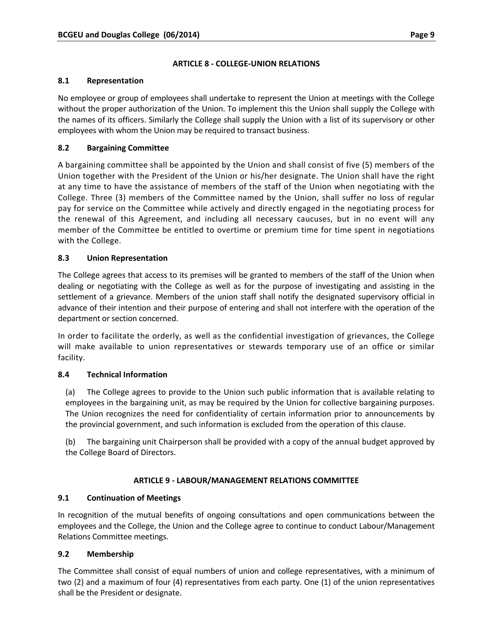## **ARTICLE 8 ‐ COLLEGE‐UNION RELATIONS**

## **8.1 Representation**

No employee or group of employees shall undertake to represent the Union at meetings with the College without the proper authorization of the Union. To implement this the Union shall supply the College with the names of its officers. Similarly the College shall supply the Union with a list of its supervisory or other employees with whom the Union may be required to transact business.

# **8.2 Bargaining Committee**

A bargaining committee shall be appointed by the Union and shall consist of five (5) members of the Union together with the President of the Union or his/her designate. The Union shall have the right at any time to have the assistance of members of the staff of the Union when negotiating with the College. Three (3) members of the Committee named by the Union, shall suffer no loss of regular pay for service on the Committee while actively and directly engaged in the negotiating process for the renewal of this Agreement, and including all necessary caucuses, but in no event will any member of the Committee be entitled to overtime or premium time for time spent in negotiations with the College.

# **8.3 Union Representation**

The College agrees that access to its premises will be granted to members of the staff of the Union when dealing or negotiating with the College as well as for the purpose of investigating and assisting in the settlement of a grievance. Members of the union staff shall notify the designated supervisory official in advance of their intention and their purpose of entering and shall not interfere with the operation of the department or section concerned.

In order to facilitate the orderly, as well as the confidential investigation of grievances, the College will make available to union representatives or stewards temporary use of an office or similar facility.

## **8.4 Technical Information**

(a) The College agrees to provide to the Union such public information that is available relating to employees in the bargaining unit, as may be required by the Union for collective bargaining purposes. The Union recognizes the need for confidentiality of certain information prior to announcements by the provincial government, and such information is excluded from the operation of this clause.

(b) The bargaining unit Chairperson shall be provided with a copy of the annual budget approved by the College Board of Directors.

## **ARTICLE 9 ‐ LABOUR/MANAGEMENT RELATIONS COMMITTEE**

# **9.1 Continuation of Meetings**

In recognition of the mutual benefits of ongoing consultations and open communications between the employees and the College, the Union and the College agree to continue to conduct Labour/Management Relations Committee meetings.

## **9.2 Membership**

The Committee shall consist of equal numbers of union and college representatives, with a minimum of two (2) and a maximum of four (4) representatives from each party. One (1) of the union representatives shall be the President or designate.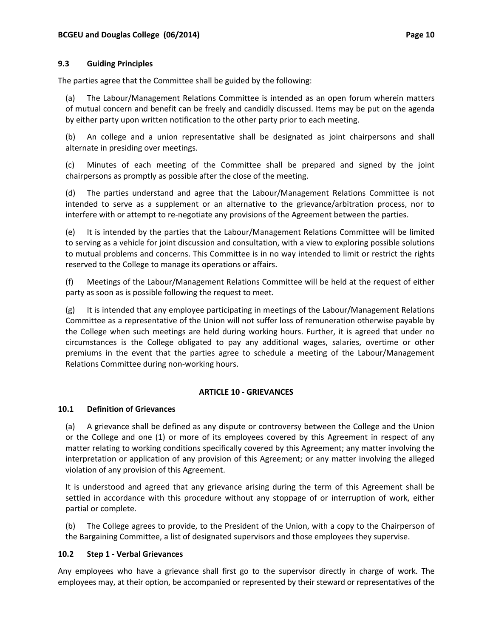#### **9.3 Guiding Principles**

The parties agree that the Committee shall be guided by the following:

(a) The Labour/Management Relations Committee is intended as an open forum wherein matters of mutual concern and benefit can be freely and candidly discussed. Items may be put on the agenda by either party upon written notification to the other party prior to each meeting.

(b) An college and a union representative shall be designated as joint chairpersons and shall alternate in presiding over meetings.

(c) Minutes of each meeting of the Committee shall be prepared and signed by the joint chairpersons as promptly as possible after the close of the meeting.

(d) The parties understand and agree that the Labour/Management Relations Committee is not intended to serve as a supplement or an alternative to the grievance/arbitration process, nor to interfere with or attempt to re-negotiate any provisions of the Agreement between the parties.

(e) It is intended by the parties that the Labour/Management Relations Committee will be limited to serving as a vehicle for joint discussion and consultation, with a view to exploring possible solutions to mutual problems and concerns. This Committee is in no way intended to limit or restrict the rights reserved to the College to manage its operations or affairs.

(f) Meetings of the Labour/Management Relations Committee will be held at the request of either party as soon as is possible following the request to meet.

(g) It is intended that any employee participating in meetings of the Labour/Management Relations Committee as a representative of the Union will not suffer loss of remuneration otherwise payable by the College when such meetings are held during working hours. Further, it is agreed that under no circumstances is the College obligated to pay any additional wages, salaries, overtime or other premiums in the event that the parties agree to schedule a meeting of the Labour/Management Relations Committee during non‐working hours.

#### **ARTICLE 10 ‐ GRIEVANCES**

#### **10.1 Definition of Grievances**

(a) A grievance shall be defined as any dispute or controversy between the College and the Union or the College and one (1) or more of its employees covered by this Agreement in respect of any matter relating to working conditions specifically covered by this Agreement; any matter involving the interpretation or application of any provision of this Agreement; or any matter involving the alleged violation of any provision of this Agreement.

It is understood and agreed that any grievance arising during the term of this Agreement shall be settled in accordance with this procedure without any stoppage of or interruption of work, either partial or complete.

(b) The College agrees to provide, to the President of the Union, with a copy to the Chairperson of the Bargaining Committee, a list of designated supervisors and those employees they supervise.

#### **10.2 Step 1 ‐ Verbal Grievances**

Any employees who have a grievance shall first go to the supervisor directly in charge of work. The employees may, at their option, be accompanied or represented by their steward or representatives of the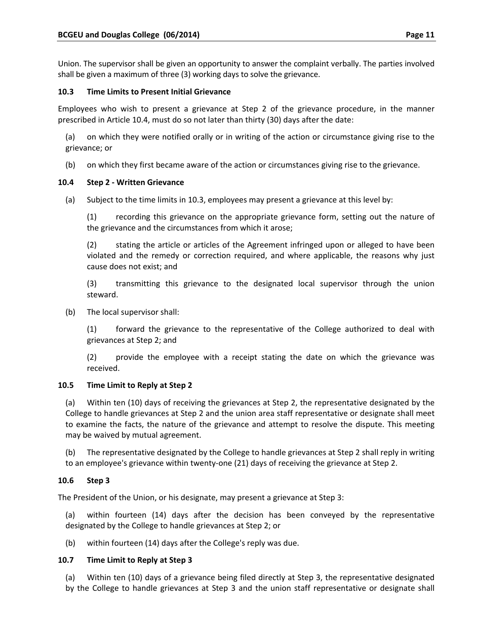Union. The supervisor shall be given an opportunity to answer the complaint verbally. The parties involved shall be given a maximum of three (3) working days to solve the grievance.

## **10.3 Time Limits to Present Initial Grievance**

Employees who wish to present a grievance at Step 2 of the grievance procedure, in the manner prescribed in Article 10.4, must do so not later than thirty (30) days after the date:

(a) on which they were notified orally or in writing of the action or circumstance giving rise to the grievance; or

(b) on which they first became aware of the action or circumstances giving rise to the grievance.

# **10.4 Step 2 ‐ Written Grievance**

(a) Subject to the time limits in 10.3, employees may present a grievance at this level by:

(1) recording this grievance on the appropriate grievance form, setting out the nature of the grievance and the circumstances from which it arose;

(2) stating the article or articles of the Agreement infringed upon or alleged to have been violated and the remedy or correction required, and where applicable, the reasons why just cause does not exist; and

(3) transmitting this grievance to the designated local supervisor through the union steward.

(b) The local supervisor shall:

(1) forward the grievance to the representative of the College authorized to deal with grievances at Step 2; and

(2) provide the employee with a receipt stating the date on which the grievance was received.

## **10.5 Time Limit to Reply at Step 2**

(a) Within ten (10) days of receiving the grievances at Step 2, the representative designated by the College to handle grievances at Step 2 and the union area staff representative or designate shall meet to examine the facts, the nature of the grievance and attempt to resolve the dispute. This meeting may be waived by mutual agreement.

(b) The representative designated by the College to handle grievances at Step 2 shall reply in writing to an employee's grievance within twenty‐one (21) days of receiving the grievance at Step 2.

# **10.6 Step 3**

The President of the Union, or his designate, may present a grievance at Step 3:

(a) within fourteen (14) days after the decision has been conveyed by the representative designated by the College to handle grievances at Step 2; or

(b) within fourteen (14) days after the College's reply was due.

## **10.7 Time Limit to Reply at Step 3**

(a) Within ten (10) days of a grievance being filed directly at Step 3, the representative designated by the College to handle grievances at Step 3 and the union staff representative or designate shall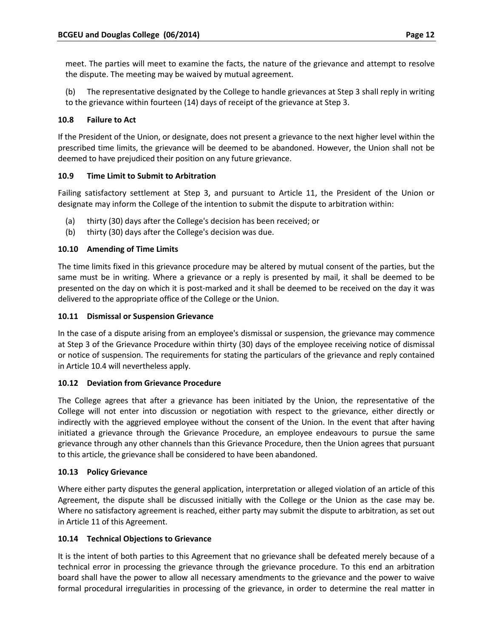meet. The parties will meet to examine the facts, the nature of the grievance and attempt to resolve the dispute. The meeting may be waived by mutual agreement.

(b) The representative designated by the College to handle grievances at Step 3 shall reply in writing to the grievance within fourteen (14) days of receipt of the grievance at Step 3.

# **10.8 Failure to Act**

If the President of the Union, or designate, does not present a grievance to the next higher level within the prescribed time limits, the grievance will be deemed to be abandoned. However, the Union shall not be deemed to have prejudiced their position on any future grievance.

# **10.9 Time Limit to Submit to Arbitration**

Failing satisfactory settlement at Step 3, and pursuant to Article 11, the President of the Union or designate may inform the College of the intention to submit the dispute to arbitration within:

- (a) thirty (30) days after the College's decision has been received; or
- (b) thirty (30) days after the College's decision was due.

# **10.10 Amending of Time Limits**

The time limits fixed in this grievance procedure may be altered by mutual consent of the parties, but the same must be in writing. Where a grievance or a reply is presented by mail, it shall be deemed to be presented on the day on which it is post‐marked and it shall be deemed to be received on the day it was delivered to the appropriate office of the College or the Union.

## **10.11 Dismissal or Suspension Grievance**

In the case of a dispute arising from an employee's dismissal or suspension, the grievance may commence at Step 3 of the Grievance Procedure within thirty (30) days of the employee receiving notice of dismissal or notice of suspension. The requirements for stating the particulars of the grievance and reply contained in Article 10.4 will nevertheless apply.

## **10.12 Deviation from Grievance Procedure**

The College agrees that after a grievance has been initiated by the Union, the representative of the College will not enter into discussion or negotiation with respect to the grievance, either directly or indirectly with the aggrieved employee without the consent of the Union. In the event that after having initiated a grievance through the Grievance Procedure, an employee endeavours to pursue the same grievance through any other channels than this Grievance Procedure, then the Union agrees that pursuant to this article, the grievance shall be considered to have been abandoned.

## **10.13 Policy Grievance**

Where either party disputes the general application, interpretation or alleged violation of an article of this Agreement, the dispute shall be discussed initially with the College or the Union as the case may be. Where no satisfactory agreement is reached, either party may submit the dispute to arbitration, as set out in Article 11 of this Agreement.

## **10.14 Technical Objections to Grievance**

It is the intent of both parties to this Agreement that no grievance shall be defeated merely because of a technical error in processing the grievance through the grievance procedure. To this end an arbitration board shall have the power to allow all necessary amendments to the grievance and the power to waive formal procedural irregularities in processing of the grievance, in order to determine the real matter in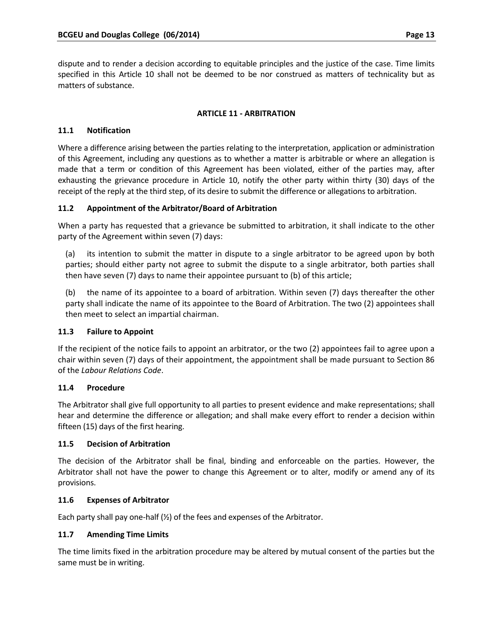dispute and to render a decision according to equitable principles and the justice of the case. Time limits specified in this Article 10 shall not be deemed to be nor construed as matters of technicality but as matters of substance.

#### **ARTICLE 11 ‐ ARBITRATION**

#### **11.1 Notification**

Where a difference arising between the parties relating to the interpretation, application or administration of this Agreement, including any questions as to whether a matter is arbitrable or where an allegation is made that a term or condition of this Agreement has been violated, either of the parties may, after exhausting the grievance procedure in Article 10, notify the other party within thirty (30) days of the receipt of the reply at the third step, of its desire to submit the difference or allegations to arbitration.

## **11.2 Appointment of the Arbitrator/Board of Arbitration**

When a party has requested that a grievance be submitted to arbitration, it shall indicate to the other party of the Agreement within seven (7) days:

(a) its intention to submit the matter in dispute to a single arbitrator to be agreed upon by both parties; should either party not agree to submit the dispute to a single arbitrator, both parties shall then have seven (7) days to name their appointee pursuant to (b) of this article;

(b) the name of its appointee to a board of arbitration. Within seven (7) days thereafter the other party shall indicate the name of its appointee to the Board of Arbitration. The two (2) appointees shall then meet to select an impartial chairman.

#### **11.3 Failure to Appoint**

If the recipient of the notice fails to appoint an arbitrator, or the two (2) appointees fail to agree upon a chair within seven (7) days of their appointment, the appointment shall be made pursuant to Section 86 of the *Labour Relations Code*.

## **11.4 Procedure**

The Arbitrator shall give full opportunity to all parties to present evidence and make representations; shall hear and determine the difference or allegation; and shall make every effort to render a decision within fifteen (15) days of the first hearing.

#### **11.5 Decision of Arbitration**

The decision of the Arbitrator shall be final, binding and enforceable on the parties. However, the Arbitrator shall not have the power to change this Agreement or to alter, modify or amend any of its provisions.

#### **11.6 Expenses of Arbitrator**

Each party shall pay one-half (½) of the fees and expenses of the Arbitrator.

## **11.7 Amending Time Limits**

The time limits fixed in the arbitration procedure may be altered by mutual consent of the parties but the same must be in writing.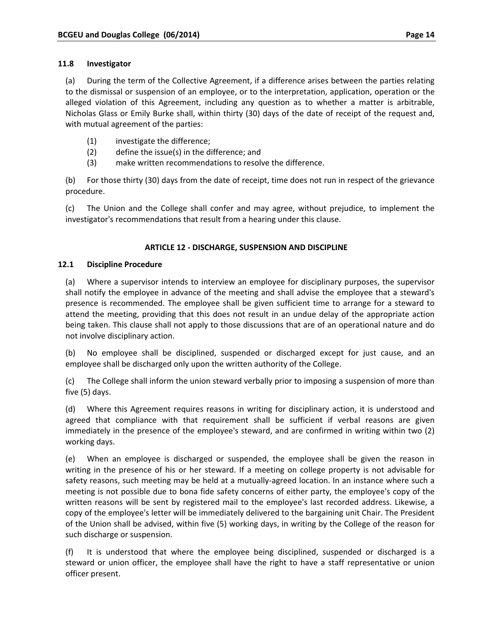#### **11.8 Investigator**

(a) During the term of the Collective Agreement, if a difference arises between the parties relating to the dismissal or suspension of an employee, or to the interpretation, application, operation or the alleged violation of this Agreement, including any question as to whether a matter is arbitrable, Nicholas Glass or Emily Burke shall, within thirty (30) days of the date of receipt of the request and, with mutual agreement of the parties:

- (1) investigate the difference;
- (2) define the issue(s) in the difference; and
- (3) make written recommendations to resolve the difference.

(b) For those thirty (30) days from the date of receipt, time does not run in respect of the grievance procedure.

(c) The Union and the College shall confer and may agree, without prejudice, to implement the investigator's recommendations that result from a hearing under this clause.

# **ARTICLE 12 ‐ DISCHARGE, SUSPENSION AND DISCIPLINE**

#### **12.1 Discipline Procedure**

(a) Where a supervisor intends to interview an employee for disciplinary purposes, the supervisor shall notify the employee in advance of the meeting and shall advise the employee that a steward's presence is recommended. The employee shall be given sufficient time to arrange for a steward to attend the meeting, providing that this does not result in an undue delay of the appropriate action being taken. This clause shall not apply to those discussions that are of an operational nature and do not involve disciplinary action.

(b) No employee shall be disciplined, suspended or discharged except for just cause, and an employee shall be discharged only upon the written authority of the College.

(c) The College shall inform the union steward verbally prior to imposing a suspension of more than five (5) days.

(d) Where this Agreement requires reasons in writing for disciplinary action, it is understood and agreed that compliance with that requirement shall be sufficient if verbal reasons are given immediately in the presence of the employee's steward, and are confirmed in writing within two (2) working days.

(e) When an employee is discharged or suspended, the employee shall be given the reason in writing in the presence of his or her steward. If a meeting on college property is not advisable for safety reasons, such meeting may be held at a mutually-agreed location. In an instance where such a meeting is not possible due to bona fide safety concerns of either party, the employee's copy of the written reasons will be sent by registered mail to the employee's last recorded address. Likewise, a copy of the employee's letter will be immediately delivered to the bargaining unit Chair. The President of the Union shall be advised, within five (5) working days, in writing by the College of the reason for such discharge or suspension.

(f) It is understood that where the employee being disciplined, suspended or discharged is a steward or union officer, the employee shall have the right to have a staff representative or union officer present.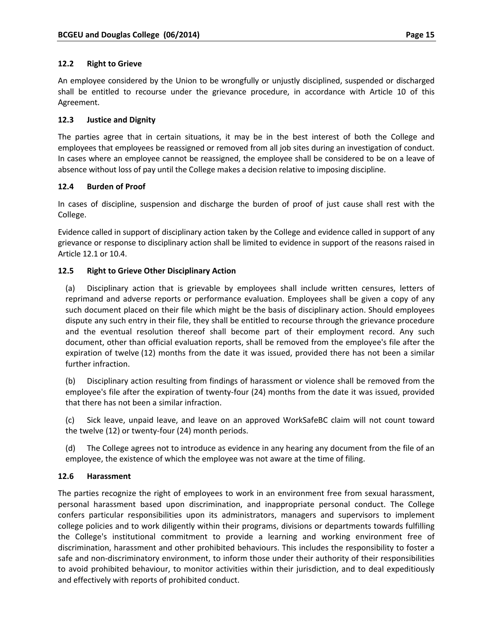#### **12.2 Right to Grieve**

An employee considered by the Union to be wrongfully or unjustly disciplined, suspended or discharged shall be entitled to recourse under the grievance procedure, in accordance with Article 10 of this Agreement.

#### **12.3 Justice and Dignity**

The parties agree that in certain situations, it may be in the best interest of both the College and employees that employees be reassigned or removed from all job sites during an investigation of conduct. In cases where an employee cannot be reassigned, the employee shall be considered to be on a leave of absence without loss of pay until the College makes a decision relative to imposing discipline.

#### **12.4 Burden of Proof**

In cases of discipline, suspension and discharge the burden of proof of just cause shall rest with the College.

Evidence called in support of disciplinary action taken by the College and evidence called in support of any grievance or response to disciplinary action shall be limited to evidence in support of the reasons raised in Article 12.1 or 10.4.

#### **12.5 Right to Grieve Other Disciplinary Action**

(a) Disciplinary action that is grievable by employees shall include written censures, letters of reprimand and adverse reports or performance evaluation. Employees shall be given a copy of any such document placed on their file which might be the basis of disciplinary action. Should employees dispute any such entry in their file, they shall be entitled to recourse through the grievance procedure and the eventual resolution thereof shall become part of their employment record. Any such document, other than official evaluation reports, shall be removed from the employee's file after the expiration of twelve (12) months from the date it was issued, provided there has not been a similar further infraction.

(b) Disciplinary action resulting from findings of harassment or violence shall be removed from the employee's file after the expiration of twenty‐four (24) months from the date it was issued, provided that there has not been a similar infraction.

(c) Sick leave, unpaid leave, and leave on an approved WorkSafeBC claim will not count toward the twelve (12) or twenty‐four (24) month periods.

(d) The College agrees not to introduce as evidence in any hearing any document from the file of an employee, the existence of which the employee was not aware at the time of filing.

## **12.6 Harassment**

The parties recognize the right of employees to work in an environment free from sexual harassment, personal harassment based upon discrimination, and inappropriate personal conduct. The College confers particular responsibilities upon its administrators, managers and supervisors to implement college policies and to work diligently within their programs, divisions or departments towards fulfilling the College's institutional commitment to provide a learning and working environment free of discrimination, harassment and other prohibited behaviours. This includes the responsibility to foster a safe and non-discriminatory environment, to inform those under their authority of their responsibilities to avoid prohibited behaviour, to monitor activities within their jurisdiction, and to deal expeditiously and effectively with reports of prohibited conduct.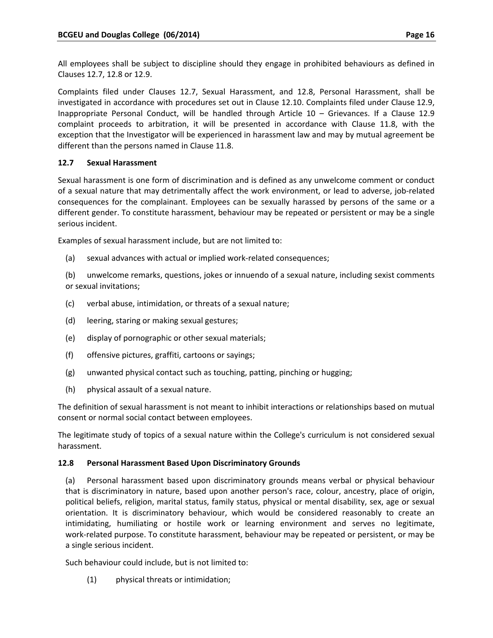All employees shall be subject to discipline should they engage in prohibited behaviours as defined in Clauses 12.7, 12.8 or 12.9.

Complaints filed under Clauses 12.7, Sexual Harassment, and 12.8, Personal Harassment, shall be investigated in accordance with procedures set out in Clause 12.10. Complaints filed under Clause 12.9, Inappropriate Personal Conduct, will be handled through Article 10 – Grievances. If a Clause 12.9 complaint proceeds to arbitration, it will be presented in accordance with Clause 11.8, with the exception that the Investigator will be experienced in harassment law and may by mutual agreement be different than the persons named in Clause 11.8.

# **12.7 Sexual Harassment**

Sexual harassment is one form of discrimination and is defined as any unwelcome comment or conduct of a sexual nature that may detrimentally affect the work environment, or lead to adverse, job‐related consequences for the complainant. Employees can be sexually harassed by persons of the same or a different gender. To constitute harassment, behaviour may be repeated or persistent or may be a single serious incident.

Examples of sexual harassment include, but are not limited to:

(a) sexual advances with actual or implied work‐related consequences;

(b) unwelcome remarks, questions, jokes or innuendo of a sexual nature, including sexist comments or sexual invitations;

- (c) verbal abuse, intimidation, or threats of a sexual nature;
- (d) leering, staring or making sexual gestures;
- (e) display of pornographic or other sexual materials;
- (f) offensive pictures, graffiti, cartoons or sayings;
- (g) unwanted physical contact such as touching, patting, pinching or hugging;
- (h) physical assault of a sexual nature.

The definition of sexual harassment is not meant to inhibit interactions or relationships based on mutual consent or normal social contact between employees.

The legitimate study of topics of a sexual nature within the College's curriculum is not considered sexual harassment.

## **12.8 Personal Harassment Based Upon Discriminatory Grounds**

(a) Personal harassment based upon discriminatory grounds means verbal or physical behaviour that is discriminatory in nature, based upon another person's race, colour, ancestry, place of origin, political beliefs, religion, marital status, family status, physical or mental disability, sex, age or sexual orientation. It is discriminatory behaviour, which would be considered reasonably to create an intimidating, humiliating or hostile work or learning environment and serves no legitimate, work-related purpose. To constitute harassment, behaviour may be repeated or persistent, or may be a single serious incident.

Such behaviour could include, but is not limited to:

(1) physical threats or intimidation;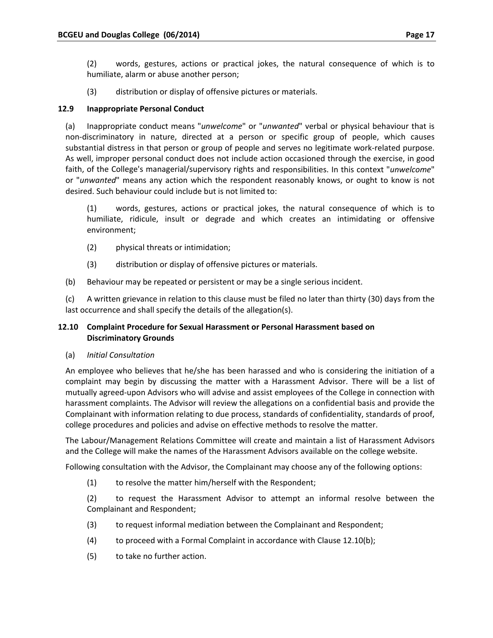(2) words, gestures, actions or practical jokes, the natural consequence of which is to humiliate, alarm or abuse another person;

(3) distribution or display of offensive pictures or materials.

## **12.9 Inappropriate Personal Conduct**

(a) Inappropriate conduct means "*unwelcome*" or "*unwanted*" verbal or physical behaviour that is non‐discriminatory in nature, directed at a person or specific group of people, which causes substantial distress in that person or group of people and serves no legitimate work‐related purpose. As well, improper personal conduct does not include action occasioned through the exercise, in good faith, of the College's managerial/supervisory rights and responsibilities. In this context "*unwelcome*" or "*unwanted*" means any action which the respondent reasonably knows, or ought to know is not desired. Such behaviour could include but is not limited to:

(1) words, gestures, actions or practical jokes, the natural consequence of which is to humiliate, ridicule, insult or degrade and which creates an intimidating or offensive environment;

- (2) physical threats or intimidation;
- (3) distribution or display of offensive pictures or materials.
- (b) Behaviour may be repeated or persistent or may be a single serious incident.

(c) A written grievance in relation to this clause must be filed no later than thirty (30) days from the last occurrence and shall specify the details of the allegation(s).

# **12.10 Complaint Procedure for Sexual Harassment or Personal Harassment based on Discriminatory Grounds**

(a) *Initial Consultation*

An employee who believes that he/she has been harassed and who is considering the initiation of a complaint may begin by discussing the matter with a Harassment Advisor. There will be a list of mutually agreed‐upon Advisors who will advise and assist employees of the College in connection with harassment complaints. The Advisor will review the allegations on a confidential basis and provide the Complainant with information relating to due process, standards of confidentiality, standards of proof, college procedures and policies and advise on effective methods to resolve the matter.

The Labour/Management Relations Committee will create and maintain a list of Harassment Advisors and the College will make the names of the Harassment Advisors available on the college website.

Following consultation with the Advisor, the Complainant may choose any of the following options:

(1) to resolve the matter him/herself with the Respondent;

(2) to request the Harassment Advisor to attempt an informal resolve between the Complainant and Respondent;

- (3) to request informal mediation between the Complainant and Respondent;
- (4) to proceed with a Formal Complaint in accordance with Clause 12.10(b);
- (5) to take no further action.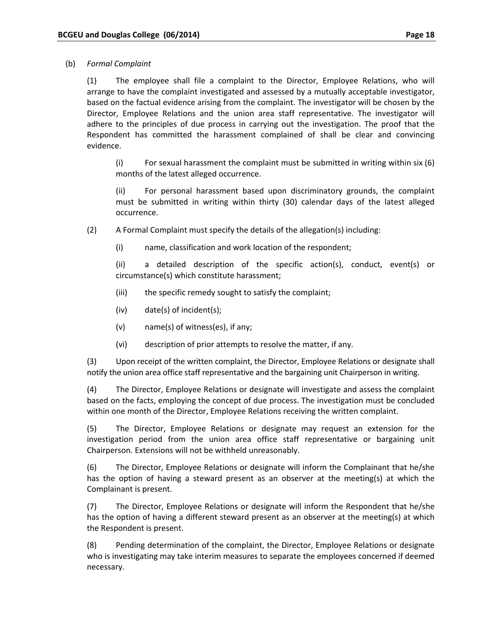#### (b) *Formal Complaint*

(1) The employee shall file a complaint to the Director, Employee Relations, who will arrange to have the complaint investigated and assessed by a mutually acceptable investigator, based on the factual evidence arising from the complaint. The investigator will be chosen by the Director, Employee Relations and the union area staff representative. The investigator will adhere to the principles of due process in carrying out the investigation. The proof that the Respondent has committed the harassment complained of shall be clear and convincing evidence.

(i) For sexual harassment the complaint must be submitted in writing within six (6) months of the latest alleged occurrence.

(ii) For personal harassment based upon discriminatory grounds, the complaint must be submitted in writing within thirty (30) calendar days of the latest alleged occurrence.

(2) A Formal Complaint must specify the details of the allegation(s) including:

(i) name, classification and work location of the respondent;

(ii) a detailed description of the specific action(s), conduct, event(s) or circumstance(s) which constitute harassment;

- (iii) the specific remedy sought to satisfy the complaint;
- (iv) date(s) of incident(s);
- (v) name(s) of witness(es), if any;
- (vi) description of prior attempts to resolve the matter, if any.

(3) Upon receipt of the written complaint, the Director, Employee Relations or designate shall notify the union area office staff representative and the bargaining unit Chairperson in writing.

(4) The Director, Employee Relations or designate will investigate and assess the complaint based on the facts, employing the concept of due process. The investigation must be concluded within one month of the Director, Employee Relations receiving the written complaint.

(5) The Director, Employee Relations or designate may request an extension for the investigation period from the union area office staff representative or bargaining unit Chairperson. Extensions will not be withheld unreasonably.

(6) The Director, Employee Relations or designate will inform the Complainant that he/she has the option of having a steward present as an observer at the meeting(s) at which the Complainant is present.

(7) The Director, Employee Relations or designate will inform the Respondent that he/she has the option of having a different steward present as an observer at the meeting(s) at which the Respondent is present.

(8) Pending determination of the complaint, the Director, Employee Relations or designate who is investigating may take interim measures to separate the employees concerned if deemed necessary.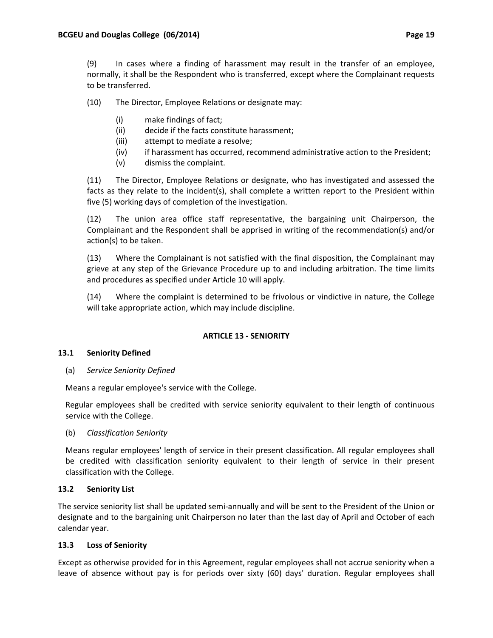(9) In cases where a finding of harassment may result in the transfer of an employee, normally, it shall be the Respondent who is transferred, except where the Complainant requests to be transferred.

(10) The Director, Employee Relations or designate may:

- (i) make findings of fact;
- (ii) decide if the facts constitute harassment;
- (iii) attempt to mediate a resolve;
- (iv) if harassment has occurred, recommend administrative action to the President;
- (v) dismiss the complaint.

(11) The Director, Employee Relations or designate, who has investigated and assessed the facts as they relate to the incident(s), shall complete a written report to the President within five (5) working days of completion of the investigation.

(12) The union area office staff representative, the bargaining unit Chairperson, the Complainant and the Respondent shall be apprised in writing of the recommendation(s) and/or action(s) to be taken.

(13) Where the Complainant is not satisfied with the final disposition, the Complainant may grieve at any step of the Grievance Procedure up to and including arbitration. The time limits and procedures as specified under Article 10 will apply.

(14) Where the complaint is determined to be frivolous or vindictive in nature, the College will take appropriate action, which may include discipline.

## **ARTICLE 13 ‐ SENIORITY**

## **13.1 Seniority Defined**

(a) *Service Seniority Defined*

Means a regular employee's service with the College.

Regular employees shall be credited with service seniority equivalent to their length of continuous service with the College.

(b) *Classification Seniority*

Means regular employees' length of service in their present classification. All regular employees shall be credited with classification seniority equivalent to their length of service in their present classification with the College.

## **13.2 Seniority List**

The service seniority list shall be updated semi‐annually and will be sent to the President of the Union or designate and to the bargaining unit Chairperson no later than the last day of April and October of each calendar year.

## **13.3 Loss of Seniority**

Except as otherwise provided for in this Agreement, regular employees shall not accrue seniority when a leave of absence without pay is for periods over sixty (60) days' duration. Regular employees shall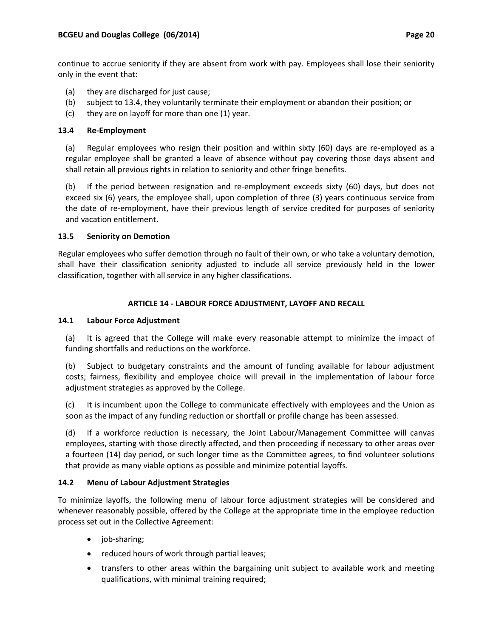continue to accrue seniority if they are absent from work with pay. Employees shall lose their seniority only in the event that:

- (a) they are discharged for just cause;
- (b) subject to 13.4, they voluntarily terminate their employment or abandon their position; or
- (c) they are on layoff for more than one (1) year.

# **13.4 Re‐Employment**

(a) Regular employees who resign their position and within sixty (60) days are re‐employed as a regular employee shall be granted a leave of absence without pay covering those days absent and shall retain all previous rights in relation to seniority and other fringe benefits.

(b) If the period between resignation and re‐employment exceeds sixty (60) days, but does not exceed six (6) years, the employee shall, upon completion of three (3) years continuous service from the date of re-employment, have their previous length of service credited for purposes of seniority and vacation entitlement.

## **13.5 Seniority on Demotion**

Regular employees who suffer demotion through no fault of their own, or who take a voluntary demotion, shall have their classification seniority adjusted to include all service previously held in the lower classification, together with all service in any higher classifications.

# **ARTICLE 14 ‐ LABOUR FORCE ADJUSTMENT, LAYOFF AND RECALL**

## **14.1 Labour Force Adjustment**

(a) It is agreed that the College will make every reasonable attempt to minimize the impact of funding shortfalls and reductions on the workforce.

(b) Subject to budgetary constraints and the amount of funding available for labour adjustment costs; fairness, flexibility and employee choice will prevail in the implementation of labour force adjustment strategies as approved by the College.

(c) It is incumbent upon the College to communicate effectively with employees and the Union as soon as the impact of any funding reduction or shortfall or profile change has been assessed.

(d) If a workforce reduction is necessary, the Joint Labour/Management Committee will canvas employees, starting with those directly affected, and then proceeding if necessary to other areas over a fourteen (14) day period, or such longer time as the Committee agrees, to find volunteer solutions that provide as many viable options as possible and minimize potential layoffs.

## **14.2 Menu of Labour Adjustment Strategies**

To minimize layoffs, the following menu of labour force adjustment strategies will be considered and whenever reasonably possible, offered by the College at the appropriate time in the employee reduction process set out in the Collective Agreement:

- job‐sharing;
- reduced hours of work through partial leaves;
- transfers to other areas within the bargaining unit subject to available work and meeting qualifications, with minimal training required;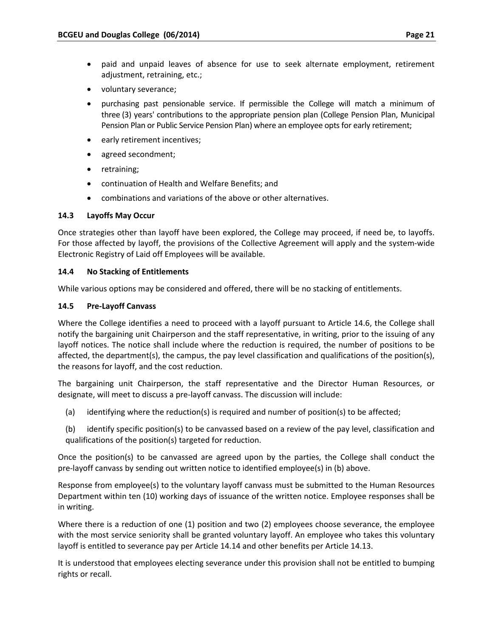- paid and unpaid leaves of absence for use to seek alternate employment, retirement adjustment, retraining, etc.;
- voluntary severance;
- purchasing past pensionable service. If permissible the College will match a minimum of three (3) years' contributions to the appropriate pension plan (College Pension Plan, Municipal Pension Plan or Public Service Pension Plan) where an employee optsfor early retirement;
- early retirement incentives;
- agreed secondment;
- retraining;
- continuation of Health and Welfare Benefits; and
- combinations and variations of the above or other alternatives.

## **14.3 Layoffs May Occur**

Once strategies other than layoff have been explored, the College may proceed, if need be, to layoffs. For those affected by layoff, the provisions of the Collective Agreement will apply and the system‐wide Electronic Registry of Laid off Employees will be available.

## **14.4 No Stacking of Entitlements**

While various options may be considered and offered, there will be no stacking of entitlements.

# **14.5 Pre‐Layoff Canvass**

Where the College identifies a need to proceed with a layoff pursuant to Article 14.6, the College shall notify the bargaining unit Chairperson and the staff representative, in writing, prior to the issuing of any layoff notices. The notice shall include where the reduction is required, the number of positions to be affected, the department(s), the campus, the pay level classification and qualifications of the position(s), the reasons for layoff, and the cost reduction.

The bargaining unit Chairperson, the staff representative and the Director Human Resources, or designate, will meet to discuss a pre‐layoff canvass. The discussion will include:

- (a) identifying where the reduction(s) is required and number of position(s) to be affected;
- (b) identify specific position(s) to be canvassed based on a review of the pay level, classification and qualifications of the position(s) targeted for reduction.

Once the position(s) to be canvassed are agreed upon by the parties, the College shall conduct the pre‐layoff canvass by sending out written notice to identified employee(s) in (b) above.

Response from employee(s) to the voluntary layoff canvass must be submitted to the Human Resources Department within ten (10) working days of issuance of the written notice. Employee responses shall be in writing.

Where there is a reduction of one (1) position and two (2) employees choose severance, the employee with the most service seniority shall be granted voluntary layoff. An employee who takes this voluntary layoff is entitled to severance pay per Article 14.14 and other benefits per Article 14.13.

It is understood that employees electing severance under this provision shall not be entitled to bumping rights or recall.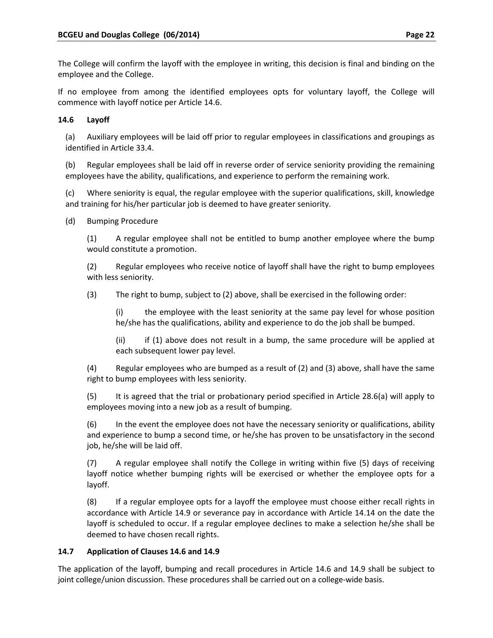The College will confirm the layoff with the employee in writing, this decision is final and binding on the employee and the College.

If no employee from among the identified employees opts for voluntary layoff, the College will commence with layoff notice per Article 14.6.

# **14.6 Layoff**

(a) Auxiliary employees will be laid off prior to regular employees in classifications and groupings as identified in Article 33.4.

(b) Regular employees shall be laid off in reverse order of service seniority providing the remaining employees have the ability, qualifications, and experience to perform the remaining work.

(c) Where seniority is equal, the regular employee with the superior qualifications, skill, knowledge and training for his/her particular job is deemed to have greater seniority.

(d) Bumping Procedure

(1) A regular employee shall not be entitled to bump another employee where the bump would constitute a promotion.

(2) Regular employees who receive notice of layoff shall have the right to bump employees with less seniority.

(3) The right to bump, subject to (2) above, shall be exercised in the following order:

(i) the employee with the least seniority at the same pay level for whose position he/she has the qualifications, ability and experience to do the job shall be bumped.

(ii) if (1) above does not result in a bump, the same procedure will be applied at each subsequent lower pay level.

(4) Regular employees who are bumped as a result of (2) and (3) above, shall have the same right to bump employees with less seniority.

(5) It is agreed that the trial or probationary period specified in Article 28.6(a) will apply to employees moving into a new job as a result of bumping.

(6) In the event the employee does not have the necessary seniority or qualifications, ability and experience to bump a second time, or he/she has proven to be unsatisfactory in the second job, he/she will be laid off.

(7) A regular employee shall notify the College in writing within five (5) days of receiving layoff notice whether bumping rights will be exercised or whether the employee opts for a layoff.

(8) If a regular employee opts for a layoff the employee must choose either recall rights in accordance with Article 14.9 or severance pay in accordance with Article 14.14 on the date the layoff is scheduled to occur. If a regular employee declines to make a selection he/she shall be deemed to have chosen recall rights.

# **14.7 Application of Clauses 14.6 and 14.9**

The application of the layoff, bumping and recall procedures in Article 14.6 and 14.9 shall be subject to joint college/union discussion. These procedures shall be carried out on a college-wide basis.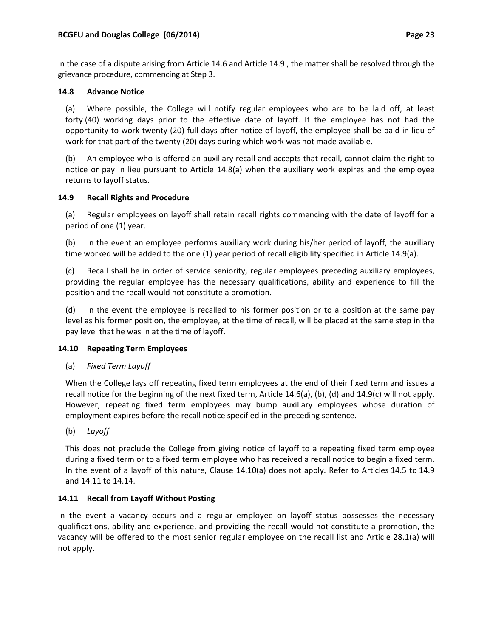In the case of a dispute arising from Article 14.6 and Article 14.9 , the matter shall be resolved through the grievance procedure, commencing at Step 3.

# **14.8 Advance Notice**

(a) Where possible, the College will notify regular employees who are to be laid off, at least forty (40) working days prior to the effective date of layoff. If the employee has not had the opportunity to work twenty (20) full days after notice of layoff, the employee shall be paid in lieu of work for that part of the twenty (20) days during which work was not made available.

(b) An employee who is offered an auxiliary recall and accepts that recall, cannot claim the right to notice or pay in lieu pursuant to Article 14.8(a) when the auxiliary work expires and the employee returns to layoff status.

# **14.9 Recall Rights and Procedure**

(a) Regular employees on layoff shall retain recall rights commencing with the date of layoff for a period of one (1) year.

(b) In the event an employee performs auxiliary work during his/her period of layoff, the auxiliary time worked will be added to the one (1) year period of recall eligibility specified in Article 14.9(a).

(c) Recall shall be in order of service seniority, regular employees preceding auxiliary employees, providing the regular employee has the necessary qualifications, ability and experience to fill the position and the recall would not constitute a promotion.

(d) In the event the employee is recalled to his former position or to a position at the same pay level as his former position, the employee, at the time of recall, will be placed at the same step in the pay level that he was in at the time of layoff.

## **14.10 Repeating Term Employees**

(a) *Fixed Term Layoff*

When the College lays off repeating fixed term employees at the end of their fixed term and issues a recall notice for the beginning of the next fixed term, Article 14.6(a), (b), (d) and 14.9(c) will not apply. However, repeating fixed term employees may bump auxiliary employees whose duration of employment expires before the recall notice specified in the preceding sentence.

(b) *Layoff*

This does not preclude the College from giving notice of layoff to a repeating fixed term employee during a fixed term or to a fixed term employee who has received a recall notice to begin a fixed term. In the event of a layoff of this nature, Clause 14.10(a) does not apply. Refer to Articles 14.5 to 14.9 and 14.11 to 14.14.

## **14.11 Recall from Layoff Without Posting**

In the event a vacancy occurs and a regular employee on layoff status possesses the necessary qualifications, ability and experience, and providing the recall would not constitute a promotion, the vacancy will be offered to the most senior regular employee on the recall list and Article 28.1(a) will not apply.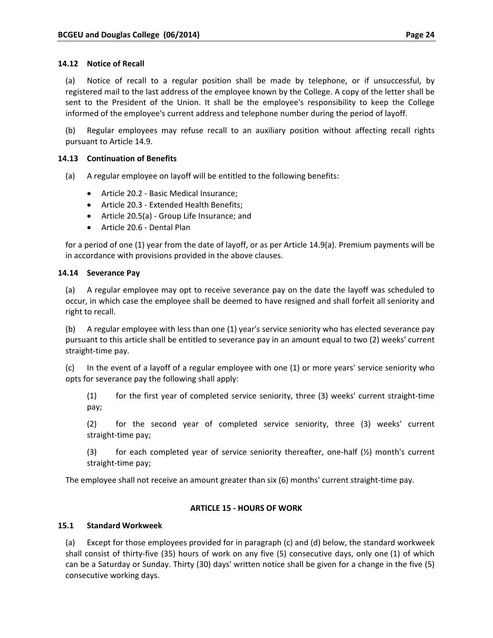(a) Notice of recall to a regular position shall be made by telephone, or if unsuccessful, by registered mail to the last address of the employee known by the College. A copy of the letter shall be sent to the President of the Union. It shall be the employee's responsibility to keep the College informed of the employee's current address and telephone number during the period of layoff.

(b) Regular employees may refuse recall to an auxiliary position without affecting recall rights pursuant to Article 14.9.

## **14.13 Continuation of Benefits**

(a) A regular employee on layoff will be entitled to the following benefits:

- Article 20.2 Basic Medical Insurance:
- Article 20.3 ‐ Extended Health Benefits;
- Article 20.5(a) ‐ Group Life Insurance; and
- Article 20.6 Dental Plan

for a period of one (1) year from the date of layoff, or as per Article 14.9(a). Premium payments will be in accordance with provisions provided in the above clauses.

## **14.14 Severance Pay**

(a) A regular employee may opt to receive severance pay on the date the layoff was scheduled to occur, in which case the employee shall be deemed to have resigned and shall forfeit all seniority and right to recall.

(b) A regular employee with less than one (1) year's service seniority who has elected severance pay pursuant to this article shall be entitled to severance pay in an amount equal to two (2) weeks' current straight‐time pay.

(c) In the event of a layoff of a regular employee with one (1) or more years' service seniority who opts for severance pay the following shall apply:

(1) for the first year of completed service seniority, three (3) weeks' current straight‐time pay;

(2) for the second year of completed service seniority, three (3) weeks' current straight‐time pay;

(3) for each completed year of service seniority thereafter, one-half  $(\frac{1}{2})$  month's current straight‐time pay;

The employee shall not receive an amount greater than six (6) months' current straight‐time pay.

## **ARTICLE 15 ‐ HOURS OF WORK**

## **15.1 Standard Workweek**

(a) Except for those employees provided for in paragraph (c) and (d) below, the standard workweek shall consist of thirty-five (35) hours of work on any five (5) consecutive days, only one (1) of which can be a Saturday or Sunday. Thirty (30) days' written notice shall be given for a change in the five (5) consecutive working days.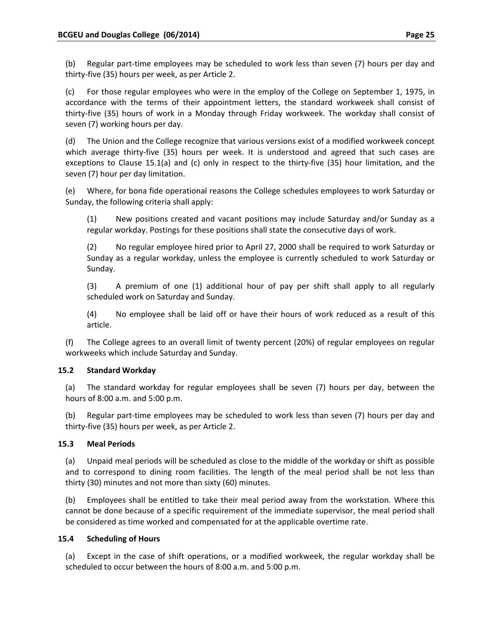(b) Regular part‐time employees may be scheduled to work less than seven (7) hours per day and thirty‐five (35) hours per week, as per Article 2.

(c) For those regular employees who were in the employ of the College on September 1, 1975, in accordance with the terms of their appointment letters, the standard workweek shall consist of thirty‐five (35) hours of work in a Monday through Friday workweek. The workday shall consist of seven (7) working hours per day.

(d) The Union and the College recognize that various versions exist of a modified workweek concept which average thirty-five (35) hours per week. It is understood and agreed that such cases are exceptions to Clause 15.1(a) and (c) only in respect to the thirty-five (35) hour limitation, and the seven (7) hour per day limitation.

(e) Where, for bona fide operational reasons the College schedules employees to work Saturday or Sunday, the following criteria shall apply:

(1) New positions created and vacant positions may include Saturday and/or Sunday as a regular workday. Postings for these positions shall state the consecutive days of work.

(2) No regular employee hired prior to April 27, 2000 shall be required to work Saturday or Sunday as a regular workday, unless the employee is currently scheduled to work Saturday or Sunday.

(3) A premium of one (1) additional hour of pay per shift shall apply to all regularly scheduled work on Saturday and Sunday.

(4) No employee shall be laid off or have their hours of work reduced as a result of this article.

(f) The College agrees to an overall limit of twenty percent (20%) of regular employees on regular workweeks which include Saturday and Sunday.

# **15.2 Standard Workday**

(a) The standard workday for regular employees shall be seven (7) hours per day, between the hours of 8:00 a.m. and 5:00 p.m.

(b) Regular part‐time employees may be scheduled to work less than seven (7) hours per day and thirty‐five (35) hours per week, as per Article 2.

## **15.3 Meal Periods**

(a) Unpaid meal periods will be scheduled as close to the middle of the workday or shift as possible and to correspond to dining room facilities. The length of the meal period shall be not less than thirty (30) minutes and not more than sixty (60) minutes.

(b) Employees shall be entitled to take their meal period away from the workstation. Where this cannot be done because of a specific requirement of the immediate supervisor, the meal period shall be considered as time worked and compensated for at the applicable overtime rate.

## **15.4 Scheduling of Hours**

(a) Except in the case of shift operations, or a modified workweek, the regular workday shall be scheduled to occur between the hours of 8:00 a.m. and 5:00 p.m.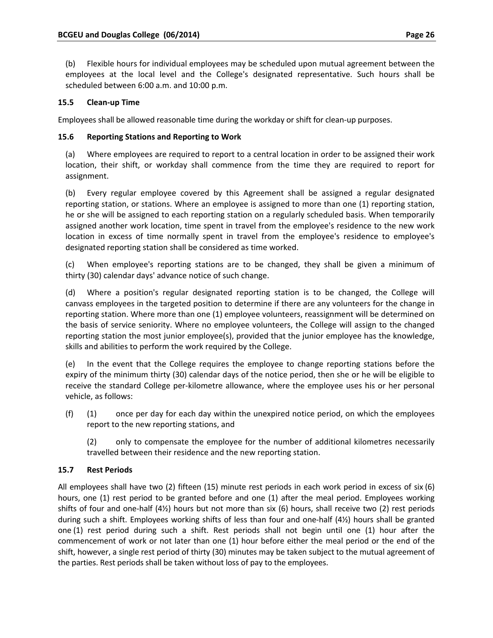(b) Flexible hours for individual employees may be scheduled upon mutual agreement between the employees at the local level and the College's designated representative. Such hours shall be scheduled between 6:00 a.m. and 10:00 p.m.

# **15.5 Clean‐up Time**

Employees shall be allowed reasonable time during the workday or shift for clean-up purposes.

## **15.6 Reporting Stations and Reporting to Work**

(a) Where employees are required to report to a central location in order to be assigned their work location, their shift, or workday shall commence from the time they are required to report for assignment.

(b) Every regular employee covered by this Agreement shall be assigned a regular designated reporting station, or stations. Where an employee is assigned to more than one (1) reporting station, he or she will be assigned to each reporting station on a regularly scheduled basis. When temporarily assigned another work location, time spent in travel from the employee's residence to the new work location in excess of time normally spent in travel from the employee's residence to employee's designated reporting station shall be considered as time worked.

(c) When employee's reporting stations are to be changed, they shall be given a minimum of thirty (30) calendar days' advance notice of such change.

(d) Where a position's regular designated reporting station is to be changed, the College will canvass employees in the targeted position to determine if there are any volunteers for the change in reporting station. Where more than one (1) employee volunteers, reassignment will be determined on the basis of service seniority. Where no employee volunteers, the College will assign to the changed reporting station the most junior employee(s), provided that the junior employee has the knowledge, skills and abilities to perform the work required by the College.

(e) In the event that the College requires the employee to change reporting stations before the expiry of the minimum thirty (30) calendar days of the notice period, then she or he will be eligible to receive the standard College per‐kilometre allowance, where the employee uses his or her personal vehicle, as follows:

- (f) (1) once per day for each day within the unexpired notice period, on which the employees report to the new reporting stations, and
	- (2) only to compensate the employee for the number of additional kilometres necessarily travelled between their residence and the new reporting station.

# **15.7 Rest Periods**

All employees shall have two (2) fifteen (15) minute rest periods in each work period in excess of six (6) hours, one (1) rest period to be granted before and one (1) after the meal period. Employees working shifts of four and one-half  $(4/2)$  hours but not more than six (6) hours, shall receive two (2) rest periods during such a shift. Employees working shifts of less than four and one‐half (4½) hours shall be granted one (1) rest period during such a shift. Rest periods shall not begin until one (1) hour after the commencement of work or not later than one (1) hour before either the meal period or the end of the shift, however, a single rest period of thirty (30) minutes may be taken subject to the mutual agreement of the parties. Rest periods shall be taken without loss of pay to the employees.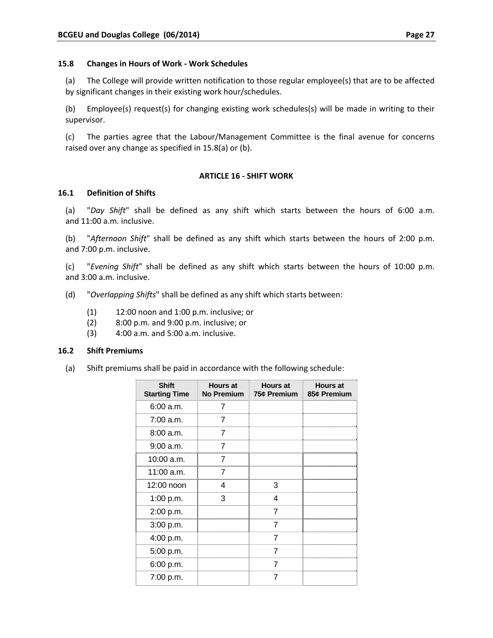(a) The College will provide written notification to those regular employee(s) that are to be affected by significant changes in their existing work hour/schedules.

(b) Employee(s) request(s) for changing existing work schedules(s) will be made in writing to their supervisor.

(c) The parties agree that the Labour/Management Committee is the final avenue for concerns raised over any change as specified in 15.8(a) or (b).

#### **ARTICLE 16 ‐ SHIFT WORK**

#### **16.1 Definition of Shifts**

(a) "*Day Shift*" shall be defined as any shift which starts between the hours of 6:00 a.m. and 11:00 a.m. inclusive.

(b) "*Afternoon Shift*" shall be defined as any shift which starts between the hours of 2:00 p.m. and 7:00 p.m. inclusive.

(c) "*Evening Shift*" shall be defined as any shift which starts between the hours of 10:00 p.m. and 3:00 a.m. inclusive.

- (d) "*Overlapping Shifts*" shall be defined as any shift which starts between:
	- (1) 12:00 noon and 1:00 p.m. inclusive; or
	- (2) 8:00 p.m. and 9:00 p.m. inclusive; or
	- (3) 4:00 a.m. and 5:00 a.m. inclusive.

#### **16.2 Shift Premiums**

(a) Shift premiums shall be paid in accordance with the following schedule:

| <b>Shift</b><br><b>Starting Time</b> | <b>Hours at</b><br><b>No Premium</b> | <b>Hours at</b><br>75¢ Premium | <b>Hours at</b><br>85¢ Premium |
|--------------------------------------|--------------------------------------|--------------------------------|--------------------------------|
| 6:00 a.m.                            |                                      |                                |                                |
| $7:00$ a.m.                          | 7                                    |                                |                                |
| 8:00a.m.                             | 7                                    |                                |                                |
| 9:00 a.m.                            | 7                                    |                                |                                |
| $10:00$ a.m.                         |                                      |                                |                                |
| $11:00$ a.m.                         |                                      |                                |                                |
| 12:00 noon                           | 4                                    | 3                              |                                |
| 1:00 p.m.                            | 3                                    | 4                              |                                |
| 2:00 p.m.                            |                                      | 7                              |                                |
| 3:00 p.m.                            |                                      | 7                              |                                |
| 4:00 p.m.                            |                                      | 7                              |                                |
| 5:00 p.m.                            |                                      | 7                              |                                |
| 6:00 p.m.                            |                                      | 7                              |                                |
| 7:00 p.m.                            |                                      |                                |                                |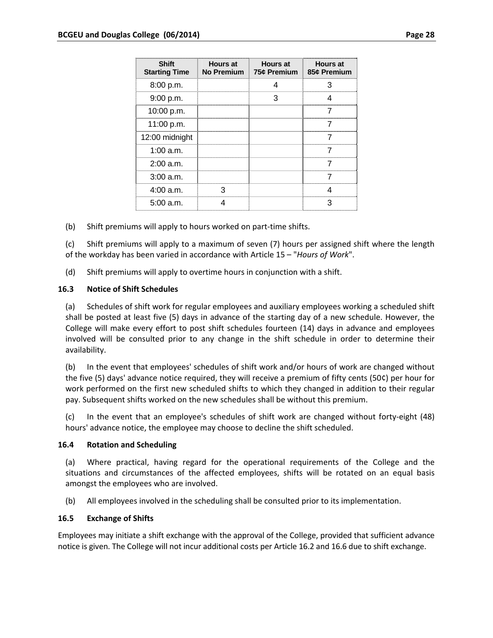| <b>Shift</b><br><b>Starting Time</b> | <b>Hours at</b><br>No Premium | <b>Hours at</b><br>75¢ Premium   85¢ Premium | <b>Hours at</b> |
|--------------------------------------|-------------------------------|----------------------------------------------|-----------------|
| 8:00 p.m.                            |                               |                                              |                 |
| 9:00 p.m.                            |                               |                                              |                 |
| 10:00 p.m.                           |                               |                                              |                 |
| 11:00 p.m.                           |                               |                                              |                 |
| 12:00 midnight                       |                               |                                              |                 |
| 1:00 a.m.                            |                               |                                              |                 |
| 2:00 a.m.                            |                               |                                              |                 |
| $3:00$ a.m.                          |                               |                                              |                 |
| 4:00 a.m.                            |                               |                                              |                 |
| 5:00 a.m.                            |                               |                                              |                 |

(b) Shift premiums will apply to hours worked on part‐time shifts.

(c) Shift premiums will apply to a maximum of seven (7) hours per assigned shift where the length of the workday has been varied in accordance with Article 15 – "*Hours of Work*".

(d) Shift premiums will apply to overtime hours in conjunction with a shift.

#### **16.3 Notice of Shift Schedules**

(a) Schedules of shift work for regular employees and auxiliary employees working a scheduled shift shall be posted at least five (5) days in advance of the starting day of a new schedule. However, the College will make every effort to post shift schedules fourteen (14) days in advance and employees involved will be consulted prior to any change in the shift schedule in order to determine their availability.

(b) In the event that employees' schedules of shift work and/or hours of work are changed without the five (5) days' advance notice required, they will receive a premium of fifty cents (50¢) per hour for work performed on the first new scheduled shifts to which they changed in addition to their regular pay. Subsequent shifts worked on the new schedules shall be without this premium.

(c) In the event that an employee's schedules of shift work are changed without forty‐eight (48) hours' advance notice, the employee may choose to decline the shift scheduled.

#### **16.4 Rotation and Scheduling**

(a) Where practical, having regard for the operational requirements of the College and the situations and circumstances of the affected employees, shifts will be rotated on an equal basis amongst the employees who are involved.

(b) All employees involved in the scheduling shall be consulted prior to its implementation.

#### **16.5 Exchange of Shifts**

Employees may initiate a shift exchange with the approval of the College, provided that sufficient advance notice is given. The College will not incur additional costs per Article 16.2 and 16.6 due to shift exchange.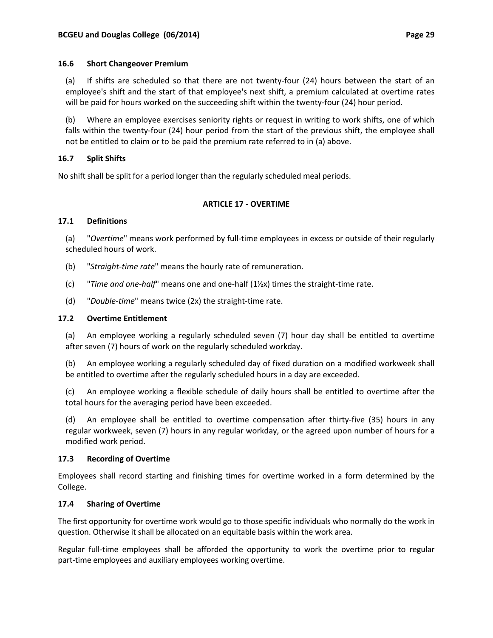#### **16.6 Short Changeover Premium**

(a) If shifts are scheduled so that there are not twenty‐four (24) hours between the start of an employee's shift and the start of that employee's next shift, a premium calculated at overtime rates will be paid for hours worked on the succeeding shift within the twenty-four (24) hour period.

(b) Where an employee exercises seniority rights or request in writing to work shifts, one of which falls within the twenty-four (24) hour period from the start of the previous shift, the employee shall not be entitled to claim or to be paid the premium rate referred to in (a) above.

## **16.7 Split Shifts**

No shift shall be split for a period longer than the regularly scheduled meal periods.

#### **ARTICLE 17 ‐ OVERTIME**

#### **17.1 Definitions**

(a) "*Overtime*" means work performed by full‐time employees in excess or outside of their regularly scheduled hours of work.

- (b) "*Straight‐time rate*" means the hourly rate of remuneration.
- (c) "*Time and one‐half*" means one and one‐half (1½x) times the straight‐time rate.
- (d) "*Double‐time*" means twice (2x) the straight‐time rate.

#### **17.2 Overtime Entitlement**

(a) An employee working a regularly scheduled seven (7) hour day shall be entitled to overtime after seven (7) hours of work on the regularly scheduled workday.

(b) An employee working a regularly scheduled day of fixed duration on a modified workweek shall be entitled to overtime after the regularly scheduled hours in a day are exceeded.

(c) An employee working a flexible schedule of daily hours shall be entitled to overtime after the total hours for the averaging period have been exceeded.

(d) An employee shall be entitled to overtime compensation after thirty‐five (35) hours in any regular workweek, seven (7) hours in any regular workday, or the agreed upon number of hours for a modified work period.

#### **17.3 Recording of Overtime**

Employees shall record starting and finishing times for overtime worked in a form determined by the College.

#### **17.4 Sharing of Overtime**

The first opportunity for overtime work would go to those specific individuals who normally do the work in question. Otherwise it shall be allocated on an equitable basis within the work area.

Regular full-time employees shall be afforded the opportunity to work the overtime prior to regular part-time employees and auxiliary employees working overtime.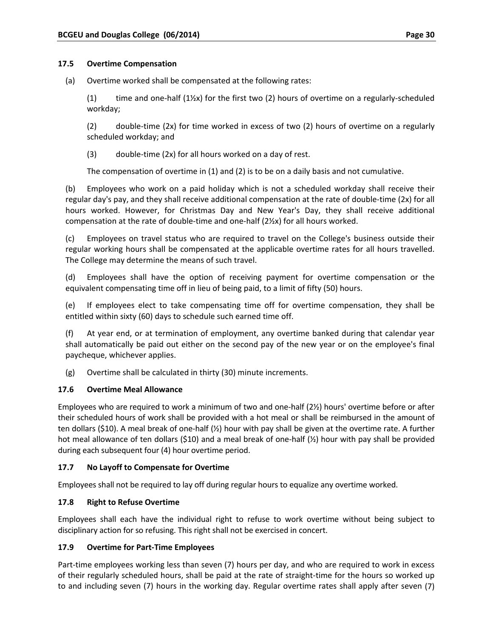## **17.5 Overtime Compensation**

(a) Overtime worked shall be compensated at the following rates:

(1) time and one-half  $(1)/x$ ) for the first two (2) hours of overtime on a regularly-scheduled workday;

(2) double‐time (2x) for time worked in excess of two (2) hours of overtime on a regularly scheduled workday; and

 $(3)$  double-time  $(2x)$  for all hours worked on a day of rest.

The compensation of overtime in (1) and (2) is to be on a daily basis and not cumulative.

(b) Employees who work on a paid holiday which is not a scheduled workday shall receive their regular day's pay, and they shall receive additional compensation at the rate of double‐time (2x) for all hours worked. However, for Christmas Day and New Year's Day, they shall receive additional compensation at the rate of double-time and one-half (2½x) for all hours worked.

(c) Employees on travel status who are required to travel on the College's business outside their regular working hours shall be compensated at the applicable overtime rates for all hours travelled. The College may determine the means of such travel.

(d) Employees shall have the option of receiving payment for overtime compensation or the equivalent compensating time off in lieu of being paid, to a limit of fifty (50) hours.

(e) If employees elect to take compensating time off for overtime compensation, they shall be entitled within sixty (60) days to schedule such earned time off.

(f) At year end, or at termination of employment, any overtime banked during that calendar year shall automatically be paid out either on the second pay of the new year or on the employee's final paycheque, whichever applies.

(g) Overtime shall be calculated in thirty (30) minute increments.

## **17.6 Overtime Meal Allowance**

Employees who are required to work a minimum of two and one-half (2½) hours' overtime before or after their scheduled hours of work shall be provided with a hot meal or shall be reimbursed in the amount of ten dollars (\$10). A meal break of one‐half (½) hour with pay shall be given at the overtime rate. A further hot meal allowance of ten dollars (\$10) and a meal break of one-half (½) hour with pay shall be provided during each subsequent four (4) hour overtime period.

## **17.7 No Layoff to Compensate for Overtime**

Employees shall not be required to lay off during regular hours to equalize any overtime worked.

## **17.8 Right to Refuse Overtime**

Employees shall each have the individual right to refuse to work overtime without being subject to disciplinary action for so refusing. This right shall not be exercised in concert.

## **17.9 Overtime for Part‐Time Employees**

Part-time employees working less than seven (7) hours per day, and who are required to work in excess of their regularly scheduled hours, shall be paid at the rate of straight‐time for the hours so worked up to and including seven (7) hours in the working day. Regular overtime rates shall apply after seven (7)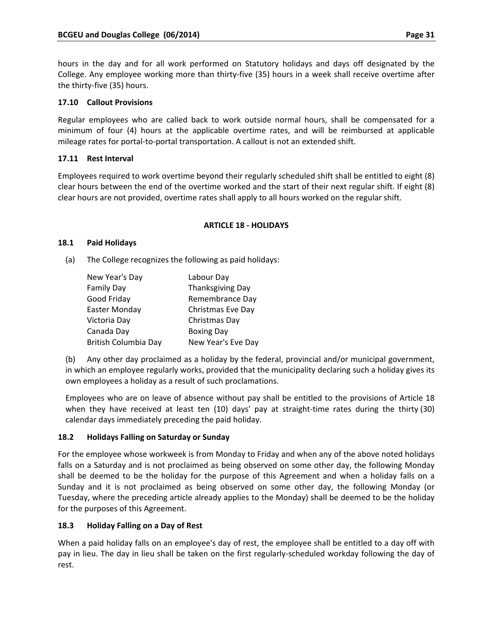hours in the day and for all work performed on Statutory holidays and days off designated by the College. Any employee working more than thirty‐five (35) hours in a week shall receive overtime after the thirty‐five (35) hours.

## **17.10 Callout Provisions**

Regular employees who are called back to work outside normal hours, shall be compensated for a minimum of four (4) hours at the applicable overtime rates, and will be reimbursed at applicable mileage rates for portal‐to‐portal transportation. A callout is not an extended shift.

# **17.11 Rest Interval**

Employees required to work overtime beyond their regularly scheduled shift shall be entitled to eight (8) clear hours between the end of the overtime worked and the start of their next regular shift. If eight (8) clear hours are not provided, overtime rates shall apply to all hours worked on the regular shift.

## **ARTICLE 18 ‐ HOLIDAYS**

## **18.1 Paid Holidays**

(a) The College recognizes the following as paid holidays:

| New Year's Day       | Labour Day              |  |
|----------------------|-------------------------|--|
| <b>Family Day</b>    | <b>Thanksgiving Day</b> |  |
| Good Friday          | Remembrance Day         |  |
| Easter Monday        | Christmas Eve Day       |  |
| Victoria Day         | Christmas Day           |  |
| Canada Day           | <b>Boxing Day</b>       |  |
| British Columbia Day | New Year's Eve Day      |  |

(b) Any other day proclaimed as a holiday by the federal, provincial and/or municipal government, in which an employee regularly works, provided that the municipality declaring such a holiday gives its own employees a holiday as a result of such proclamations.

Employees who are on leave of absence without pay shall be entitled to the provisions of Article 18 when they have received at least ten (10) days' pay at straight-time rates during the thirty (30) calendar days immediately preceding the paid holiday.

# **18.2 Holidays Falling on Saturday or Sunday**

For the employee whose workweek is from Monday to Friday and when any of the above noted holidays falls on a Saturday and is not proclaimed as being observed on some other day, the following Monday shall be deemed to be the holiday for the purpose of this Agreement and when a holiday falls on a Sunday and it is not proclaimed as being observed on some other day, the following Monday (or Tuesday, where the preceding article already applies to the Monday) shall be deemed to be the holiday for the purposes of this Agreement.

# **18.3 Holiday Falling on a Day of Rest**

When a paid holiday falls on an employee's day of rest, the employee shall be entitled to a day off with pay in lieu. The day in lieu shall be taken on the first regularly‐scheduled workday following the day of rest.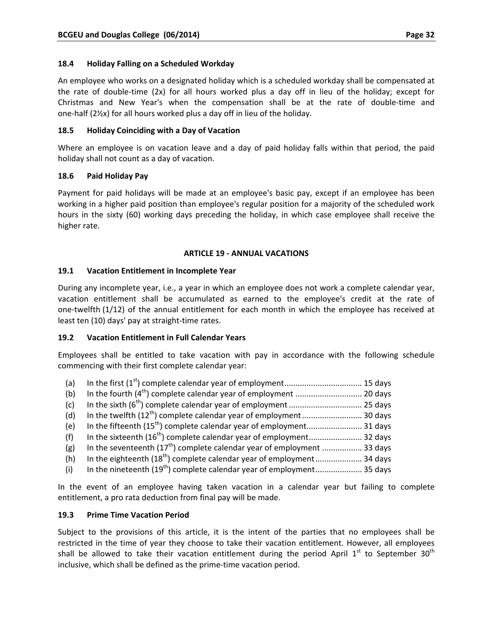## **18.4 Holiday Falling on a Scheduled Workday**

An employee who works on a designated holiday which is a scheduled workday shall be compensated at the rate of double‐time (2x) for all hours worked plus a day off in lieu of the holiday; except for Christmas and New Year's when the compensation shall be at the rate of double‐time and one‐half (2½x) for all hours worked plus a day off in lieu of the holiday.

## **18.5 Holiday Coinciding with a Day of Vacation**

Where an employee is on vacation leave and a day of paid holiday falls within that period, the paid holiday shall not count as a day of vacation.

## **18.6 Paid Holiday Pay**

Payment for paid holidays will be made at an employee's basic pay, except if an employee has been working in a higher paid position than employee's regular position for a majority of the scheduled work hours in the sixty (60) working days preceding the holiday, in which case employee shall receive the higher rate.

#### **ARTICLE 19 ‐ ANNUAL VACATIONS**

#### **19.1 Vacation Entitlement in Incomplete Year**

During any incomplete year, i.e., a year in which an employee does not work a complete calendar year, vacation entitlement shall be accumulated as earned to the employee's credit at the rate of one‐twelfth (1/12) of the annual entitlement for each month in which the employee has received at least ten (10) days' pay at straight‐time rates.

## **19.2 Vacation Entitlement in Full Calendar Years**

Employees shall be entitled to take vacation with pay in accordance with the following schedule commencing with their first complete calendar year:

- (a) In the first (1st) complete calendar year of employment................................... 15 days
- (b) In the fourth (4th) complete calendar year of employment .............................. 20 days
- (c) In the sixth (6th) complete calendar year of employment................................. 25 days
- (d) In the twelfth (12th) complete calendar year of employment........................... 30 days
- (e) In the fifteenth (15th) complete calendar year of employment......................... 31 days
- (f) In the sixteenth (16th) complete calendar year of employment........................ 32 days
- (g) In the seventeenth  $(17<sup>th</sup>)$  complete calendar year of employment ................... 33 days
- (h) In the eighteenth (18th) complete calendar year of employment..................... 34 days
- (i) In the nineteenth (19th) complete calendar year of employment..................... 35 days

In the event of an employee having taken vacation in a calendar year but failing to complete entitlement, a pro rata deduction from final pay will be made.

## **19.3 Prime Time Vacation Period**

Subject to the provisions of this article, it is the intent of the parties that no employees shall be restricted in the time of year they choose to take their vacation entitlement. However, all employees shall be allowed to take their vacation entitlement during the period April  $1^{st}$  to September 30<sup>th</sup> inclusive, which shall be defined as the prime‐time vacation period.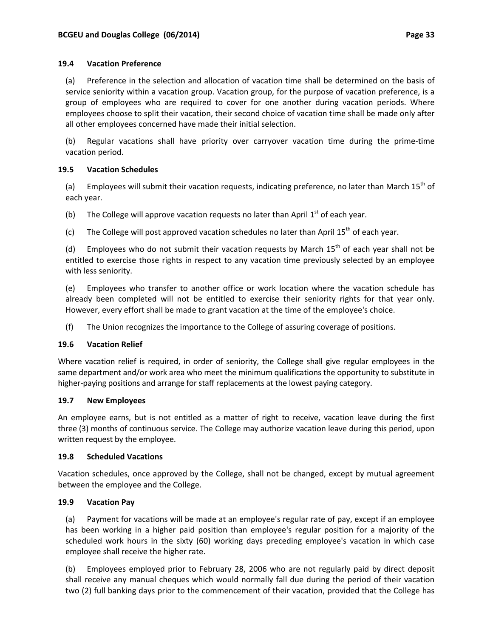#### **19.4 Vacation Preference**

(a) Preference in the selection and allocation of vacation time shall be determined on the basis of service seniority within a vacation group. Vacation group, for the purpose of vacation preference, is a group of employees who are required to cover for one another during vacation periods. Where employees choose to split their vacation, their second choice of vacation time shall be made only after all other employees concerned have made their initial selection.

(b) Regular vacations shall have priority over carryover vacation time during the prime‐time vacation period.

## **19.5 Vacation Schedules**

(a) Employees will submit their vacation requests, indicating preference, no later than March  $15^{th}$  of each year.

(b) The College will approve vacation requests no later than April  $1<sup>st</sup>$  of each year.

(c) The College will post approved vacation schedules no later than April  $15^{th}$  of each year.

(d) Employees who do not submit their vacation requests by March  $15<sup>th</sup>$  of each year shall not be entitled to exercise those rights in respect to any vacation time previously selected by an employee with less seniority.

(e) Employees who transfer to another office or work location where the vacation schedule has already been completed will not be entitled to exercise their seniority rights for that year only. However, every effort shall be made to grant vacation at the time of the employee's choice.

(f) The Union recognizes the importance to the College of assuring coverage of positions.

## **19.6 Vacation Relief**

Where vacation relief is required, in order of seniority, the College shall give regular employees in the same department and/or work area who meet the minimum qualifications the opportunity to substitute in higher-paying positions and arrange for staff replacements at the lowest paying category.

## **19.7 New Employees**

An employee earns, but is not entitled as a matter of right to receive, vacation leave during the first three (3) months of continuous service. The College may authorize vacation leave during this period, upon written request by the employee.

## **19.8 Scheduled Vacations**

Vacation schedules, once approved by the College, shall not be changed, except by mutual agreement between the employee and the College.

## **19.9 Vacation Pay**

(a) Payment for vacations will be made at an employee's regular rate of pay, except if an employee has been working in a higher paid position than employee's regular position for a majority of the scheduled work hours in the sixty (60) working days preceding employee's vacation in which case employee shall receive the higher rate.

(b) Employees employed prior to February 28, 2006 who are not regularly paid by direct deposit shall receive any manual cheques which would normally fall due during the period of their vacation two (2) full banking days prior to the commencement of their vacation, provided that the College has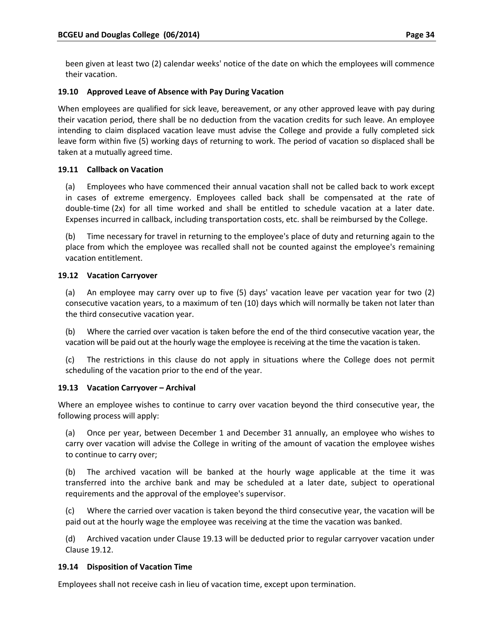been given at least two (2) calendar weeks' notice of the date on which the employees will commence their vacation.

## **19.10 Approved Leave of Absence with Pay During Vacation**

When employees are qualified for sick leave, bereavement, or any other approved leave with pay during their vacation period, there shall be no deduction from the vacation credits for such leave. An employee intending to claim displaced vacation leave must advise the College and provide a fully completed sick leave form within five (5) working days of returning to work. The period of vacation so displaced shall be taken at a mutually agreed time.

## **19.11 Callback on Vacation**

(a) Employees who have commenced their annual vacation shall not be called back to work except in cases of extreme emergency. Employees called back shall be compensated at the rate of double-time (2x) for all time worked and shall be entitled to schedule vacation at a later date. Expenses incurred in callback, including transportation costs, etc. shall be reimbursed by the College.

(b) Time necessary for travel in returning to the employee's place of duty and returning again to the place from which the employee was recalled shall not be counted against the employee's remaining vacation entitlement.

# **19.12 Vacation Carryover**

(a) An employee may carry over up to five (5) days' vacation leave per vacation year for two (2) consecutive vacation years, to a maximum of ten (10) days which will normally be taken not later than the third consecutive vacation year.

(b) Where the carried over vacation is taken before the end of the third consecutive vacation year, the vacation will be paid out at the hourly wage the employee is receiving at the time the vacation is taken.

(c) The restrictions in this clause do not apply in situations where the College does not permit scheduling of the vacation prior to the end of the year.

## **19.13 Vacation Carryover – Archival**

Where an employee wishes to continue to carry over vacation beyond the third consecutive year, the following process will apply:

(a) Once per year, between December 1 and December 31 annually, an employee who wishes to carry over vacation will advise the College in writing of the amount of vacation the employee wishes to continue to carry over;

(b) The archived vacation will be banked at the hourly wage applicable at the time it was transferred into the archive bank and may be scheduled at a later date, subject to operational requirements and the approval of the employee's supervisor.

(c) Where the carried over vacation is taken beyond the third consecutive year, the vacation will be paid out at the hourly wage the employee was receiving at the time the vacation was banked.

(d) Archived vacation under Clause 19.13 will be deducted prior to regular carryover vacation under Clause 19.12.

## **19.14 Disposition of Vacation Time**

Employees shall not receive cash in lieu of vacation time, except upon termination.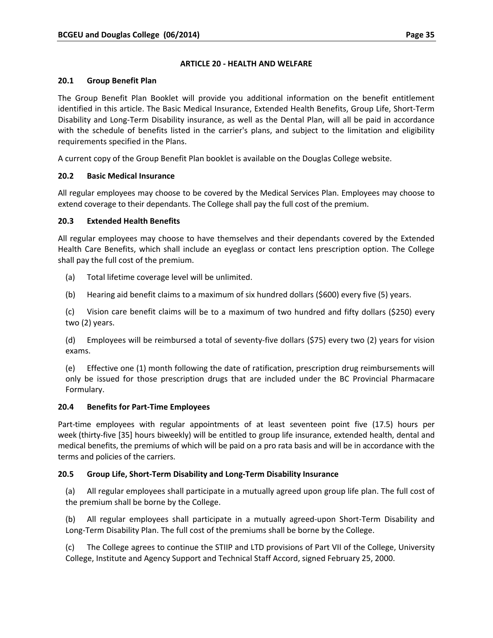## **ARTICLE 20 ‐ HEALTH AND WELFARE**

#### **20.1 Group Benefit Plan**

The Group Benefit Plan Booklet will provide you additional information on the benefit entitlement identified in this article. The Basic Medical Insurance, Extended Health Benefits, Group Life, Short‐Term Disability and Long‐Term Disability insurance, as well as the Dental Plan, will all be paid in accordance with the schedule of benefits listed in the carrier's plans, and subject to the limitation and eligibility requirements specified in the Plans.

A current copy of the Group Benefit Plan booklet is available on the Douglas College website.

## **20.2 Basic Medical Insurance**

All regular employees may choose to be covered by the Medical Services Plan. Employees may choose to extend coverage to their dependants. The College shall pay the full cost of the premium.

# **20.3 Extended Health Benefits**

All regular employees may choose to have themselves and their dependants covered by the Extended Health Care Benefits, which shall include an eyeglass or contact lens prescription option. The College shall pay the full cost of the premium.

- (a) Total lifetime coverage level will be unlimited.
- (b) Hearing aid benefit claims to a maximum of six hundred dollars (\$600) every five (5) years.

(c) Vision care benefit claims will be to a maximum of two hundred and fifty dollars (\$250) every two (2) years.

(d) Employees will be reimbursed a total of seventy‐five dollars (\$75) every two (2) years for vision exams.

(e) Effective one (1) month following the date of ratification, prescription drug reimbursements will only be issued for those prescription drugs that are included under the BC Provincial Pharmacare Formulary.

## **20.4 Benefits for Part‐Time Employees**

Part-time employees with regular appointments of at least seventeen point five (17.5) hours per week (thirty‐five [35] hours biweekly) will be entitled to group life insurance, extended health, dental and medical benefits, the premiums of which will be paid on a pro rata basis and will be in accordance with the terms and policies of the carriers.

# **20.5 Group Life, Short‐Term Disability and Long‐Term Disability Insurance**

(a) All regular employees shall participate in a mutually agreed upon group life plan. The full cost of the premium shall be borne by the College.

(b) All regular employees shall participate in a mutually agreed‐upon Short‐Term Disability and Long‐Term Disability Plan. The full cost of the premiums shall be borne by the College.

(c) The College agrees to continue the STIIP and LTD provisions of Part VII of the College, University College, Institute and Agency Support and Technical Staff Accord, signed February 25, 2000.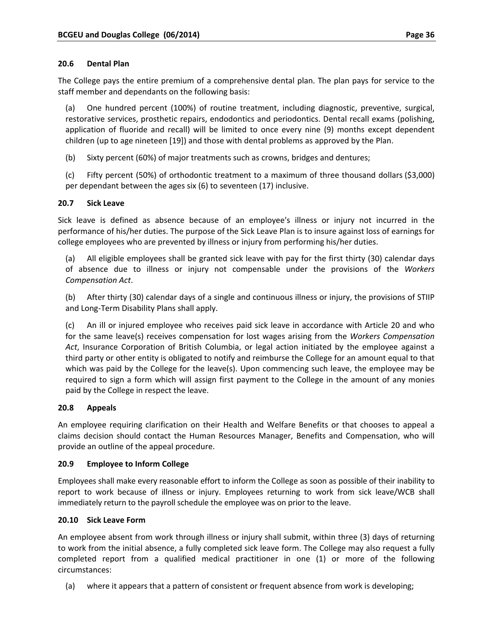#### **20.6 Dental Plan**

The College pays the entire premium of a comprehensive dental plan. The plan pays for service to the staff member and dependants on the following basis:

(a) One hundred percent (100%) of routine treatment, including diagnostic, preventive, surgical, restorative services, prosthetic repairs, endodontics and periodontics. Dental recall exams (polishing, application of fluoride and recall) will be limited to once every nine (9) months except dependent children (up to age nineteen [19]) and those with dental problems as approved by the Plan.

(b) Sixty percent (60%) of major treatments such as crowns, bridges and dentures;

(c) Fifty percent (50%) of orthodontic treatment to a maximum of three thousand dollars (\$3,000) per dependant between the ages six (6) to seventeen (17) inclusive.

#### **20.7 Sick Leave**

Sick leave is defined as absence because of an employee's illness or injury not incurred in the performance of his/her duties. The purpose of the Sick Leave Plan is to insure against loss of earnings for college employees who are prevented by illness or injury from performing his/her duties.

(a) All eligible employees shall be granted sick leave with pay for the first thirty (30) calendar days of absence due to illness or injury not compensable under the provisions of the *Workers Compensation Act*.

(b) After thirty (30) calendar days of a single and continuous illness or injury, the provisions of STIIP and Long‐Term Disability Plans shall apply.

(c) An ill or injured employee who receives paid sick leave in accordance with Article 20 and who for the same leave(s) receives compensation for lost wages arising from the *Workers Compensation Act*, Insurance Corporation of British Columbia, or legal action initiated by the employee against a third party or other entity is obligated to notify and reimburse the College for an amount equal to that which was paid by the College for the leave(s). Upon commencing such leave, the employee may be required to sign a form which will assign first payment to the College in the amount of any monies paid by the College in respect the leave.

## **20.8 Appeals**

An employee requiring clarification on their Health and Welfare Benefits or that chooses to appeal a claims decision should contact the Human Resources Manager, Benefits and Compensation, who will provide an outline of the appeal procedure.

## **20.9 Employee to Inform College**

Employees shall make every reasonable effort to inform the College as soon as possible of their inability to report to work because of illness or injury. Employees returning to work from sick leave/WCB shall immediately return to the payroll schedule the employee was on prior to the leave.

## **20.10 Sick Leave Form**

An employee absent from work through illness or injury shall submit, within three (3) days of returning to work from the initial absence, a fully completed sick leave form. The College may also request a fully completed report from a qualified medical practitioner in one (1) or more of the following circumstances:

(a) where it appears that a pattern of consistent or frequent absence from work is developing;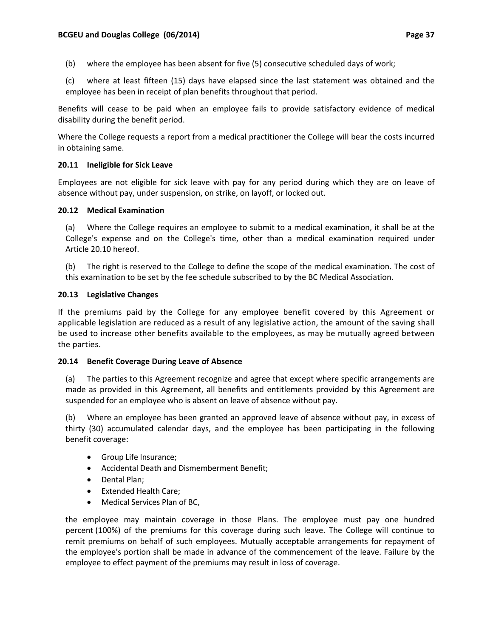(b) where the employee has been absent for five (5) consecutive scheduled days of work;

(c) where at least fifteen (15) days have elapsed since the last statement was obtained and the employee has been in receipt of plan benefits throughout that period.

Benefits will cease to be paid when an employee fails to provide satisfactory evidence of medical disability during the benefit period.

Where the College requests a report from a medical practitioner the College will bear the costs incurred in obtaining same.

#### **20.11 Ineligible for Sick Leave**

Employees are not eligible for sick leave with pay for any period during which they are on leave of absence without pay, under suspension, on strike, on layoff, or locked out.

#### **20.12 Medical Examination**

(a) Where the College requires an employee to submit to a medical examination, it shall be at the College's expense and on the College's time, other than a medical examination required under Article 20.10 hereof.

(b) The right is reserved to the College to define the scope of the medical examination. The cost of this examination to be set by the fee schedule subscribed to by the BC Medical Association.

#### **20.13 Legislative Changes**

If the premiums paid by the College for any employee benefit covered by this Agreement or applicable legislation are reduced as a result of any legislative action, the amount of the saving shall be used to increase other benefits available to the employees, as may be mutually agreed between the parties.

#### **20.14 Benefit Coverage During Leave of Absence**

(a) The parties to this Agreement recognize and agree that except where specific arrangements are made as provided in this Agreement, all benefits and entitlements provided by this Agreement are suspended for an employee who is absent on leave of absence without pay.

(b) Where an employee has been granted an approved leave of absence without pay, in excess of thirty (30) accumulated calendar days, and the employee has been participating in the following benefit coverage:

- Group Life Insurance:
- Accidental Death and Dismemberment Benefit;
- Dental Plan;
- Extended Health Care;
- Medical Services Plan of BC,

the employee may maintain coverage in those Plans. The employee must pay one hundred percent (100%) of the premiums for this coverage during such leave. The College will continue to remit premiums on behalf of such employees. Mutually acceptable arrangements for repayment of the employee's portion shall be made in advance of the commencement of the leave. Failure by the employee to effect payment of the premiums may result in loss of coverage.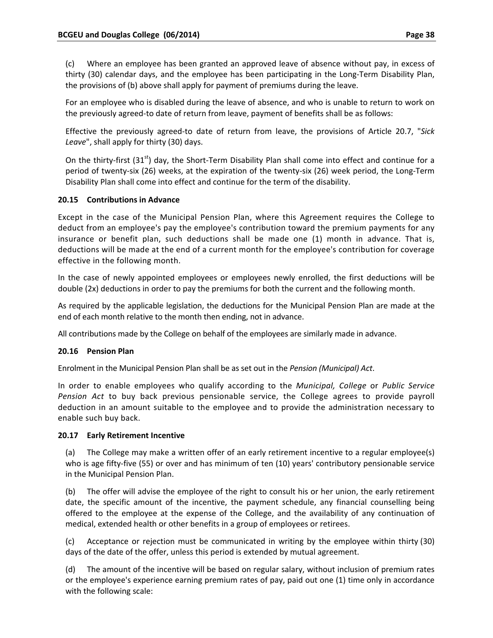(c) Where an employee has been granted an approved leave of absence without pay, in excess of thirty (30) calendar days, and the employee has been participating in the Long‐Term Disability Plan, the provisions of (b) above shall apply for payment of premiums during the leave.

For an employee who is disabled during the leave of absence, and who is unable to return to work on the previously agreed‐to date of return from leave, payment of benefits shall be as follows:

Effective the previously agreed‐to date of return from leave, the provisions of Article 20.7, "*Sick Leave*", shall apply for thirty (30) days.

On the thirty-first (31<sup>st</sup>) day, the Short-Term Disability Plan shall come into effect and continue for a period of twenty‐six (26) weeks, at the expiration of the twenty‐six (26) week period, the Long‐Term Disability Plan shall come into effect and continue for the term of the disability.

# **20.15 Contributions in Advance**

Except in the case of the Municipal Pension Plan, where this Agreement requires the College to deduct from an employee's pay the employee's contribution toward the premium payments for any insurance or benefit plan, such deductions shall be made one (1) month in advance. That is, deductions will be made at the end of a current month for the employee's contribution for coverage effective in the following month.

In the case of newly appointed employees or employees newly enrolled, the first deductions will be double (2x) deductions in order to pay the premiums for both the current and the following month.

As required by the applicable legislation, the deductions for the Municipal Pension Plan are made at the end of each month relative to the month then ending, not in advance.

All contributions made by the College on behalf of the employees are similarly made in advance.

## **20.16 Pension Plan**

Enrolment in the Municipal Pension Plan shall be as set out in the *Pension (Municipal) Act*.

In order to enable employees who qualify according to the *Municipal, College* or *Public Service Pension Act* to buy back previous pensionable service, the College agrees to provide payroll deduction in an amount suitable to the employee and to provide the administration necessary to enable such buy back.

## **20.17 Early Retirement Incentive**

(a) The College may make a written offer of an early retirement incentive to a regular employee(s) who is age fifty-five (55) or over and has minimum of ten (10) years' contributory pensionable service in the Municipal Pension Plan.

(b) The offer will advise the employee of the right to consult his or her union, the early retirement date, the specific amount of the incentive, the payment schedule, any financial counselling being offered to the employee at the expense of the College, and the availability of any continuation of medical, extended health or other benefits in a group of employees or retirees.

(c) Acceptance or rejection must be communicated in writing by the employee within thirty (30) days of the date of the offer, unless this period is extended by mutual agreement.

(d) The amount of the incentive will be based on regular salary, without inclusion of premium rates or the employee's experience earning premium rates of pay, paid out one (1) time only in accordance with the following scale: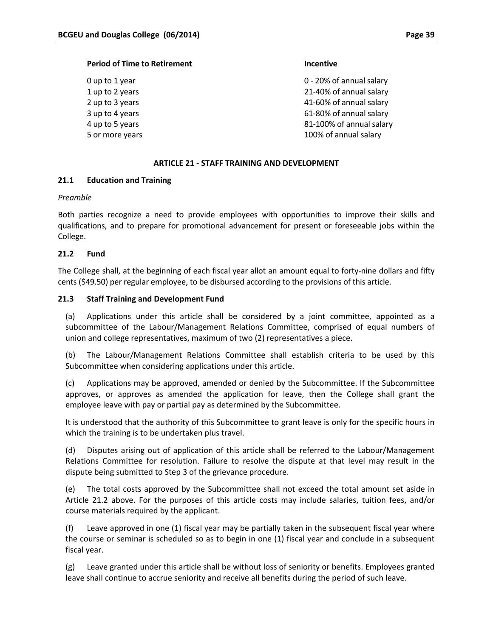#### **Period of Time to Retirement Incentive**

0 up to 1 year 0 – 20% of annual salary 1 up to 2 years 21‐40% of annual salary 2 up to 3 years 41-60% of annual salary 3 up to 4 years 61-80% of annual salary 4 up to 5 years 81-100% of annual salary 5 or more years 100% of annual salary

#### **ARTICLE 21 ‐ STAFF TRAINING AND DEVELOPMENT**

#### **21.1 Education and Training**

*Preamble*

Both parties recognize a need to provide employees with opportunities to improve their skills and qualifications, and to prepare for promotional advancement for present or foreseeable jobs within the College.

#### **21.2 Fund**

The College shall, at the beginning of each fiscal year allot an amount equal to forty-nine dollars and fifty cents (\$49.50) per regular employee, to be disbursed according to the provisions of this article.

#### **21.3 Staff Training and Development Fund**

(a) Applications under this article shall be considered by a joint committee, appointed as a subcommittee of the Labour/Management Relations Committee, comprised of equal numbers of union and college representatives, maximum of two (2) representatives a piece.

(b) The Labour/Management Relations Committee shall establish criteria to be used by this Subcommittee when considering applications under this article.

(c) Applications may be approved, amended or denied by the Subcommittee. If the Subcommittee approves, or approves as amended the application for leave, then the College shall grant the employee leave with pay or partial pay as determined by the Subcommittee.

It is understood that the authority of this Subcommittee to grant leave is only for the specific hours in which the training is to be undertaken plus travel.

(d) Disputes arising out of application of this article shall be referred to the Labour/Management Relations Committee for resolution. Failure to resolve the dispute at that level may result in the dispute being submitted to Step 3 of the grievance procedure.

(e) The total costs approved by the Subcommittee shall not exceed the total amount set aside in Article 21.2 above. For the purposes of this article costs may include salaries, tuition fees, and/or course materials required by the applicant.

(f) Leave approved in one (1) fiscal year may be partially taken in the subsequent fiscal year where the course or seminar is scheduled so as to begin in one (1) fiscal year and conclude in a subsequent fiscal year.

(g) Leave granted under this article shall be without loss of seniority or benefits. Employees granted leave shall continue to accrue seniority and receive all benefits during the period of such leave.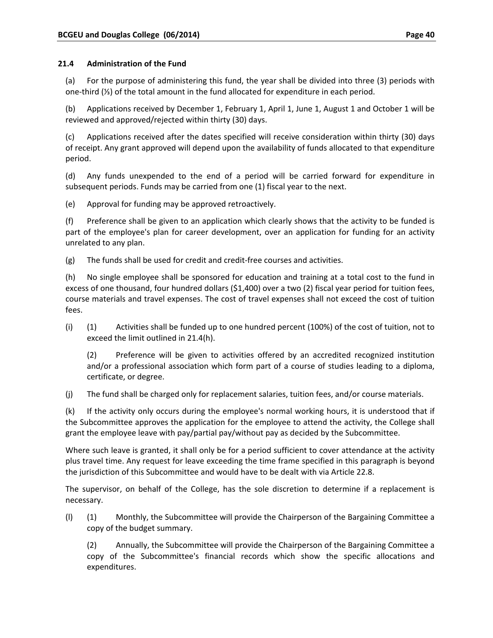(a) For the purpose of administering this fund, the year shall be divided into three (3) periods with one‐third (⅓) of the total amount in the fund allocated for expenditure in each period.

(b) Applications received by December 1, February 1, April 1, June 1, August 1 and October 1 will be reviewed and approved/rejected within thirty (30) days.

(c) Applications received after the dates specified will receive consideration within thirty (30) days of receipt. Any grant approved will depend upon the availability of funds allocated to that expenditure period.

(d) Any funds unexpended to the end of a period will be carried forward for expenditure in subsequent periods. Funds may be carried from one (1) fiscal year to the next.

(e) Approval for funding may be approved retroactively.

(f) Preference shall be given to an application which clearly shows that the activity to be funded is part of the employee's plan for career development, over an application for funding for an activity unrelated to any plan.

(g) The funds shall be used for credit and credit‐free courses and activities.

(h) No single employee shall be sponsored for education and training at a total cost to the fund in excess of one thousand, four hundred dollars (\$1,400) over a two (2) fiscal year period for tuition fees, course materials and travel expenses. The cost of travel expenses shall not exceed the cost of tuition fees.

(i) (1) Activities shall be funded up to one hundred percent (100%) of the cost of tuition, not to exceed the limit outlined in 21.4(h).

(2) Preference will be given to activities offered by an accredited recognized institution and/or a professional association which form part of a course of studies leading to a diploma, certificate, or degree.

(j) The fund shall be charged only for replacement salaries, tuition fees, and/or course materials.

(k) If the activity only occurs during the employee's normal working hours, it is understood that if the Subcommittee approves the application for the employee to attend the activity, the College shall grant the employee leave with pay/partial pay/without pay as decided by the Subcommittee.

Where such leave is granted, it shall only be for a period sufficient to cover attendance at the activity plus travel time. Any request for leave exceeding the time frame specified in this paragraph is beyond the jurisdiction of this Subcommittee and would have to be dealt with via Article 22.8.

The supervisor, on behalf of the College, has the sole discretion to determine if a replacement is necessary.

(l) (1) Monthly, the Subcommittee will provide the Chairperson of the Bargaining Committee a copy of the budget summary.

(2) Annually, the Subcommittee will provide the Chairperson of the Bargaining Committee a copy of the Subcommittee's financial records which show the specific allocations and expenditures.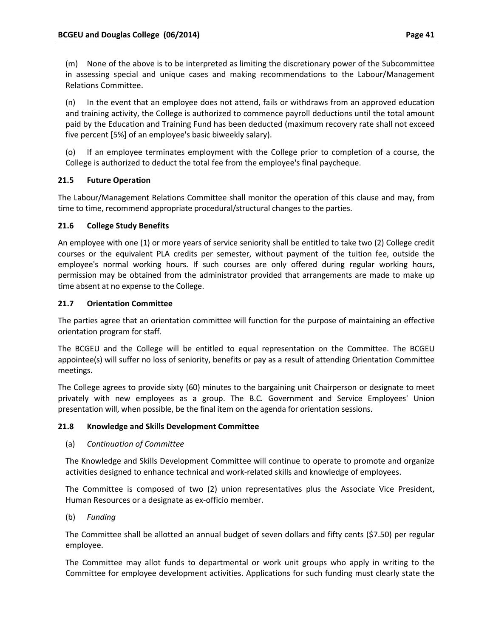(m) None of the above is to be interpreted as limiting the discretionary power of the Subcommittee in assessing special and unique cases and making recommendations to the Labour/Management Relations Committee.

(n) In the event that an employee does not attend, fails or withdraws from an approved education and training activity, the College is authorized to commence payroll deductions until the total amount paid by the Education and Training Fund has been deducted (maximum recovery rate shall not exceed five percent [5%] of an employee's basic biweekly salary).

(o) If an employee terminates employment with the College prior to completion of a course, the College is authorized to deduct the total fee from the employee's final paycheque.

# **21.5 Future Operation**

The Labour/Management Relations Committee shall monitor the operation of this clause and may, from time to time, recommend appropriate procedural/structural changes to the parties.

# **21.6 College Study Benefits**

An employee with one (1) or more years of service seniority shall be entitled to take two (2) College credit courses or the equivalent PLA credits per semester, without payment of the tuition fee, outside the employee's normal working hours. If such courses are only offered during regular working hours, permission may be obtained from the administrator provided that arrangements are made to make up time absent at no expense to the College.

# **21.7 Orientation Committee**

The parties agree that an orientation committee will function for the purpose of maintaining an effective orientation program for staff.

The BCGEU and the College will be entitled to equal representation on the Committee. The BCGEU appointee(s) will suffer no loss of seniority, benefits or pay as a result of attending Orientation Committee meetings.

The College agrees to provide sixty (60) minutes to the bargaining unit Chairperson or designate to meet privately with new employees as a group. The B.C. Government and Service Employees' Union presentation will, when possible, be the final item on the agenda for orientation sessions.

## **21.8 Knowledge and Skills Development Committee**

## (a) *Continuation of Committee*

The Knowledge and Skills Development Committee will continue to operate to promote and organize activities designed to enhance technical and work‐related skills and knowledge of employees.

The Committee is composed of two (2) union representatives plus the Associate Vice President, Human Resources or a designate as ex‐officio member.

(b) *Funding*

The Committee shall be allotted an annual budget of seven dollars and fifty cents (\$7.50) per regular employee.

The Committee may allot funds to departmental or work unit groups who apply in writing to the Committee for employee development activities. Applications for such funding must clearly state the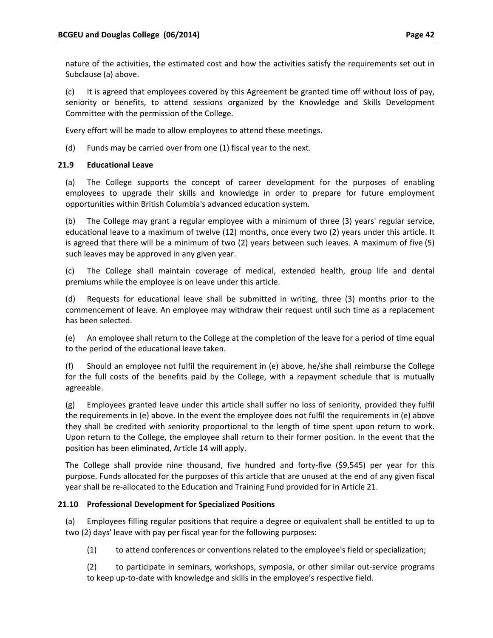nature of the activities, the estimated cost and how the activities satisfy the requirements set out in Subclause (a) above.

(c) It is agreed that employees covered by this Agreement be granted time off without loss of pay, seniority or benefits, to attend sessions organized by the Knowledge and Skills Development Committee with the permission of the College.

Every effort will be made to allow employees to attend these meetings.

(d) Funds may be carried over from one (1) fiscal year to the next.

## **21.9 Educational Leave**

(a) The College supports the concept of career development for the purposes of enabling employees to upgrade their skills and knowledge in order to prepare for future employment opportunities within British Columbia's advanced education system.

(b) The College may grant a regular employee with a minimum of three (3) years' regular service, educational leave to a maximum of twelve (12) months, once every two (2) years under this article. It is agreed that there will be a minimum of two (2) years between such leaves. A maximum of five (5) such leaves may be approved in any given year.

(c) The College shall maintain coverage of medical, extended health, group life and dental premiums while the employee is on leave under this article.

(d) Requests for educational leave shall be submitted in writing, three (3) months prior to the commencement of leave. An employee may withdraw their request until such time as a replacement has been selected.

(e) An employee shall return to the College at the completion of the leave for a period of time equal to the period of the educational leave taken.

(f) Should an employee not fulfil the requirement in (e) above, he/she shall reimburse the College for the full costs of the benefits paid by the College, with a repayment schedule that is mutually agreeable.

(g) Employees granted leave under this article shall suffer no loss of seniority, provided they fulfil the requirements in (e) above. In the event the employee does not fulfil the requirements in (e) above they shall be credited with seniority proportional to the length of time spent upon return to work. Upon return to the College, the employee shall return to their former position. In the event that the position has been eliminated, Article 14 will apply.

The College shall provide nine thousand, five hundred and forty-five (\$9,545) per year for this purpose. Funds allocated for the purposes of this article that are unused at the end of any given fiscal year shall be re‐allocated to the Education and Training Fund provided for in Article 21.

## **21.10 Professional Development for Specialized Positions**

(a) Employees filling regular positions that require a degree or equivalent shall be entitled to up to two (2) days' leave with pay per fiscal year for the following purposes:

(1) to attend conferences or conventions related to the employee's field or specialization;

(2) to participate in seminars, workshops, symposia, or other similar out‐service programs to keep up‐to‐date with knowledge and skills in the employee's respective field.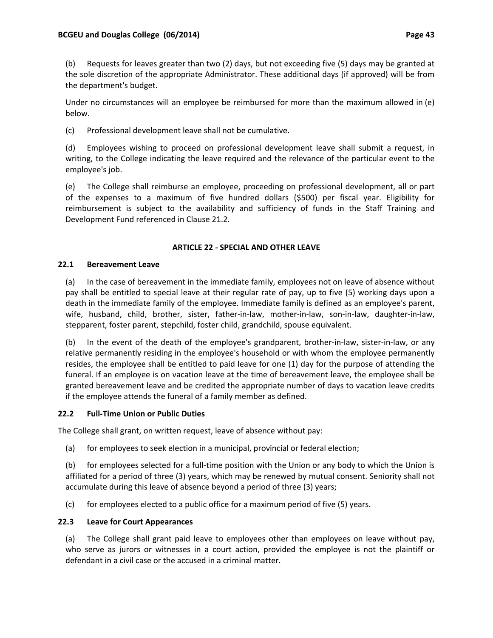(b) Requests for leaves greater than two (2) days, but not exceeding five (5) days may be granted at the sole discretion of the appropriate Administrator. These additional days (if approved) will be from the department's budget.

Under no circumstances will an employee be reimbursed for more than the maximum allowed in (e) below.

(c) Professional development leave shall not be cumulative.

(d) Employees wishing to proceed on professional development leave shall submit a request, in writing, to the College indicating the leave required and the relevance of the particular event to the employee's job.

(e) The College shall reimburse an employee, proceeding on professional development, all or part of the expenses to a maximum of five hundred dollars (\$500) per fiscal year. Eligibility for reimbursement is subject to the availability and sufficiency of funds in the Staff Training and Development Fund referenced in Clause 21.2.

# **ARTICLE 22 ‐ SPECIAL AND OTHER LEAVE**

## **22.1 Bereavement Leave**

(a) In the case of bereavement in the immediate family, employees not on leave of absence without pay shall be entitled to special leave at their regular rate of pay, up to five (5) working days upon a death in the immediate family of the employee. Immediate family is defined as an employee's parent, wife, husband, child, brother, sister, father‐in‐law, mother‐in‐law, son‐in‐law, daughter‐in‐law, stepparent, foster parent, stepchild, foster child, grandchild, spouse equivalent.

(b) In the event of the death of the employee's grandparent, brother‐in‐law, sister‐in‐law, or any relative permanently residing in the employee's household or with whom the employee permanently resides, the employee shall be entitled to paid leave for one (1) day for the purpose of attending the funeral. If an employee is on vacation leave at the time of bereavement leave, the employee shall be granted bereavement leave and be credited the appropriate number of days to vacation leave credits if the employee attends the funeral of a family member as defined.

## **22.2 Full‐Time Union or Public Duties**

The College shall grant, on written request, leave of absence without pay:

(a) for employees to seek election in a municipal, provincial or federal election;

(b) for employees selected for a full‐time position with the Union or any body to which the Union is affiliated for a period of three (3) years, which may be renewed by mutual consent. Seniority shall not accumulate during this leave of absence beyond a period of three (3) years;

(c) for employees elected to a public office for a maximum period of five (5) years.

## **22.3 Leave for Court Appearances**

(a) The College shall grant paid leave to employees other than employees on leave without pay, who serve as jurors or witnesses in a court action, provided the employee is not the plaintiff or defendant in a civil case or the accused in a criminal matter.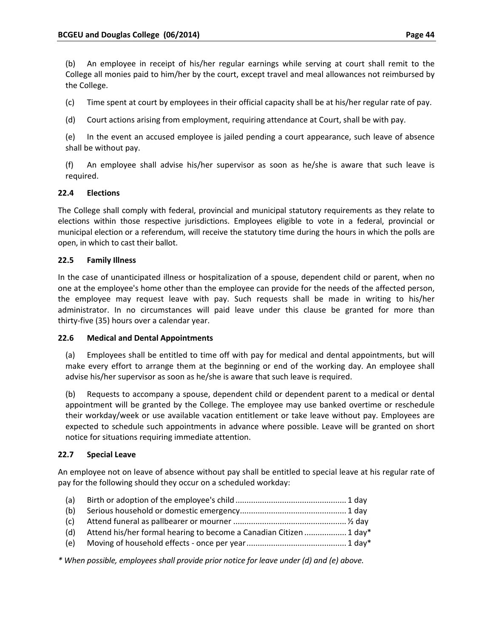(b) An employee in receipt of his/her regular earnings while serving at court shall remit to the College all monies paid to him/her by the court, except travel and meal allowances not reimbursed by the College.

(c) Time spent at court by employees in their official capacity shall be at his/her regular rate of pay.

(d) Court actions arising from employment, requiring attendance at Court, shall be with pay.

(e) In the event an accused employee is jailed pending a court appearance, such leave of absence shall be without pay.

(f) An employee shall advise his/her supervisor as soon as he/she is aware that such leave is required.

# **22.4 Elections**

The College shall comply with federal, provincial and municipal statutory requirements as they relate to elections within those respective jurisdictions. Employees eligible to vote in a federal, provincial or municipal election or a referendum, will receive the statutory time during the hours in which the polls are open, in which to cast their ballot.

## **22.5 Family Illness**

In the case of unanticipated illness or hospitalization of a spouse, dependent child or parent, when no one at the employee's home other than the employee can provide for the needs of the affected person, the employee may request leave with pay. Such requests shall be made in writing to his/her administrator. In no circumstances will paid leave under this clause be granted for more than thirty‐five (35) hours over a calendar year.

## **22.6 Medical and Dental Appointments**

(a) Employees shall be entitled to time off with pay for medical and dental appointments, but will make every effort to arrange them at the beginning or end of the working day. An employee shall advise his/her supervisor as soon as he/she is aware that such leave is required.

(b) Requests to accompany a spouse, dependent child or dependent parent to a medical or dental appointment will be granted by the College. The employee may use banked overtime or reschedule their workday/week or use available vacation entitlement or take leave without pay. Employees are expected to schedule such appointments in advance where possible. Leave will be granted on short notice for situations requiring immediate attention.

## **22.7 Special Leave**

An employee not on leave of absence without pay shall be entitled to special leave at his regular rate of pay for the following should they occur on a scheduled workday:

| (a) |  |
|-----|--|
|     |  |

- (b) Serious household or domestic emergency................................................ 1 day
- (c) Attend funeral as pallbearer or mourner ...................................................½ day (d) Attend his/her formal hearing to become a Canadian Citizen ................... 1 day\*
- (e) Moving of household effects ‐ once per year............................................. 1 day\*

*\* When possible, employees shall provide prior notice for leave under (d) and (e) above.*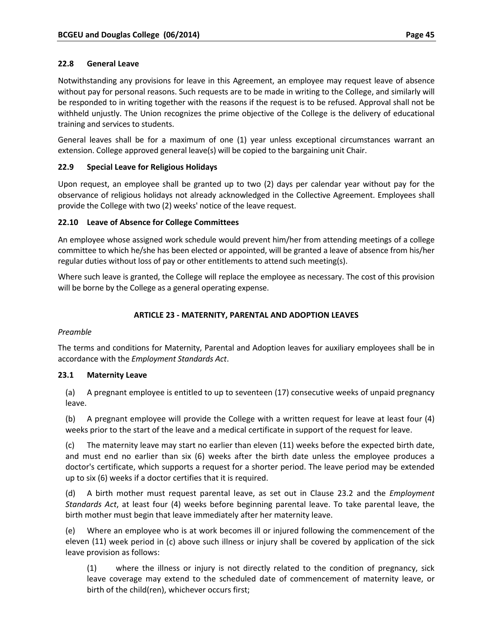Notwithstanding any provisions for leave in this Agreement, an employee may request leave of absence without pay for personal reasons. Such requests are to be made in writing to the College, and similarly will be responded to in writing together with the reasons if the request is to be refused. Approval shall not be withheld unjustly. The Union recognizes the prime objective of the College is the delivery of educational training and services to students.

General leaves shall be for a maximum of one (1) year unless exceptional circumstances warrant an extension. College approved general leave(s) will be copied to the bargaining unit Chair.

# **22.9 Special Leave for Religious Holidays**

Upon request, an employee shall be granted up to two (2) days per calendar year without pay for the observance of religious holidays not already acknowledged in the Collective Agreement. Employees shall provide the College with two (2) weeks' notice of the leave request.

# **22.10 Leave of Absence for College Committees**

An employee whose assigned work schedule would prevent him/her from attending meetings of a college committee to which he/she has been elected or appointed, will be granted a leave of absence from his/her regular duties without loss of pay or other entitlements to attend such meeting(s).

Where such leave is granted, the College will replace the employee as necessary. The cost of this provision will be borne by the College as a general operating expense.

# **ARTICLE 23 ‐ MATERNITY, PARENTAL AND ADOPTION LEAVES**

## *Preamble*

The terms and conditions for Maternity, Parental and Adoption leaves for auxiliary employees shall be in accordance with the *Employment Standards Act*.

## **23.1 Maternity Leave**

(a) A pregnant employee is entitled to up to seventeen (17) consecutive weeks of unpaid pregnancy leave.

(b) A pregnant employee will provide the College with a written request for leave at least four (4) weeks prior to the start of the leave and a medical certificate in support of the request for leave.

(c) The maternity leave may start no earlier than eleven (11) weeks before the expected birth date, and must end no earlier than six (6) weeks after the birth date unless the employee produces a doctor's certificate, which supports a request for a shorter period. The leave period may be extended up to six (6) weeks if a doctor certifies that it is required.

(d) A birth mother must request parental leave, as set out in Clause 23.2 and the *Employment Standards Act*, at least four (4) weeks before beginning parental leave. To take parental leave, the birth mother must begin that leave immediately after her maternity leave.

(e) Where an employee who is at work becomes ill or injured following the commencement of the eleven (11) week period in (c) above such illness or injury shall be covered by application of the sick leave provision as follows:

(1) where the illness or injury is not directly related to the condition of pregnancy, sick leave coverage may extend to the scheduled date of commencement of maternity leave, or birth of the child(ren), whichever occurs first;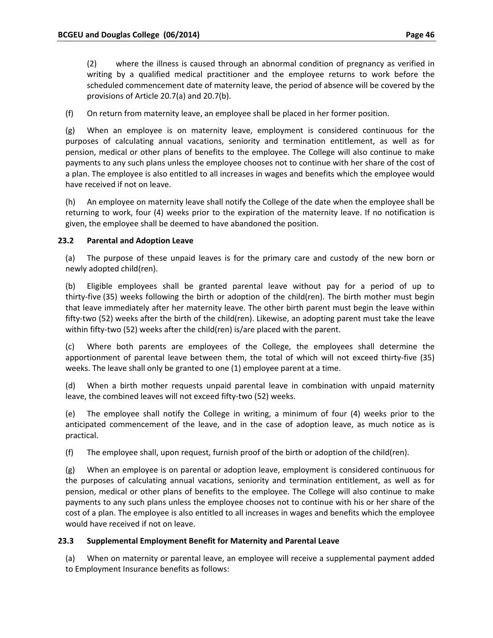(2) where the illness is caused through an abnormal condition of pregnancy as verified in writing by a qualified medical practitioner and the employee returns to work before the scheduled commencement date of maternity leave, the period of absence will be covered by the provisions of Article 20.7(a) and 20.7(b).

(f) On return from maternity leave, an employee shall be placed in her former position.

(g) When an employee is on maternity leave, employment is considered continuous for the purposes of calculating annual vacations, seniority and termination entitlement, as well as for pension, medical or other plans of benefits to the employee. The College will also continue to make payments to any such plans unless the employee chooses not to continue with her share of the cost of a plan. The employee is also entitled to all increases in wages and benefits which the employee would have received if not on leave.

(h) An employee on maternity leave shall notify the College of the date when the employee shall be returning to work, four (4) weeks prior to the expiration of the maternity leave. If no notification is given, the employee shall be deemed to have abandoned the position.

## **23.2 Parental and Adoption Leave**

(a) The purpose of these unpaid leaves is for the primary care and custody of the new born or newly adopted child(ren).

(b) Eligible employees shall be granted parental leave without pay for a period of up to thirty‐five (35) weeks following the birth or adoption of the child(ren). The birth mother must begin that leave immediately after her maternity leave. The other birth parent must begin the leave within fifty‐two (52) weeks after the birth of the child(ren). Likewise, an adopting parent must take the leave within fifty-two (52) weeks after the child(ren) is/are placed with the parent.

(c) Where both parents are employees of the College, the employees shall determine the apportionment of parental leave between them, the total of which will not exceed thirty-five (35) weeks. The leave shall only be granted to one (1) employee parent at a time.

(d) When a birth mother requests unpaid parental leave in combination with unpaid maternity leave, the combined leaves will not exceed fifty‐two (52) weeks.

(e) The employee shall notify the College in writing, a minimum of four (4) weeks prior to the anticipated commencement of the leave, and in the case of adoption leave, as much notice as is practical.

(f) The employee shall, upon request, furnish proof of the birth or adoption of the child(ren).

(g) When an employee is on parental or adoption leave, employment is considered continuous for the purposes of calculating annual vacations, seniority and termination entitlement, as well as for pension, medical or other plans of benefits to the employee. The College will also continue to make payments to any such plans unless the employee chooses not to continue with his or her share of the cost of a plan. The employee is also entitled to all increases in wages and benefits which the employee would have received if not on leave.

## **23.3 Supplemental Employment Benefit for Maternity and Parental Leave**

(a) When on maternity or parental leave, an employee will receive a supplemental payment added to Employment Insurance benefits as follows: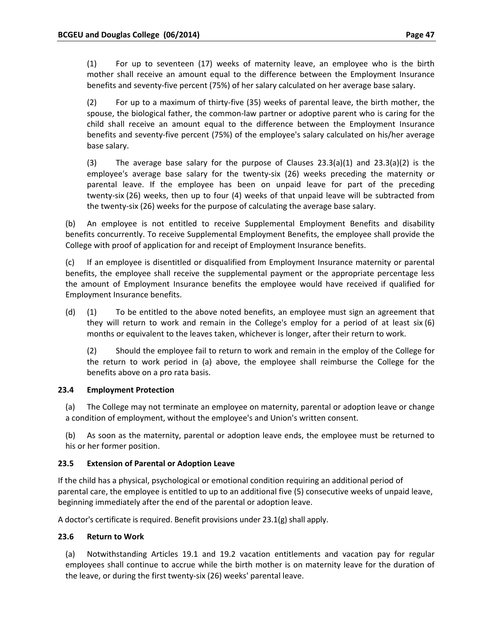(1) For up to seventeen (17) weeks of maternity leave, an employee who is the birth mother shall receive an amount equal to the difference between the Employment Insurance benefits and seventy‐five percent (75%) of her salary calculated on her average base salary.

(2) For up to a maximum of thirty‐five (35) weeks of parental leave, the birth mother, the spouse, the biological father, the common‐law partner or adoptive parent who is caring for the child shall receive an amount equal to the difference between the Employment Insurance benefits and seventy‐five percent (75%) of the employee's salary calculated on his/her average base salary.

(3) The average base salary for the purpose of Clauses  $23.3(a)(1)$  and  $23.3(a)(2)$  is the employee's average base salary for the twenty‐six (26) weeks preceding the maternity or parental leave. If the employee has been on unpaid leave for part of the preceding twenty‐six (26) weeks, then up to four (4) weeks of that unpaid leave will be subtracted from the twenty‐six (26) weeks for the purpose of calculating the average base salary.

(b) An employee is not entitled to receive Supplemental Employment Benefits and disability benefits concurrently. To receive Supplemental Employment Benefits, the employee shall provide the College with proof of application for and receipt of Employment Insurance benefits.

(c) If an employee is disentitled or disqualified from Employment Insurance maternity or parental benefits, the employee shall receive the supplemental payment or the appropriate percentage less the amount of Employment Insurance benefits the employee would have received if qualified for Employment Insurance benefits.

(d) (1) To be entitled to the above noted benefits, an employee must sign an agreement that they will return to work and remain in the College's employ for a period of at least six (6) months or equivalent to the leaves taken, whichever is longer, after their return to work.

(2) Should the employee fail to return to work and remain in the employ of the College for the return to work period in (a) above, the employee shall reimburse the College for the benefits above on a pro rata basis.

## **23.4 Employment Protection**

(a) The College may not terminate an employee on maternity, parental or adoption leave or change a condition of employment, without the employee's and Union's written consent.

(b) As soon as the maternity, parental or adoption leave ends, the employee must be returned to his or her former position.

## **23.5 Extension of Parental or Adoption Leave**

If the child has a physical, psychological or emotional condition requiring an additional period of parental care, the employee is entitled to up to an additional five (5) consecutive weeks of unpaid leave, beginning immediately after the end of the parental or adoption leave.

A doctor's certificate is required. Benefit provisions under 23.1(g) shall apply.

## **23.6 Return to Work**

(a) Notwithstanding Articles 19.1 and 19.2 vacation entitlements and vacation pay for regular employees shall continue to accrue while the birth mother is on maternity leave for the duration of the leave, or during the first twenty‐six (26) weeks' parental leave.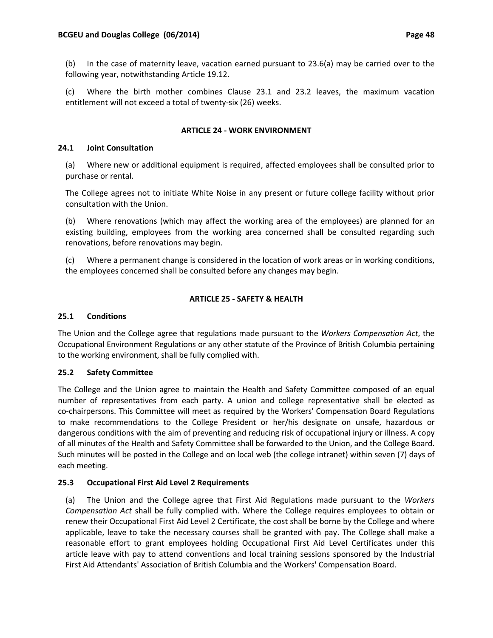(b) In the case of maternity leave, vacation earned pursuant to 23.6(a) may be carried over to the following year, notwithstanding Article 19.12.

(c) Where the birth mother combines Clause 23.1 and 23.2 leaves, the maximum vacation entitlement will not exceed a total of twenty‐six (26) weeks.

# **ARTICLE 24 ‐ WORK ENVIRONMENT**

## **24.1 Joint Consultation**

(a) Where new or additional equipment is required, affected employees shall be consulted prior to purchase or rental.

The College agrees not to initiate White Noise in any present or future college facility without prior consultation with the Union.

(b) Where renovations (which may affect the working area of the employees) are planned for an existing building, employees from the working area concerned shall be consulted regarding such renovations, before renovations may begin.

(c) Where a permanent change is considered in the location of work areas or in working conditions, the employees concerned shall be consulted before any changes may begin.

# **ARTICLE 25 ‐ SAFETY & HEALTH**

#### **25.1 Conditions**

The Union and the College agree that regulations made pursuant to the *Workers Compensation Act*, the Occupational Environment Regulations or any other statute of the Province of British Columbia pertaining to the working environment, shall be fully complied with.

## **25.2 Safety Committee**

The College and the Union agree to maintain the Health and Safety Committee composed of an equal number of representatives from each party. A union and college representative shall be elected as co-chairpersons. This Committee will meet as required by the Workers' Compensation Board Regulations to make recommendations to the College President or her/his designate on unsafe, hazardous or dangerous conditions with the aim of preventing and reducing risk of occupational injury or illness. A copy of all minutes of the Health and Safety Committee shall be forwarded to the Union, and the College Board. Such minutes will be posted in the College and on local web (the college intranet) within seven (7) days of each meeting.

## **25.3 Occupational First Aid Level 2 Requirements**

(a) The Union and the College agree that First Aid Regulations made pursuant to the *Workers Compensation Act* shall be fully complied with. Where the College requires employees to obtain or renew their Occupational First Aid Level 2 Certificate, the cost shall be borne by the College and where applicable, leave to take the necessary courses shall be granted with pay. The College shall make a reasonable effort to grant employees holding Occupational First Aid Level Certificates under this article leave with pay to attend conventions and local training sessions sponsored by the Industrial First Aid Attendants' Association of British Columbia and the Workers' Compensation Board.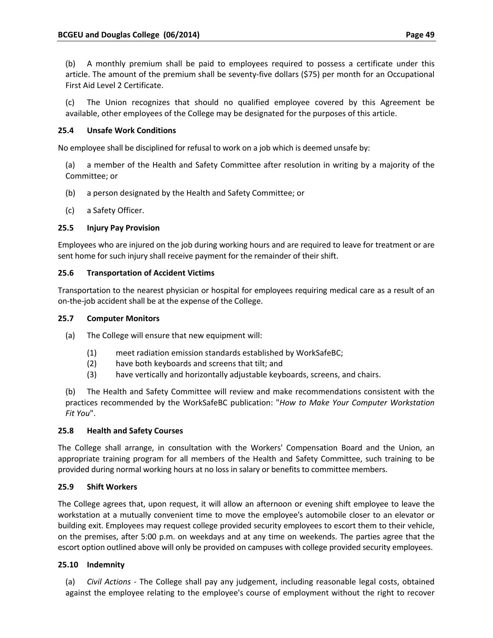(b) A monthly premium shall be paid to employees required to possess a certificate under this article. The amount of the premium shall be seventy‐five dollars (\$75) per month for an Occupational First Aid Level 2 Certificate.

(c) The Union recognizes that should no qualified employee covered by this Agreement be available, other employees of the College may be designated for the purposes of this article.

# **25.4 Unsafe Work Conditions**

No employee shall be disciplined for refusal to work on a job which is deemed unsafe by:

(a) a member of the Health and Safety Committee after resolution in writing by a majority of the Committee; or

- (b) a person designated by the Health and Safety Committee; or
- (c) a Safety Officer.

# **25.5 Injury Pay Provision**

Employees who are injured on the job during working hours and are required to leave for treatment or are sent home for such injury shall receive payment for the remainder of their shift.

## **25.6 Transportation of Accident Victims**

Transportation to the nearest physician or hospital for employees requiring medical care as a result of an on‐the‐job accident shall be at the expense of the College.

#### **25.7 Computer Monitors**

- (a) The College will ensure that new equipment will:
	- (1) meet radiation emission standards established by WorkSafeBC;
	- (2) have both keyboards and screens that tilt; and
	- (3) have vertically and horizontally adjustable keyboards, screens, and chairs.

(b) The Health and Safety Committee will review and make recommendations consistent with the practices recommended by the WorkSafeBC publication: "*How to Make Your Computer Workstation Fit You*".

## **25.8 Health and Safety Courses**

The College shall arrange, in consultation with the Workers' Compensation Board and the Union, an appropriate training program for all members of the Health and Safety Committee, such training to be provided during normal working hours at no loss in salary or benefits to committee members.

## **25.9 Shift Workers**

The College agrees that, upon request, it will allow an afternoon or evening shift employee to leave the workstation at a mutually convenient time to move the employee's automobile closer to an elevator or building exit. Employees may request college provided security employees to escort them to their vehicle, on the premises, after 5:00 p.m. on weekdays and at any time on weekends. The parties agree that the escort option outlined above will only be provided on campuses with college provided security employees.

## **25.10 Indemnity**

(a) *Civil Actions* ‐ The College shall pay any judgement, including reasonable legal costs, obtained against the employee relating to the employee's course of employment without the right to recover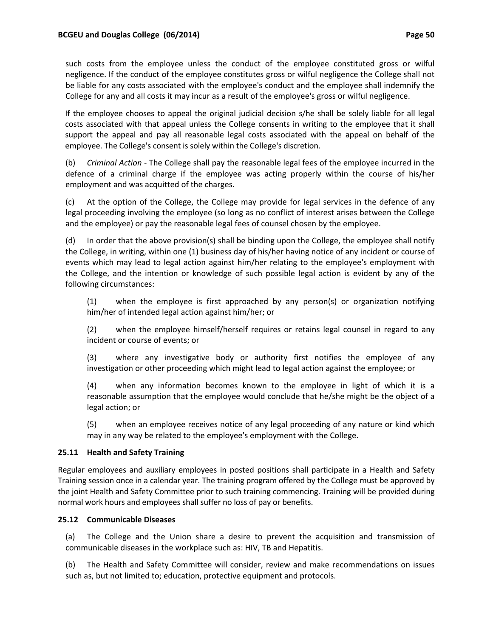such costs from the employee unless the conduct of the employee constituted gross or wilful negligence. If the conduct of the employee constitutes gross or wilful negligence the College shall not be liable for any costs associated with the employee's conduct and the employee shall indemnify the College for any and all costs it may incur as a result of the employee's gross or wilful negligence.

If the employee chooses to appeal the original judicial decision s/he shall be solely liable for all legal costs associated with that appeal unless the College consents in writing to the employee that it shall support the appeal and pay all reasonable legal costs associated with the appeal on behalf of the employee. The College's consent is solely within the College's discretion.

(b) *Criminal Action* ‐ The College shall pay the reasonable legal fees of the employee incurred in the defence of a criminal charge if the employee was acting properly within the course of his/her employment and was acquitted of the charges.

(c) At the option of the College, the College may provide for legal services in the defence of any legal proceeding involving the employee (so long as no conflict of interest arises between the College and the employee) or pay the reasonable legal fees of counsel chosen by the employee.

(d) In order that the above provision(s) shall be binding upon the College, the employee shall notify the College, in writing, within one (1) business day of his/her having notice of any incident or course of events which may lead to legal action against him/her relating to the employee's employment with the College, and the intention or knowledge of such possible legal action is evident by any of the following circumstances:

(1) when the employee is first approached by any person(s) or organization notifying him/her of intended legal action against him/her; or

(2) when the employee himself/herself requires or retains legal counsel in regard to any incident or course of events; or

(3) where any investigative body or authority first notifies the employee of any investigation or other proceeding which might lead to legal action against the employee; or

(4) when any information becomes known to the employee in light of which it is a reasonable assumption that the employee would conclude that he/she might be the object of a legal action; or

(5) when an employee receives notice of any legal proceeding of any nature or kind which may in any way be related to the employee's employment with the College.

## **25.11 Health and Safety Training**

Regular employees and auxiliary employees in posted positions shall participate in a Health and Safety Training session once in a calendar year. The training program offered by the College must be approved by the joint Health and Safety Committee prior to such training commencing. Training will be provided during normal work hours and employees shall suffer no loss of pay or benefits.

## **25.12 Communicable Diseases**

(a) The College and the Union share a desire to prevent the acquisition and transmission of communicable diseases in the workplace such as: HIV, TB and Hepatitis.

(b) The Health and Safety Committee will consider, review and make recommendations on issues such as, but not limited to; education, protective equipment and protocols.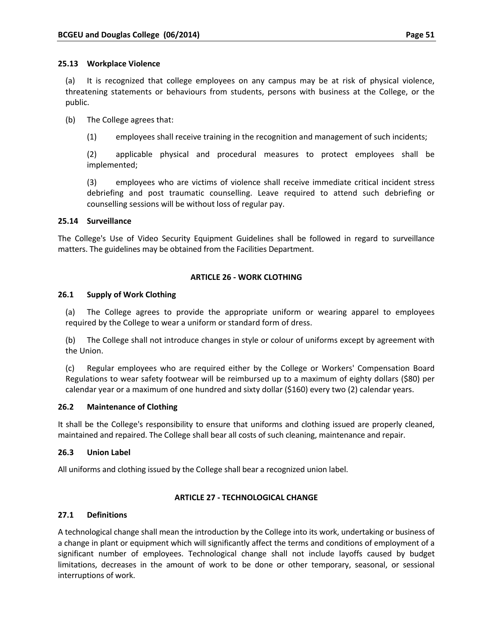(a) It is recognized that college employees on any campus may be at risk of physical violence, threatening statements or behaviours from students, persons with business at the College, or the public.

(b) The College agrees that:

(1) employees shall receive training in the recognition and management of such incidents;

(2) applicable physical and procedural measures to protect employees shall be implemented;

(3) employees who are victims of violence shall receive immediate critical incident stress debriefing and post traumatic counselling. Leave required to attend such debriefing or counselling sessions will be without loss of regular pay.

## **25.14 Surveillance**

The College's Use of Video Security Equipment Guidelines shall be followed in regard to surveillance matters. The guidelines may be obtained from the Facilities Department.

## **ARTICLE 26 ‐ WORK CLOTHING**

#### **26.1 Supply of Work Clothing**

(a) The College agrees to provide the appropriate uniform or wearing apparel to employees required by the College to wear a uniform or standard form of dress.

(b) The College shall not introduce changes in style or colour of uniforms except by agreement with the Union.

(c) Regular employees who are required either by the College or Workers' Compensation Board Regulations to wear safety footwear will be reimbursed up to a maximum of eighty dollars (\$80) per calendar year or a maximum of one hundred and sixty dollar (\$160) every two (2) calendar years.

## **26.2 Maintenance of Clothing**

It shall be the College's responsibility to ensure that uniforms and clothing issued are properly cleaned, maintained and repaired. The College shall bear all costs of such cleaning, maintenance and repair.

## **26.3 Union Label**

All uniforms and clothing issued by the College shall bear a recognized union label.

## **ARTICLE 27 ‐ TECHNOLOGICAL CHANGE**

#### **27.1 Definitions**

A technological change shall mean the introduction by the College into its work, undertaking or business of a change in plant or equipment which will significantly affect the terms and conditions of employment of a significant number of employees. Technological change shall not include layoffs caused by budget limitations, decreases in the amount of work to be done or other temporary, seasonal, or sessional interruptions of work.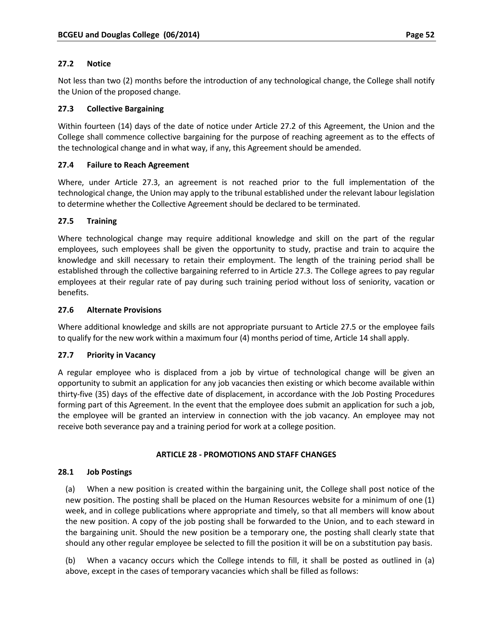## **27.2 Notice**

Not less than two (2) months before the introduction of any technological change, the College shall notify the Union of the proposed change.

## **27.3 Collective Bargaining**

Within fourteen (14) days of the date of notice under Article 27.2 of this Agreement, the Union and the College shall commence collective bargaining for the purpose of reaching agreement as to the effects of the technological change and in what way, if any, this Agreement should be amended.

#### **27.4 Failure to Reach Agreement**

Where, under Article 27.3, an agreement is not reached prior to the full implementation of the technological change, the Union may apply to the tribunal established under the relevant labour legislation to determine whether the Collective Agreement should be declared to be terminated.

#### **27.5 Training**

Where technological change may require additional knowledge and skill on the part of the regular employees, such employees shall be given the opportunity to study, practise and train to acquire the knowledge and skill necessary to retain their employment. The length of the training period shall be established through the collective bargaining referred to in Article 27.3. The College agrees to pay regular employees at their regular rate of pay during such training period without loss of seniority, vacation or benefits.

#### **27.6 Alternate Provisions**

Where additional knowledge and skills are not appropriate pursuant to Article 27.5 or the employee fails to qualify for the new work within a maximum four (4) months period of time, Article 14 shall apply.

#### **27.7 Priority in Vacancy**

A regular employee who is displaced from a job by virtue of technological change will be given an opportunity to submit an application for any job vacancies then existing or which become available within thirty‐five (35) days of the effective date of displacement, in accordance with the Job Posting Procedures forming part of this Agreement. In the event that the employee does submit an application for such a job, the employee will be granted an interview in connection with the job vacancy. An employee may not receive both severance pay and a training period for work at a college position.

#### **ARTICLE 28 ‐ PROMOTIONS AND STAFF CHANGES**

#### **28.1 Job Postings**

(a) When a new position is created within the bargaining unit, the College shall post notice of the new position. The posting shall be placed on the Human Resources website for a minimum of one (1) week, and in college publications where appropriate and timely, so that all members will know about the new position. A copy of the job posting shall be forwarded to the Union, and to each steward in the bargaining unit. Should the new position be a temporary one, the posting shall clearly state that should any other regular employee be selected to fill the position it will be on a substitution pay basis.

(b) When a vacancy occurs which the College intends to fill, it shall be posted as outlined in (a) above, except in the cases of temporary vacancies which shall be filled as follows: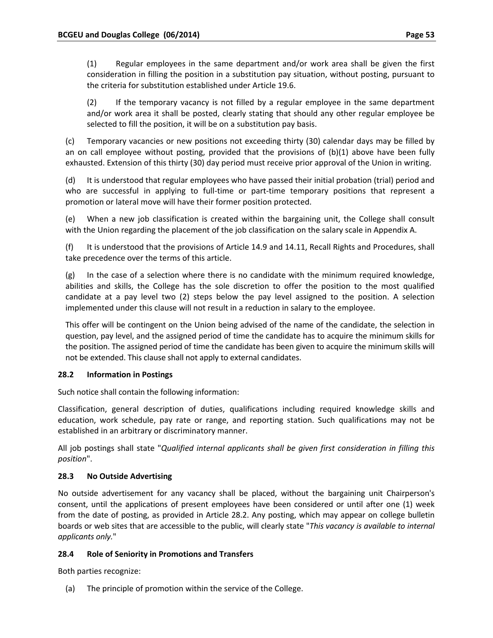(1) Regular employees in the same department and/or work area shall be given the first consideration in filling the position in a substitution pay situation, without posting, pursuant to the criteria for substitution established under Article 19.6.

(2) If the temporary vacancy is not filled by a regular employee in the same department and/or work area it shall be posted, clearly stating that should any other regular employee be selected to fill the position, it will be on a substitution pay basis.

(c) Temporary vacancies or new positions not exceeding thirty (30) calendar days may be filled by an on call employee without posting, provided that the provisions of (b)(1) above have been fully exhausted. Extension of this thirty (30) day period must receive prior approval of the Union in writing.

(d) It is understood that regular employees who have passed their initial probation (trial) period and who are successful in applying to full-time or part-time temporary positions that represent a promotion or lateral move will have their former position protected.

(e) When a new job classification is created within the bargaining unit, the College shall consult with the Union regarding the placement of the job classification on the salary scale in Appendix A.

(f) It is understood that the provisions of Article 14.9 and 14.11, Recall Rights and Procedures, shall take precedence over the terms of this article.

(g) In the case of a selection where there is no candidate with the minimum required knowledge, abilities and skills, the College has the sole discretion to offer the position to the most qualified candidate at a pay level two (2) steps below the pay level assigned to the position. A selection implemented under this clause will not result in a reduction in salary to the employee.

This offer will be contingent on the Union being advised of the name of the candidate, the selection in question, pay level, and the assigned period of time the candidate has to acquire the minimum skills for the position. The assigned period of time the candidate has been given to acquire the minimum skills will not be extended. This clause shall not apply to external candidates.

# **28.2 Information in Postings**

Such notice shall contain the following information:

Classification, general description of duties, qualifications including required knowledge skills and education, work schedule, pay rate or range, and reporting station. Such qualifications may not be established in an arbitrary or discriminatory manner.

All job postings shall state "*Qualified internal applicants shall be given first consideration in filling this position*".

# **28.3 No Outside Advertising**

No outside advertisement for any vacancy shall be placed, without the bargaining unit Chairperson's consent, until the applications of present employees have been considered or until after one (1) week from the date of posting, as provided in Article 28.2. Any posting, which may appear on college bulletin boards or web sites that are accessible to the public, will clearly state "*This vacancy is available to internal applicants only.*"

# **28.4 Role of Seniority in Promotions and Transfers**

Both parties recognize:

(a) The principle of promotion within the service of the College.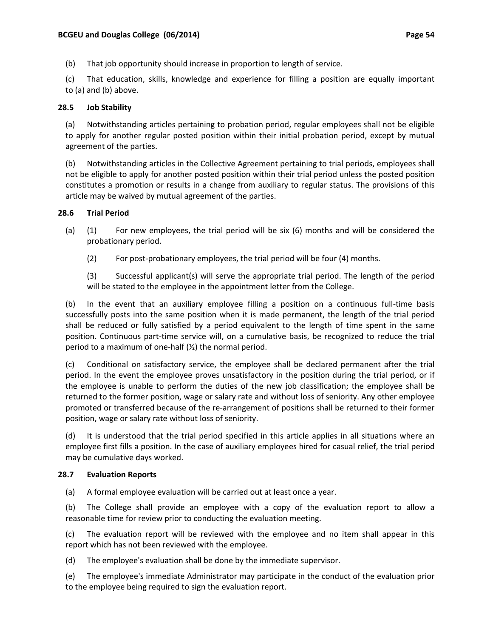(b) That job opportunity should increase in proportion to length of service.

(c) That education, skills, knowledge and experience for filling a position are equally important to (a) and (b) above.

#### **28.5 Job Stability**

(a) Notwithstanding articles pertaining to probation period, regular employees shall not be eligible to apply for another regular posted position within their initial probation period, except by mutual agreement of the parties.

(b) Notwithstanding articles in the Collective Agreement pertaining to trial periods, employees shall not be eligible to apply for another posted position within their trial period unless the posted position constitutes a promotion or results in a change from auxiliary to regular status. The provisions of this article may be waived by mutual agreement of the parties.

#### **28.6 Trial Period**

- (a) (1) For new employees, the trial period will be six (6) months and will be considered the probationary period.
	- (2) For post‐probationary employees, the trial period will be four (4) months.

(3) Successful applicant(s) will serve the appropriate trial period. The length of the period will be stated to the employee in the appointment letter from the College.

(b) In the event that an auxiliary employee filling a position on a continuous full‐time basis successfully posts into the same position when it is made permanent, the length of the trial period shall be reduced or fully satisfied by a period equivalent to the length of time spent in the same position. Continuous part-time service will, on a cumulative basis, be recognized to reduce the trial period to a maximum of one-half  $(\frac{1}{2})$  the normal period.

(c) Conditional on satisfactory service, the employee shall be declared permanent after the trial period. In the event the employee proves unsatisfactory in the position during the trial period, or if the employee is unable to perform the duties of the new job classification; the employee shall be returned to the former position, wage or salary rate and without loss of seniority. Any other employee promoted or transferred because of the re‐arrangement of positions shall be returned to their former position, wage or salary rate without loss of seniority.

(d) It is understood that the trial period specified in this article applies in all situations where an employee first fills a position. In the case of auxiliary employees hired for casual relief, the trial period may be cumulative days worked.

#### **28.7 Evaluation Reports**

(a) A formal employee evaluation will be carried out at least once a year.

(b) The College shall provide an employee with a copy of the evaluation report to allow a reasonable time for review prior to conducting the evaluation meeting.

(c) The evaluation report will be reviewed with the employee and no item shall appear in this report which has not been reviewed with the employee.

(d) The employee's evaluation shall be done by the immediate supervisor.

(e) The employee's immediate Administrator may participate in the conduct of the evaluation prior to the employee being required to sign the evaluation report.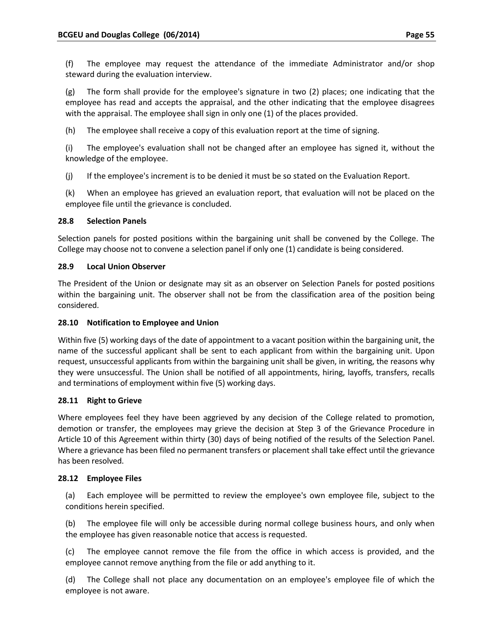(f) The employee may request the attendance of the immediate Administrator and/or shop steward during the evaluation interview.

(g) The form shall provide for the employee's signature in two (2) places; one indicating that the employee has read and accepts the appraisal, and the other indicating that the employee disagrees with the appraisal. The employee shall sign in only one (1) of the places provided.

(h) The employee shall receive a copy of this evaluation report at the time of signing.

(i) The employee's evaluation shall not be changed after an employee has signed it, without the knowledge of the employee.

(j) If the employee's increment is to be denied it must be so stated on the Evaluation Report.

(k) When an employee has grieved an evaluation report, that evaluation will not be placed on the employee file until the grievance is concluded.

## **28.8 Selection Panels**

Selection panels for posted positions within the bargaining unit shall be convened by the College. The College may choose not to convene a selection panel if only one (1) candidate is being considered.

## **28.9 Local Union Observer**

The President of the Union or designate may sit as an observer on Selection Panels for posted positions within the bargaining unit. The observer shall not be from the classification area of the position being considered.

## **28.10 Notification to Employee and Union**

Within five (5) working days of the date of appointment to a vacant position within the bargaining unit, the name of the successful applicant shall be sent to each applicant from within the bargaining unit. Upon request, unsuccessful applicants from within the bargaining unit shall be given, in writing, the reasons why they were unsuccessful. The Union shall be notified of all appointments, hiring, layoffs, transfers, recalls and terminations of employment within five (5) working days.

## **28.11 Right to Grieve**

Where employees feel they have been aggrieved by any decision of the College related to promotion, demotion or transfer, the employees may grieve the decision at Step 3 of the Grievance Procedure in Article 10 of this Agreement within thirty (30) days of being notified of the results of the Selection Panel. Where a grievance has been filed no permanent transfers or placement shall take effect until the grievance has been resolved.

## **28.12 Employee Files**

(a) Each employee will be permitted to review the employee's own employee file, subject to the conditions herein specified.

(b) The employee file will only be accessible during normal college business hours, and only when the employee has given reasonable notice that access is requested.

(c) The employee cannot remove the file from the office in which access is provided, and the employee cannot remove anything from the file or add anything to it.

(d) The College shall not place any documentation on an employee's employee file of which the employee is not aware.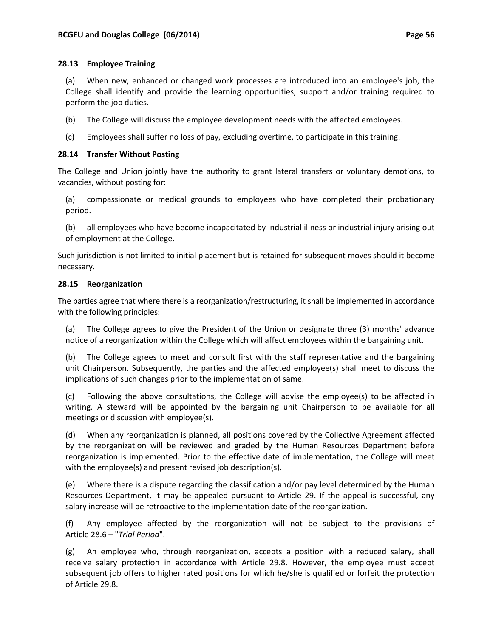## **28.13 Employee Training**

(a) When new, enhanced or changed work processes are introduced into an employee's job, the College shall identify and provide the learning opportunities, support and/or training required to perform the job duties.

- (b) The College will discuss the employee development needs with the affected employees.
- (c) Employees shall suffer no loss of pay, excluding overtime, to participate in this training.

## **28.14 Transfer Without Posting**

The College and Union jointly have the authority to grant lateral transfers or voluntary demotions, to vacancies, without posting for:

- (a) compassionate or medical grounds to employees who have completed their probationary period.
- (b) all employees who have become incapacitated by industrial illness or industrial injury arising out of employment at the College.

Such jurisdiction is not limited to initial placement but is retained for subsequent moves should it become necessary.

## **28.15 Reorganization**

The parties agree that where there is a reorganization/restructuring, it shall be implemented in accordance with the following principles:

(a) The College agrees to give the President of the Union or designate three (3) months' advance notice of a reorganization within the College which will affect employees within the bargaining unit.

(b) The College agrees to meet and consult first with the staff representative and the bargaining unit Chairperson. Subsequently, the parties and the affected employee(s) shall meet to discuss the implications of such changes prior to the implementation of same.

(c) Following the above consultations, the College will advise the employee(s) to be affected in writing. A steward will be appointed by the bargaining unit Chairperson to be available for all meetings or discussion with employee(s).

(d) When any reorganization is planned, all positions covered by the Collective Agreement affected by the reorganization will be reviewed and graded by the Human Resources Department before reorganization is implemented. Prior to the effective date of implementation, the College will meet with the employee(s) and present revised job description(s).

(e) Where there is a dispute regarding the classification and/or pay level determined by the Human Resources Department, it may be appealed pursuant to Article 29. If the appeal is successful, any salary increase will be retroactive to the implementation date of the reorganization.

(f) Any employee affected by the reorganization will not be subject to the provisions of Article 28.6 – "*Trial Period*".

(g) An employee who, through reorganization, accepts a position with a reduced salary, shall receive salary protection in accordance with Article 29.8. However, the employee must accept subsequent job offers to higher rated positions for which he/she is qualified or forfeit the protection of Article 29.8.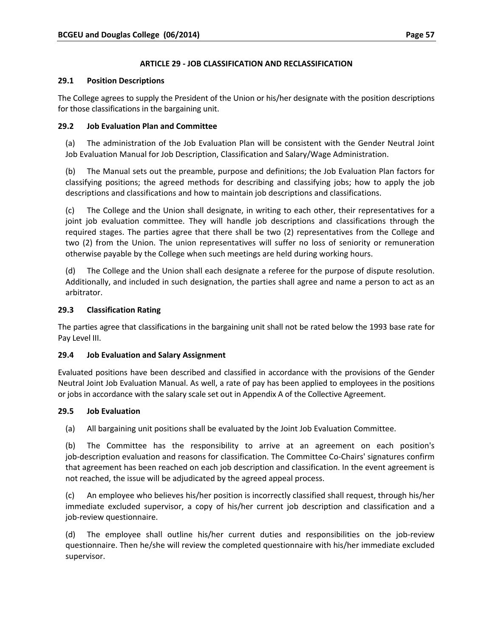# **ARTICLE 29 ‐ JOB CLASSIFICATION AND RECLASSIFICATION**

## **29.1 Position Descriptions**

The College agrees to supply the President of the Union or his/her designate with the position descriptions for those classifications in the bargaining unit.

## **29.2 Job Evaluation Plan and Committee**

(a) The administration of the Job Evaluation Plan will be consistent with the Gender Neutral Joint Job Evaluation Manual for Job Description, Classification and Salary/Wage Administration.

(b) The Manual sets out the preamble, purpose and definitions; the Job Evaluation Plan factors for classifying positions; the agreed methods for describing and classifying jobs; how to apply the job descriptions and classifications and how to maintain job descriptions and classifications.

(c) The College and the Union shall designate, in writing to each other, their representatives for a joint job evaluation committee. They will handle job descriptions and classifications through the required stages. The parties agree that there shall be two (2) representatives from the College and two (2) from the Union. The union representatives will suffer no loss of seniority or remuneration otherwise payable by the College when such meetings are held during working hours.

(d) The College and the Union shall each designate a referee for the purpose of dispute resolution. Additionally, and included in such designation, the parties shall agree and name a person to act as an arbitrator.

## **29.3 Classification Rating**

The parties agree that classifications in the bargaining unit shall not be rated below the 1993 base rate for Pay Level III.

## **29.4 Job Evaluation and Salary Assignment**

Evaluated positions have been described and classified in accordance with the provisions of the Gender Neutral Joint Job Evaluation Manual. As well, a rate of pay has been applied to employees in the positions or jobs in accordance with the salary scale set out in Appendix A of the Collective Agreement.

## **29.5 Job Evaluation**

(a) All bargaining unit positions shall be evaluated by the Joint Job Evaluation Committee.

(b) The Committee has the responsibility to arrive at an agreement on each position's job-description evaluation and reasons for classification. The Committee Co-Chairs' signatures confirm that agreement has been reached on each job description and classification. In the event agreement is not reached, the issue will be adjudicated by the agreed appeal process.

(c) An employee who believes his/her position is incorrectly classified shall request, through his/her immediate excluded supervisor, a copy of his/her current job description and classification and a job-review questionnaire.

(d) The employee shall outline his/her current duties and responsibilities on the job‐review questionnaire. Then he/she will review the completed questionnaire with his/her immediate excluded supervisor.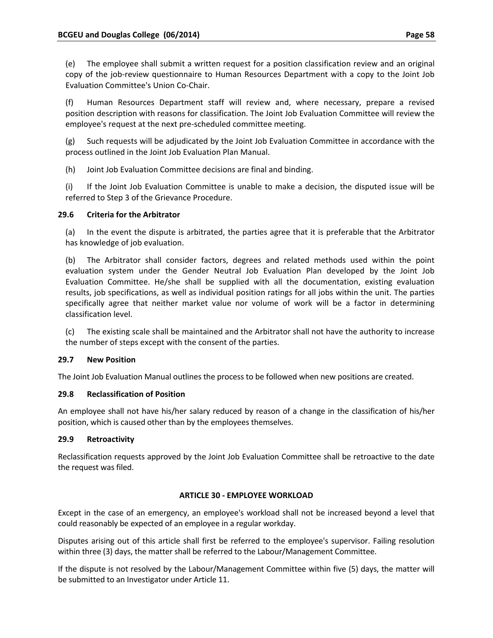(e) The employee shall submit a written request for a position classification review and an original copy of the job-review questionnaire to Human Resources Department with a copy to the Joint Job Evaluation Committee's Union Co‐Chair.

(f) Human Resources Department staff will review and, where necessary, prepare a revised position description with reasons for classification. The Joint Job Evaluation Committee will review the employee's request at the next pre‐scheduled committee meeting.

(g) Such requests will be adjudicated by the Joint Job Evaluation Committee in accordance with the process outlined in the Joint Job Evaluation Plan Manual.

(h) Joint Job Evaluation Committee decisions are final and binding.

(i) If the Joint Job Evaluation Committee is unable to make a decision, the disputed issue will be referred to Step 3 of the Grievance Procedure.

# **29.6 Criteria for the Arbitrator**

(a) In the event the dispute is arbitrated, the parties agree that it is preferable that the Arbitrator has knowledge of job evaluation.

(b) The Arbitrator shall consider factors, degrees and related methods used within the point evaluation system under the Gender Neutral Job Evaluation Plan developed by the Joint Job Evaluation Committee. He/she shall be supplied with all the documentation, existing evaluation results, job specifications, as well as individual position ratings for all jobs within the unit. The parties specifically agree that neither market value nor volume of work will be a factor in determining classification level.

(c) The existing scale shall be maintained and the Arbitrator shall not have the authority to increase the number of steps except with the consent of the parties.

## **29.7 New Position**

The Joint Job Evaluation Manual outlines the process to be followed when new positions are created.

## **29.8 Reclassification of Position**

An employee shall not have his/her salary reduced by reason of a change in the classification of his/her position, which is caused other than by the employees themselves.

## **29.9 Retroactivity**

Reclassification requests approved by the Joint Job Evaluation Committee shall be retroactive to the date the request was filed.

## **ARTICLE 30 ‐ EMPLOYEE WORKLOAD**

Except in the case of an emergency, an employee's workload shall not be increased beyond a level that could reasonably be expected of an employee in a regular workday.

Disputes arising out of this article shall first be referred to the employee's supervisor. Failing resolution within three (3) days, the matter shall be referred to the Labour/Management Committee.

If the dispute is not resolved by the Labour/Management Committee within five (5) days, the matter will be submitted to an Investigator under Article 11.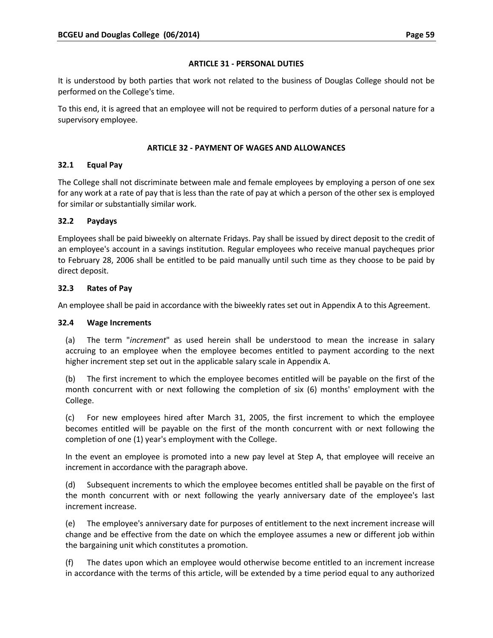#### **ARTICLE 31 ‐ PERSONAL DUTIES**

It is understood by both parties that work not related to the business of Douglas College should not be performed on the College's time.

To this end, it is agreed that an employee will not be required to perform duties of a personal nature for a supervisory employee.

#### **ARTICLE 32 ‐ PAYMENT OF WAGES AND ALLOWANCES**

## **32.1 Equal Pay**

The College shall not discriminate between male and female employees by employing a person of one sex for any work at a rate of pay that is less than the rate of pay at which a person of the other sex is employed for similar or substantially similar work.

#### **32.2 Paydays**

Employees shall be paid biweekly on alternate Fridays. Pay shall be issued by direct deposit to the credit of an employee's account in a savings institution. Regular employees who receive manual paycheques prior to February 28, 2006 shall be entitled to be paid manually until such time as they choose to be paid by direct deposit.

#### **32.3 Rates of Pay**

An employee shall be paid in accordance with the biweekly rates set out in Appendix A to this Agreement.

#### **32.4 Wage Increments**

(a) The term "*increment*" as used herein shall be understood to mean the increase in salary accruing to an employee when the employee becomes entitled to payment according to the next higher increment step set out in the applicable salary scale in Appendix A.

(b) The first increment to which the employee becomes entitled will be payable on the first of the month concurrent with or next following the completion of six (6) months' employment with the College.

(c) For new employees hired after March 31, 2005, the first increment to which the employee becomes entitled will be payable on the first of the month concurrent with or next following the completion of one (1) year's employment with the College.

In the event an employee is promoted into a new pay level at Step A, that employee will receive an increment in accordance with the paragraph above.

(d) Subsequent increments to which the employee becomes entitled shall be payable on the first of the month concurrent with or next following the yearly anniversary date of the employee's last increment increase.

(e) The employee's anniversary date for purposes of entitlement to the next increment increase will change and be effective from the date on which the employee assumes a new or different job within the bargaining unit which constitutes a promotion.

(f) The dates upon which an employee would otherwise become entitled to an increment increase in accordance with the terms of this article, will be extended by a time period equal to any authorized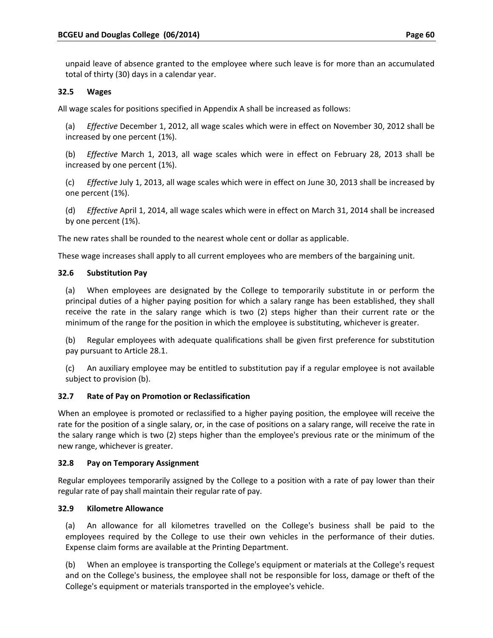unpaid leave of absence granted to the employee where such leave is for more than an accumulated total of thirty (30) days in a calendar year.

# **32.5 Wages**

All wage scales for positions specified in Appendix A shall be increased as follows:

(a) *Effective* December 1, 2012, all wage scales which were in effect on November 30, 2012 shall be increased by one percent (1%).

(b) *Effective* March 1, 2013, all wage scales which were in effect on February 28, 2013 shall be increased by one percent (1%).

(c) *Effective* July 1, 2013, all wage scales which were in effect on June 30, 2013 shall be increased by one percent (1%).

(d) *Effective* April 1, 2014, all wage scales which were in effect on March 31, 2014 shall be increased by one percent (1%).

The new rates shall be rounded to the nearest whole cent or dollar as applicable.

These wage increases shall apply to all current employees who are members of the bargaining unit.

# **32.6 Substitution Pay**

(a) When employees are designated by the College to temporarily substitute in or perform the principal duties of a higher paying position for which a salary range has been established, they shall receive the rate in the salary range which is two (2) steps higher than their current rate or the minimum of the range for the position in which the employee is substituting, whichever is greater.

(b) Regular employees with adequate qualifications shall be given first preference for substitution pay pursuant to Article 28.1.

(c) An auxiliary employee may be entitled to substitution pay if a regular employee is not available subject to provision (b).

## **32.7 Rate of Pay on Promotion or Reclassification**

When an employee is promoted or reclassified to a higher paying position, the employee will receive the rate for the position of a single salary, or, in the case of positions on a salary range, will receive the rate in the salary range which is two (2) steps higher than the employee's previous rate or the minimum of the new range, whichever is greater.

## **32.8 Pay on Temporary Assignment**

Regular employees temporarily assigned by the College to a position with a rate of pay lower than their regular rate of pay shall maintain their regular rate of pay.

## **32.9 Kilometre Allowance**

(a) An allowance for all kilometres travelled on the College's business shall be paid to the employees required by the College to use their own vehicles in the performance of their duties. Expense claim forms are available at the Printing Department.

(b) When an employee is transporting the College's equipment or materials at the College's request and on the College's business, the employee shall not be responsible for loss, damage or theft of the College's equipment or materials transported in the employee's vehicle.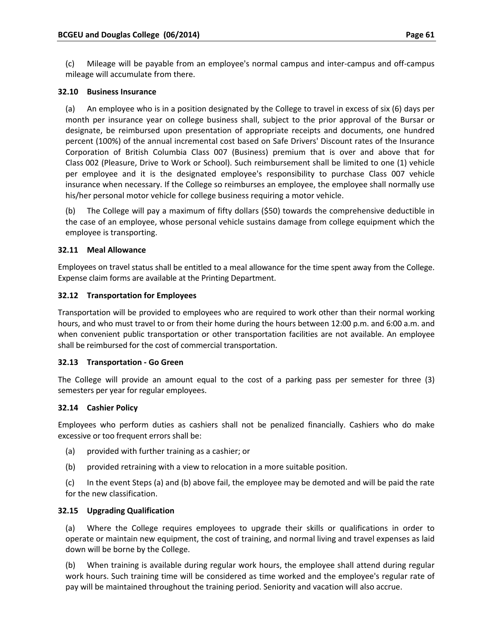(c) Mileage will be payable from an employee's normal campus and inter‐campus and off‐campus mileage will accumulate from there.

#### **32.10 Business Insurance**

(a) An employee who is in a position designated by the College to travel in excess of six (6) days per month per insurance year on college business shall, subject to the prior approval of the Bursar or designate, be reimbursed upon presentation of appropriate receipts and documents, one hundred percent (100%) of the annual incremental cost based on Safe Drivers' Discount rates of the Insurance Corporation of British Columbia Class 007 (Business) premium that is over and above that for Class 002 (Pleasure, Drive to Work or School). Such reimbursement shall be limited to one (1) vehicle per employee and it is the designated employee's responsibility to purchase Class 007 vehicle insurance when necessary. If the College so reimburses an employee, the employee shall normally use his/her personal motor vehicle for college business requiring a motor vehicle.

(b) The College will pay a maximum of fifty dollars (\$50) towards the comprehensive deductible in the case of an employee, whose personal vehicle sustains damage from college equipment which the employee is transporting.

#### **32.11 Meal Allowance**

Employees on travel status shall be entitled to a meal allowance for the time spent away from the College. Expense claim forms are available at the Printing Department.

#### **32.12 Transportation for Employees**

Transportation will be provided to employees who are required to work other than their normal working hours, and who must travel to or from their home during the hours between 12:00 p.m. and 6:00 a.m. and when convenient public transportation or other transportation facilities are not available. An employee shall be reimbursed for the cost of commercial transportation.

#### **32.13 Transportation ‐ Go Green**

The College will provide an amount equal to the cost of a parking pass per semester for three (3) semesters per year for regular employees.

#### **32.14 Cashier Policy**

Employees who perform duties as cashiers shall not be penalized financially. Cashiers who do make excessive or too frequent errors shall be:

- (a) provided with further training as a cashier; or
- (b) provided retraining with a view to relocation in a more suitable position.
- (c) In the event Steps (a) and (b) above fail, the employee may be demoted and will be paid the rate for the new classification.

## **32.15 Upgrading Qualification**

(a) Where the College requires employees to upgrade their skills or qualifications in order to operate or maintain new equipment, the cost of training, and normal living and travel expenses as laid down will be borne by the College.

(b) When training is available during regular work hours, the employee shall attend during regular work hours. Such training time will be considered as time worked and the employee's regular rate of pay will be maintained throughout the training period. Seniority and vacation will also accrue.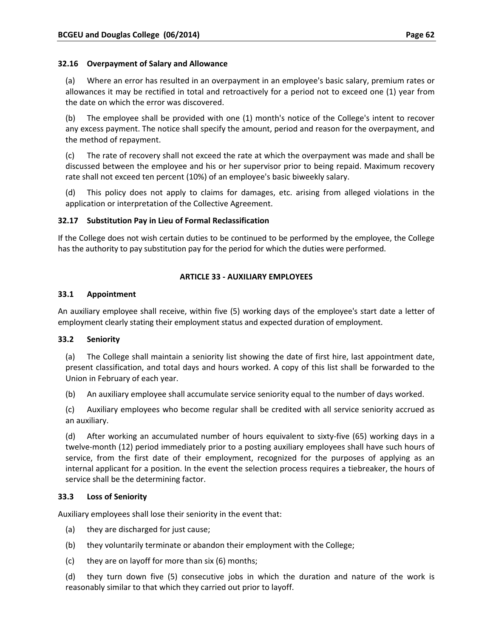#### **32.16 Overpayment of Salary and Allowance**

(a) Where an error has resulted in an overpayment in an employee's basic salary, premium rates or allowances it may be rectified in total and retroactively for a period not to exceed one (1) year from the date on which the error was discovered.

(b) The employee shall be provided with one (1) month's notice of the College's intent to recover any excess payment. The notice shall specify the amount, period and reason for the overpayment, and the method of repayment.

(c) The rate of recovery shall not exceed the rate at which the overpayment was made and shall be discussed between the employee and his or her supervisor prior to being repaid. Maximum recovery rate shall not exceed ten percent (10%) of an employee's basic biweekly salary.

(d) This policy does not apply to claims for damages, etc. arising from alleged violations in the application or interpretation of the Collective Agreement.

#### **32.17 Substitution Pay in Lieu of Formal Reclassification**

If the College does not wish certain duties to be continued to be performed by the employee, the College has the authority to pay substitution pay for the period for which the duties were performed.

#### **ARTICLE 33 ‐ AUXILIARY EMPLOYEES**

#### **33.1 Appointment**

An auxiliary employee shall receive, within five (5) working days of the employee's start date a letter of employment clearly stating their employment status and expected duration of employment.

#### **33.2 Seniority**

(a) The College shall maintain a seniority list showing the date of first hire, last appointment date, present classification, and total days and hours worked. A copy of this list shall be forwarded to the Union in February of each year.

(b) An auxiliary employee shall accumulate service seniority equal to the number of days worked.

(c) Auxiliary employees who become regular shall be credited with all service seniority accrued as an auxiliary.

(d) After working an accumulated number of hours equivalent to sixty‐five (65) working days in a twelve‐month (12) period immediately prior to a posting auxiliary employees shall have such hours of service, from the first date of their employment, recognized for the purposes of applying as an internal applicant for a position. In the event the selection process requires a tiebreaker, the hours of service shall be the determining factor.

## **33.3 Loss of Seniority**

Auxiliary employees shall lose their seniority in the event that:

- (a) they are discharged for just cause;
- (b) they voluntarily terminate or abandon their employment with the College;
- (c) they are on layoff for more than six (6) months;

(d) they turn down five (5) consecutive jobs in which the duration and nature of the work is reasonably similar to that which they carried out prior to layoff.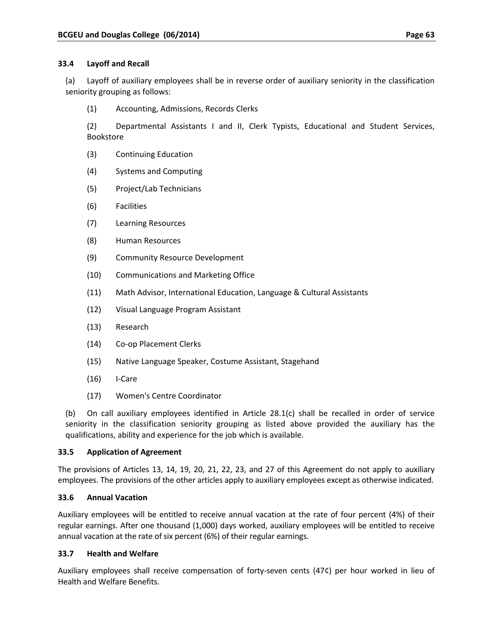#### **33.4 Layoff and Recall**

(a) Layoff of auxiliary employees shall be in reverse order of auxiliary seniority in the classification seniority grouping as follows:

(1) Accounting, Admissions, Records Clerks

(2) Departmental Assistants I and II, Clerk Typists, Educational and Student Services, Bookstore

- (3) Continuing Education
- (4) Systems and Computing
- (5) Project/Lab Technicians
- (6) Facilities
- (7) Learning Resources
- (8) Human Resources
- (9) Community Resource Development
- (10) Communications and Marketing Office
- (11) Math Advisor, International Education, Language & Cultural Assistants
- (12) Visual Language Program Assistant
- (13) Research
- (14) Co‐op Placement Clerks
- (15) Native Language Speaker, Costume Assistant, Stagehand
- $(16)$  I-Care
- (17) Women's Centre Coordinator

(b) On call auxiliary employees identified in Article 28.1(c) shall be recalled in order of service seniority in the classification seniority grouping as listed above provided the auxiliary has the qualifications, ability and experience for the job which is available.

## **33.5 Application of Agreement**

The provisions of Articles 13, 14, 19, 20, 21, 22, 23, and 27 of this Agreement do not apply to auxiliary employees. The provisions of the other articles apply to auxiliary employees except as otherwise indicated.

## **33.6 Annual Vacation**

Auxiliary employees will be entitled to receive annual vacation at the rate of four percent (4%) of their regular earnings. After one thousand (1,000) days worked, auxiliary employees will be entitled to receive annual vacation at the rate of six percent (6%) of their regular earnings.

## **33.7 Health and Welfare**

Auxiliary employees shall receive compensation of forty‐seven cents (47¢) per hour worked in lieu of Health and Welfare Benefits.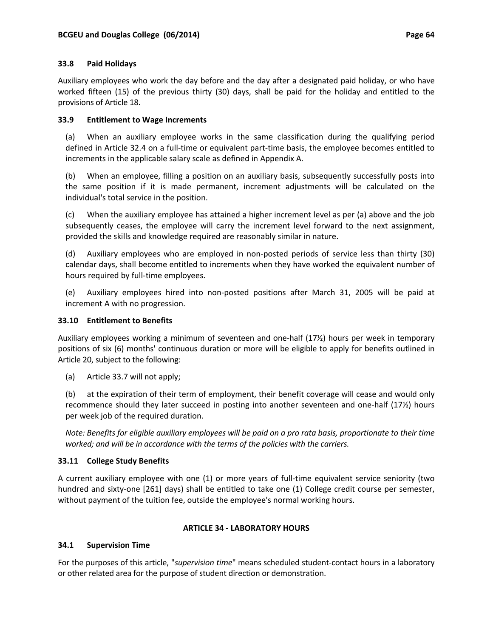### **33.8 Paid Holidays**

Auxiliary employees who work the day before and the day after a designated paid holiday, or who have worked fifteen (15) of the previous thirty (30) days, shall be paid for the holiday and entitled to the provisions of Article 18.

### **33.9 Entitlement to Wage Increments**

(a) When an auxiliary employee works in the same classification during the qualifying period defined in Article 32.4 on a full‐time or equivalent part‐time basis, the employee becomes entitled to increments in the applicable salary scale as defined in Appendix A.

(b) When an employee, filling a position on an auxiliary basis, subsequently successfully posts into the same position if it is made permanent, increment adjustments will be calculated on the individual's total service in the position.

(c) When the auxiliary employee has attained a higher increment level as per (a) above and the job subsequently ceases, the employee will carry the increment level forward to the next assignment, provided the skills and knowledge required are reasonably similar in nature.

(d) Auxiliary employees who are employed in non‐posted periods of service less than thirty (30) calendar days, shall become entitled to increments when they have worked the equivalent number of hours required by full‐time employees.

(e) Auxiliary employees hired into non‐posted positions after March 31, 2005 will be paid at increment A with no progression.

### **33.10 Entitlement to Benefits**

Auxiliary employees working a minimum of seventeen and one‐half (17½) hours per week in temporary positions of six (6) months' continuous duration or more will be eligible to apply for benefits outlined in Article 20, subject to the following:

(a) Article 33.7 will not apply;

(b) at the expiration of their term of employment, their benefit coverage will cease and would only recommence should they later succeed in posting into another seventeen and one‐half (17½) hours per week job of the required duration.

Note: Benefits for eligible auxiliary employees will be paid on a pro rata basis, proportionate to their time *worked; and will be in accordance with the terms of the policies with the carriers.*

### **33.11 College Study Benefits**

A current auxiliary employee with one (1) or more years of full‐time equivalent service seniority (two hundred and sixty-one [261] days) shall be entitled to take one (1) College credit course per semester, without payment of the tuition fee, outside the employee's normal working hours.

### **ARTICLE 34 ‐ LABORATORY HOURS**

### **34.1 Supervision Time**

For the purposes of this article, "*supervision time*" means scheduled student‐contact hours in a laboratory or other related area for the purpose of student direction or demonstration.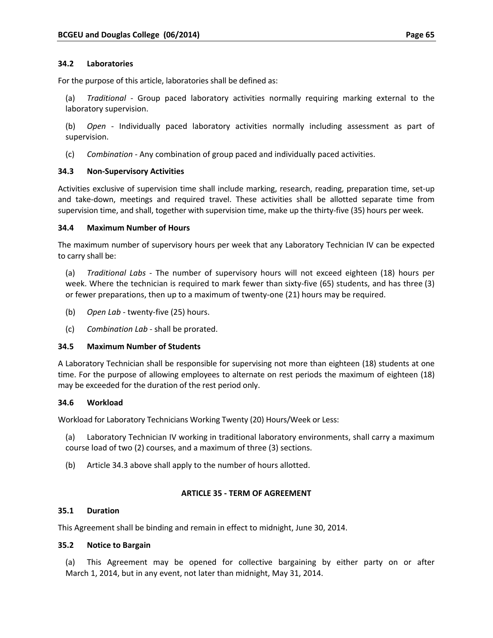### **34.2 Laboratories**

For the purpose of this article, laboratories shall be defined as:

(a) *Traditional* ‐ Group paced laboratory activities normally requiring marking external to the laboratory supervision.

(b) *Open* ‐ Individually paced laboratory activities normally including assessment as part of supervision.

(c) *Combination* ‐ Any combination of group paced and individually paced activities.

### **34.3 Non‐Supervisory Activities**

Activities exclusive of supervision time shall include marking, research, reading, preparation time, set‐up and take-down, meetings and required travel. These activities shall be allotted separate time from supervision time, and shall, together with supervision time, make up the thirty-five (35) hours per week.

### **34.4 Maximum Number of Hours**

The maximum number of supervisory hours per week that any Laboratory Technician IV can be expected to carry shall be:

(a) *Traditional Labs* ‐ The number of supervisory hours will not exceed eighteen (18) hours per week. Where the technician is required to mark fewer than sixty-five (65) students, and has three (3) or fewer preparations, then up to a maximum of twenty‐one (21) hours may be required.

- (b) *Open Lab* ‐ twenty‐five (25) hours.
- (c) *Combination Lab* ‐ shall be prorated.

#### **34.5 Maximum Number of Students**

A Laboratory Technician shall be responsible for supervising not more than eighteen (18) students at one time. For the purpose of allowing employees to alternate on rest periods the maximum of eighteen (18) may be exceeded for the duration of the rest period only.

#### **34.6 Workload**

Workload for Laboratory Technicians Working Twenty (20) Hours/Week or Less:

(a) Laboratory Technician IV working in traditional laboratory environments, shall carry a maximum course load of two (2) courses, and a maximum of three (3) sections.

(b) Article 34.3 above shall apply to the number of hours allotted.

### **ARTICLE 35 ‐ TERM OF AGREEMENT**

#### **35.1 Duration**

This Agreement shall be binding and remain in effect to midnight, June 30, 2014.

#### **35.2 Notice to Bargain**

(a) This Agreement may be opened for collective bargaining by either party on or after March 1, 2014, but in any event, not later than midnight, May 31, 2014.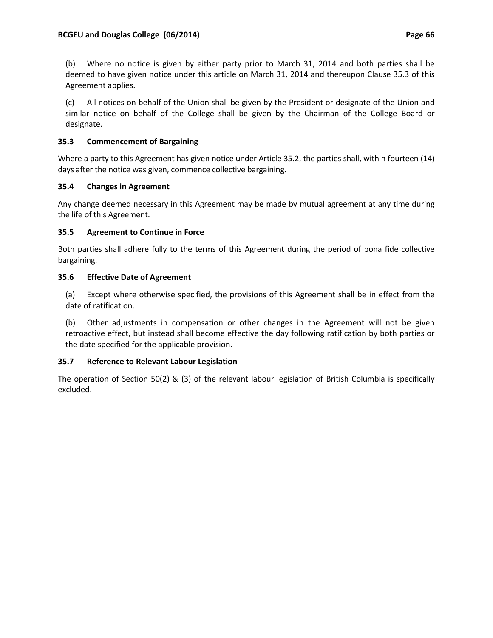(b) Where no notice is given by either party prior to March 31, 2014 and both parties shall be deemed to have given notice under this article on March 31, 2014 and thereupon Clause 35.3 of this Agreement applies.

(c) All notices on behalf of the Union shall be given by the President or designate of the Union and similar notice on behalf of the College shall be given by the Chairman of the College Board or designate.

## **35.3 Commencement of Bargaining**

Where a party to this Agreement has given notice under Article 35.2, the parties shall, within fourteen (14) days after the notice was given, commence collective bargaining.

## **35.4 Changes in Agreement**

Any change deemed necessary in this Agreement may be made by mutual agreement at any time during the life of this Agreement.

## **35.5 Agreement to Continue in Force**

Both parties shall adhere fully to the terms of this Agreement during the period of bona fide collective bargaining.

## **35.6 Effective Date of Agreement**

(a) Except where otherwise specified, the provisions of this Agreement shall be in effect from the date of ratification.

(b) Other adjustments in compensation or other changes in the Agreement will not be given retroactive effect, but instead shall become effective the day following ratification by both parties or the date specified for the applicable provision.

## **35.7 Reference to Relevant Labour Legislation**

The operation of Section 50(2) & (3) of the relevant labour legislation of British Columbia is specifically excluded.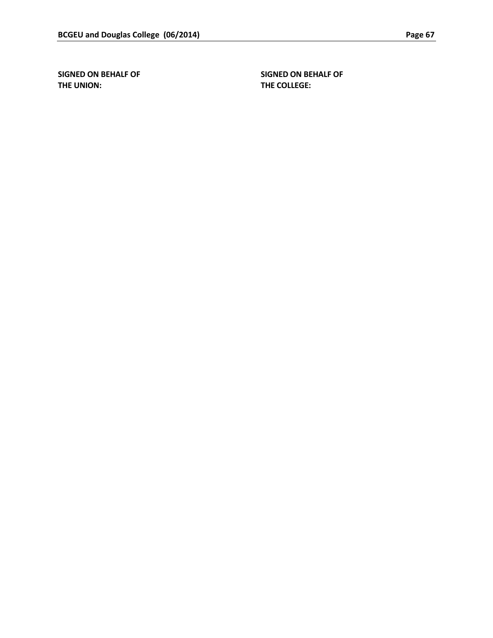**THE UNION: THE COLLEGE:**

**SIGNED ON BEHALF OF SIGNED ON BEHALF OF**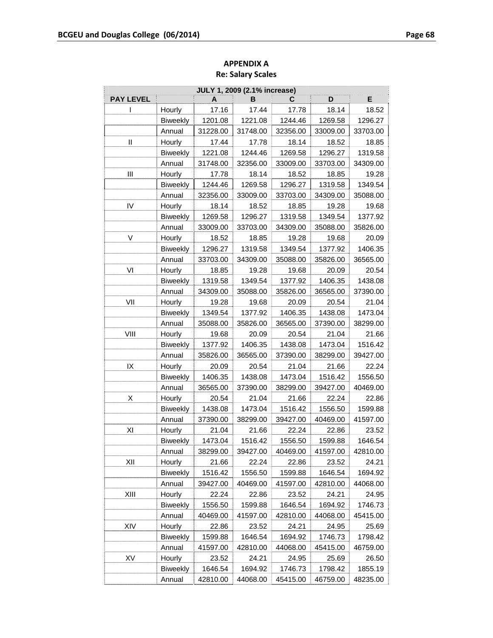| <b>JULY 1, 2009 (2.1% increase)</b> |                 |          |          |          |          |          |
|-------------------------------------|-----------------|----------|----------|----------|----------|----------|
| <b>PAY LEVEL</b>                    |                 | A        | В        | С        | D        | Е        |
| I                                   | Hourly          | 17.16    | 17.44    | 17.78    | 18.14    | 18.52    |
|                                     | <b>Biweekly</b> | 1201.08  | 1221.08  | 1244.46  | 1269.58  | 1296.27  |
|                                     | Annual          | 31228.00 | 31748.00 | 32356.00 | 33009.00 | 33703.00 |
| Ш                                   | Hourly          | 17.44    | 17.78    | 18.14    | 18.52    | 18.85    |
|                                     | <b>Biweekly</b> | 1221.08  | 1244.46  | 1269.58  | 1296.27  | 1319.58  |
|                                     | Annual          | 31748.00 | 32356.00 | 33009.00 | 33703.00 | 34309.00 |
| Ш                                   | Hourly          | 17.78    | 18.14    | 18.52    | 18.85    | 19.28    |
|                                     | <b>Biweekly</b> | 1244.46  | 1269.58  | 1296.27  | 1319.58  | 1349.54  |
|                                     | Annual          | 32356.00 | 33009.00 | 33703.00 | 34309.00 | 35088.00 |
| IV                                  | Hourly          | 18.14    | 18.52    | 18.85    | 19.28    | 19.68    |
|                                     | <b>Biweekly</b> | 1269.58  | 1296.27  | 1319.58  | 1349.54  | 1377.92  |
|                                     | Annual          | 33009.00 | 33703.00 | 34309.00 | 35088.00 | 35826.00 |
| V                                   | Hourly          | 18.52    | 18.85    | 19.28    | 19.68    | 20.09    |
|                                     | Biweekly        | 1296.27  | 1319.58  | 1349.54  | 1377.92  | 1406.35  |
|                                     | Annual          | 33703.00 | 34309.00 | 35088.00 | 35826.00 | 36565.00 |
| VI                                  | Hourly          | 18.85    | 19.28    | 19.68    | 20.09    | 20.54    |
|                                     | Biweekly        | 1319.58  | 1349.54  | 1377.92  | 1406.35  | 1438.08  |
|                                     | Annual          | 34309.00 | 35088.00 | 35826.00 | 36565.00 | 37390.00 |
| VII                                 | Hourly          | 19.28    | 19.68    | 20.09    | 20.54    | 21.04    |
|                                     | Biweekly        | 1349.54  | 1377.92  | 1406.35  | 1438.08  | 1473.04  |
|                                     | Annual          | 35088.00 | 35826.00 | 36565.00 | 37390.00 | 38299.00 |
| VIII                                | Hourly          | 19.68    | 20.09    | 20.54    | 21.04    | 21.66    |
|                                     | <b>Biweekly</b> | 1377.92  | 1406.35  | 1438.08  | 1473.04  | 1516.42  |
|                                     | Annual          | 35826.00 | 36565.00 | 37390.00 | 38299.00 | 39427.00 |
| IX                                  | Hourly          | 20.09    | 20.54    | 21.04    | 21.66    | 22.24    |
|                                     | <b>Biweekly</b> | 1406.35  | 1438.08  | 1473.04  | 1516.42  | 1556.50  |
|                                     | Annual          | 36565.00 | 37390.00 | 38299.00 | 39427.00 | 40469.00 |
| Χ                                   | Hourly          | 20.54    | 21.04    | 21.66    | 22.24    | 22.86    |
|                                     | <b>Biweekly</b> | 1438.08  | 1473.04  | 1516.42  | 1556.50  | 1599.88  |
|                                     | Annual          | 37390.00 | 38299.00 | 39427.00 | 40469.00 | 41597.00 |
| ΧI                                  | Hourly          | 21.04    | 21.66    | 22.24    | 22.86    | 23.52    |
|                                     | <b>Biweekly</b> | 1473.04  | 1516.42  | 1556.50  | 1599.88  | 1646.54  |
|                                     | Annual          | 38299.00 | 39427.00 | 40469.00 | 41597.00 | 42810.00 |
| XII                                 | Hourly          | 21.66    | 22.24    | 22.86    | 23.52    | 24.21    |
|                                     | <b>Biweekly</b> | 1516.42  | 1556.50  | 1599.88  | 1646.54  | 1694.92  |
|                                     | Annual          | 39427.00 | 40469.00 | 41597.00 | 42810.00 | 44068.00 |
| XIII                                | Hourly          | 22.24    | 22.86    | 23.52    | 24.21    | 24.95    |
|                                     | <b>Biweekly</b> | 1556.50  | 1599.88  | 1646.54  | 1694.92  | 1746.73  |
|                                     | Annual          | 40469.00 | 41597.00 | 42810.00 | 44068.00 | 45415.00 |
| XIV                                 | Hourly          | 22.86    | 23.52    | 24.21    | 24.95    | 25.69    |
|                                     | Biweekly        | 1599.88  | 1646.54  | 1694.92  | 1746.73  | 1798.42  |
|                                     | Annual          | 41597.00 | 42810.00 | 44068.00 | 45415.00 | 46759.00 |
| XV                                  | Hourly          | 23.52    | 24.21    | 24.95    | 25.69    | 26.50    |
|                                     | Biweekly        | 1646.54  | 1694.92  | 1746.73  | 1798.42  | 1855.19  |
|                                     | Annual          | 42810.00 | 44068.00 | 45415.00 | 46759.00 | 48235.00 |

# **APPENDIX A Re: Salary Scales**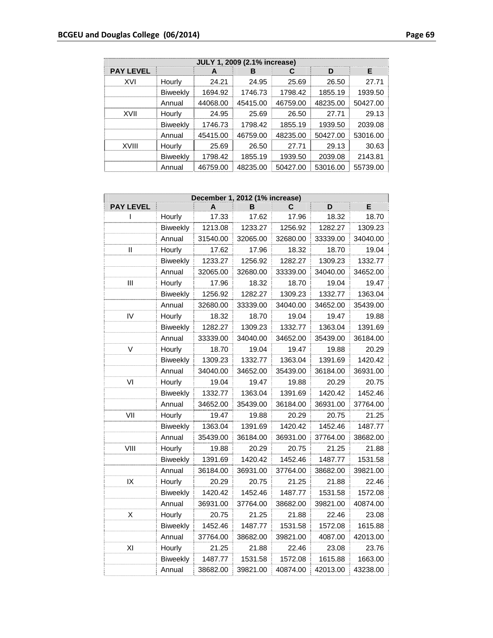| JULY 1, 2009 (2.1% increase) |                 |          |          |          |          |          |  |
|------------------------------|-----------------|----------|----------|----------|----------|----------|--|
| <b>PAY LEVEL</b>             |                 | А        | в        | С        | D        | E.       |  |
| XVI                          | Hourly          | 24.21    | 24.95    | 25.69    | 26.50    | 27.71    |  |
|                              | <b>Biweekly</b> | 1694.92  | 1746.73  | 1798.42  | 1855.19  | 1939.50  |  |
|                              | Annual          | 44068.00 | 45415.00 | 46759.00 | 48235.00 | 50427.00 |  |
| XVII                         | Hourly          | 24.95    | 25.69    | 26.50    | 27.71    | 29.13    |  |
|                              | <b>Biweekly</b> | 1746.73  | 1798.42  | 1855.19  | 1939.50  | 2039.08  |  |
|                              | Annual          | 45415.00 | 46759.00 | 48235.00 | 50427.00 | 53016.00 |  |
| XVIII                        | Hourly          | 25.69    | 26.50    | 27.71    | 29.13    | 30.63    |  |
|                              | <b>Biweekly</b> | 1798.42  | 1855.19  | 1939.50  | 2039.08  | 2143.81  |  |
|                              | Annual          | 46759.00 | 48235.00 | 50427.00 | 53016.00 | 55739.00 |  |

| December 1, 2012 (1% increase) |                 |          |          |          |          |          |
|--------------------------------|-----------------|----------|----------|----------|----------|----------|
| <b>PAY LEVEL</b>               |                 |          | B        | С        | D        | E        |
| I                              | Hourly          | 17.33    | 17.62    | 17.96    | 18.32    | 18.70    |
|                                | <b>Biweekly</b> | 1213.08  | 1233.27  | 1256.92  | 1282.27  | 1309.23  |
|                                | Annual          | 31540.00 | 32065.00 | 32680.00 | 33339.00 | 34040.00 |
| $\mathbf{I}$                   | Hourly          | 17.62    | 17.96    | 18.32    | 18.70    | 19.04    |
|                                | <b>Biweekly</b> | 1233.27  | 1256.92  | 1282.27  | 1309.23  | 1332.77  |
|                                | Annual          | 32065.00 | 32680.00 | 33339.00 | 34040.00 | 34652.00 |
| Ш                              | Hourly          | 17.96    | 18.32    | 18.70    | 19.04    | 19.47    |
|                                | <b>Biweekly</b> | 1256.92  | 1282.27  | 1309.23  | 1332.77  | 1363.04  |
|                                | Annual          | 32680.00 | 33339.00 | 34040.00 | 34652.00 | 35439.00 |
| IV                             | Hourly          | 18.32    | 18.70    | 19.04    | 19.47    | 19.88    |
|                                | <b>Biweekly</b> | 1282.27  | 1309.23  | 1332.77  | 1363.04  | 1391.69  |
|                                | Annual          | 33339.00 | 34040.00 | 34652.00 | 35439.00 | 36184.00 |
| V                              | Hourly          | 18.70    | 19.04    | 19.47    | 19.88    | 20.29    |
|                                | <b>Biweekly</b> | 1309.23  | 1332.77  | 1363.04  | 1391.69  | 1420.42  |
|                                | Annual          | 34040.00 | 34652.00 | 35439.00 | 36184.00 | 36931.00 |
| VI                             | Hourly          | 19.04    | 19.47    | 19.88    | 20.29    | 20.75    |
|                                | <b>Biweekly</b> | 1332.77  | 1363.04  | 1391.69  | 1420.42  | 1452.46  |
|                                | Annual          | 34652.00 | 35439.00 | 36184.00 | 36931.00 | 37764.00 |
| VII                            | Hourly          | 19.47    | 19.88    | 20.29    | 20.75    | 21.25    |
|                                | <b>Biweekly</b> | 1363.04  | 1391.69  | 1420.42  | 1452.46  | 1487.77  |
|                                | Annual          | 35439.00 | 36184.00 | 36931.00 | 37764.00 | 38682.00 |
| VIII                           | Hourly          | 19.88    | 20.29    | 20.75    | 21.25    | 21.88    |
|                                | <b>Biweekly</b> | 1391.69  | 1420.42  | 1452.46  | 1487.77  | 1531.58  |
|                                | Annual          | 36184.00 | 36931.00 | 37764.00 | 38682.00 | 39821.00 |
| IX                             | Hourly          | 20.29    | 20.75    | 21.25    | 21.88    | 22.46    |
|                                | <b>Biweekly</b> | 1420.42  | 1452.46  | 1487.77  | 1531.58  | 1572.08  |
|                                | Annual          | 36931.00 | 37764.00 | 38682.00 | 39821.00 | 40874.00 |
| Χ                              | Hourly          | 20.75    | 21.25    | 21.88    | 22.46    | 23.08    |
|                                | <b>Biweekly</b> | 1452.46  | 1487.77  | 1531.58  | 1572.08  | 1615.88  |
|                                | Annual          | 37764.00 | 38682.00 | 39821.00 | 4087.00  | 42013.00 |
| XI                             | Hourly          | 21.25    | 21.88    | 22.46    | 23.08    | 23.76    |
|                                | Biweekly        | 1487.77  | 1531.58  | 1572.08  | 1615.88  | 1663.00  |
|                                | Annual          | 38682.00 | 39821.00 | 40874.00 | 42013.00 | 43238.00 |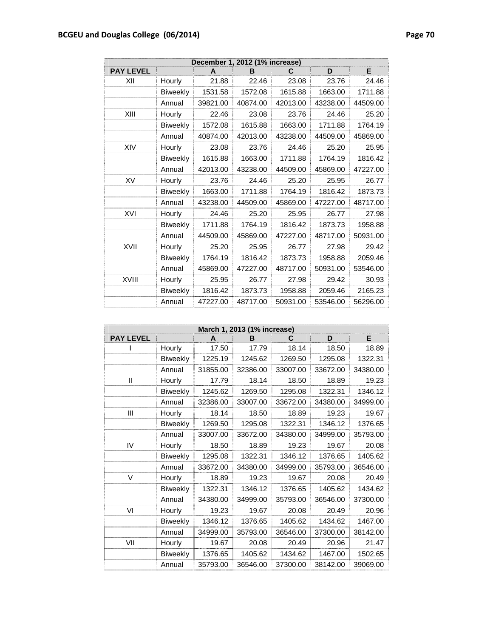| December 1, 2012 (1% increase) |                 |          |          |          |          |          |
|--------------------------------|-----------------|----------|----------|----------|----------|----------|
| <b>PAY LEVEL</b>               |                 | A        | B        | С        | D        | Е        |
| XII                            | Hourly          | 21.88    | 22.46    | 23.08    | 23.76    | 24.46    |
|                                | <b>Biweekly</b> | 1531.58  | 1572.08  | 1615.88  | 1663.00  | 1711.88  |
|                                | Annual          | 39821.00 | 40874.00 | 42013.00 | 43238.00 | 44509.00 |
| XIII                           | Hourly          | 22.46    | 23.08    | 23.76    | 24.46    | 25.20    |
|                                | <b>Biweekly</b> | 1572.08  | 1615.88  | 1663.00  | 1711.88  | 1764.19  |
|                                | Annual          | 40874.00 | 42013.00 | 43238.00 | 44509.00 | 45869.00 |
| XIV                            | Hourly          | 23.08    | 23.76    | 24.46    | 25.20    | 25.95    |
|                                | <b>Biweekly</b> | 1615.88  | 1663.00  | 1711.88  | 1764.19  | 1816.42  |
|                                | Annual          | 42013.00 | 43238.00 | 44509.00 | 45869.00 | 47227.00 |
| XV                             | Hourly          | 23.76    | 24.46    | 25.20    | 25.95    | 26.77    |
|                                | <b>Biweekly</b> | 1663.00  | 1711.88  | 1764.19  | 1816.42  | 1873.73  |
|                                | Annual          | 43238.00 | 44509.00 | 45869.00 | 47227.00 | 48717.00 |
| XVI                            | Hourly          | 24.46    | 25.20    | 25.95    | 26.77    | 27.98    |
|                                | <b>Biweekly</b> | 1711.88  | 1764.19  | 1816.42  | 1873.73  | 1958.88  |
|                                | Annual          | 44509.00 | 45869.00 | 47227.00 | 48717.00 | 50931.00 |
| XVII                           | Hourly          | 25.20    | 25.95    | 26.77    | 27.98    | 29.42    |
|                                | Biweekly        | 1764.19  | 1816.42  | 1873.73  | 1958.88  | 2059.46  |
|                                | Annual          | 45869.00 | 47227.00 | 48717.00 | 50931.00 | 53546.00 |
| <b>XVIII</b>                   | Hourly          | 25.95    | 26.77    | 27.98    | 29.42    | 30.93    |
|                                | <b>Biweekly</b> | 1816.42  | 1873.73  | 1958.88  | 2059.46  | 2165.23  |
|                                | Annual          | 47227.00 | 48717.00 | 50931.00 | 53546.00 | 56296.00 |

| March 1, 2013 (1% increase) |                 |          |          |          |          |          |  |
|-----------------------------|-----------------|----------|----------|----------|----------|----------|--|
| <b>PAY LEVEL</b>            |                 | A        | в        | С        | D        | E        |  |
|                             | Hourly          | 17.50    | 17.79    | 18.14    | 18.50    | 18.89    |  |
|                             | <b>Biweekly</b> | 1225.19  | 1245.62  | 1269.50  | 1295.08  | 1322.31  |  |
|                             | Annual          | 31855.00 | 32386.00 | 33007.00 | 33672.00 | 34380.00 |  |
| $\mathsf{I}$                | Hourly          | 17.79    | 18.14    | 18.50    | 18.89    | 19.23    |  |
|                             | <b>Biweekly</b> | 1245.62  | 1269.50  | 1295.08  | 1322.31  | 1346.12  |  |
|                             | Annual          | 32386.00 | 33007.00 | 33672.00 | 34380.00 | 34999.00 |  |
| Ш                           | Hourly          | 18.14    | 18.50    | 18.89    | 19.23    | 19.67    |  |
|                             | <b>Biweekly</b> | 1269.50  | 1295.08  | 1322.31  | 1346.12  | 1376.65  |  |
|                             | Annual          | 33007.00 | 33672.00 | 34380.00 | 34999.00 | 35793.00 |  |
| IV                          | Hourly          | 18.50    | 18.89    | 19.23    | 19.67    | 20.08    |  |
|                             | <b>Biweekly</b> | 1295.08  | 1322.31  | 1346.12  | 1376.65  | 1405.62  |  |
|                             | Annual          | 33672.00 | 34380.00 | 34999.00 | 35793.00 | 36546.00 |  |
| V                           | Hourly          | 18.89    | 19.23    | 19.67    | 20.08    | 20.49    |  |
|                             | <b>Biweekly</b> | 1322.31  | 1346.12  | 1376.65  | 1405.62  | 1434.62  |  |
|                             | Annual          | 34380.00 | 34999.00 | 35793.00 | 36546.00 | 37300.00 |  |
| VI                          | Hourly          | 19.23    | 19.67    | 20.08    | 20.49    | 20.96    |  |
|                             | <b>Biweekly</b> | 1346.12  | 1376.65  | 1405.62  | 1434.62  | 1467.00  |  |
|                             | Annual          | 34999.00 | 35793.00 | 36546.00 | 37300.00 | 38142.00 |  |
| VII                         | Hourly          | 19.67    | 20.08    | 20.49    | 20.96    | 21.47    |  |
|                             | <b>Biweekly</b> | 1376.65  | 1405.62  | 1434.62  | 1467.00  | 1502.65  |  |
|                             | Annual          | 35793.00 | 36546.00 | 37300.00 | 38142.00 | 39069.00 |  |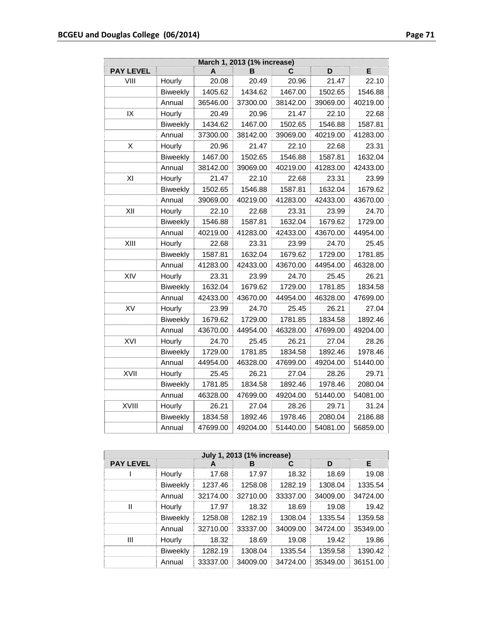| March 1, 2013 (1% increase) |                 |          |          |          |          |          |
|-----------------------------|-----------------|----------|----------|----------|----------|----------|
| <b>PAY LEVEL</b>            |                 | A        | в        | С        | D        | E        |
| VIII                        | Hourly          | 20.08    | 20.49    | 20.96    | 21.47    | 22.10    |
|                             | <b>Biweekly</b> | 1405.62  | 1434.62  | 1467.00  | 1502.65  | 1546.88  |
|                             | Annual          | 36546.00 | 37300.00 | 38142.00 | 39069.00 | 40219.00 |
| IX                          | Hourly          | 20.49    | 20.96    | 21.47    | 22.10    | 22.68    |
|                             | <b>Biweekly</b> | 1434.62  | 1467.00  | 1502.65  | 1546.88  | 1587.81  |
|                             | Annual          | 37300.00 | 38142.00 | 39069.00 | 40219.00 | 41283.00 |
| X                           | Hourly          | 20.96    | 21.47    | 22.10    | 22.68    | 23.31    |
|                             | <b>Biweekly</b> | 1467.00  | 1502.65  | 1546.88  | 1587.81  | 1632.04  |
|                             | Annual          | 38142.00 | 39069.00 | 40219.00 | 41283.00 | 42433.00 |
| XI                          | Hourly          | 21.47    | 22.10    | 22.68    | 23.31    | 23.99    |
|                             | <b>Biweekly</b> | 1502.65  | 1546.88  | 1587.81  | 1632.04  | 1679.62  |
|                             | Annual          | 39069.00 | 40219.00 | 41283.00 | 42433.00 | 43670.00 |
| XII                         | Hourly          | 22.10    | 22.68    | 23.31    | 23.99    | 24.70    |
|                             | <b>Biweekly</b> | 1546.88  | 1587.81  | 1632.04  | 1679.62  | 1729.00  |
|                             | Annual          | 40219.00 | 41283.00 | 42433.00 | 43670.00 | 44954.00 |
| XIII                        | Hourly          | 22.68    | 23.31    | 23.99    | 24.70    | 25.45    |
|                             | <b>Biweekly</b> | 1587.81  | 1632.04  | 1679.62  | 1729.00  | 1781.85  |
|                             | Annual          | 41283.00 | 42433.00 | 43670.00 | 44954.00 | 46328.00 |
| XIV                         | Hourly          | 23.31    | 23.99    | 24.70    | 25.45    | 26.21    |
|                             | <b>Biweekly</b> | 1632.04  | 1679.62  | 1729.00  | 1781.85  | 1834.58  |
|                             | Annual          | 42433.00 | 43670.00 | 44954.00 | 46328.00 | 47699.00 |
| XV                          | Hourly          | 23.99    | 24.70    | 25.45    | 26.21    | 27.04    |
|                             | <b>Biweekly</b> | 1679.62  | 1729.00  | 1781.85  | 1834.58  | 1892.46  |
|                             | Annual          | 43670.00 | 44954.00 | 46328.00 | 47699.00 | 49204.00 |
| XVI                         | Hourly          | 24.70    | 25.45    | 26.21    | 27.04    | 28.26    |
|                             | <b>Biweekly</b> | 1729.00  | 1781.85  | 1834.58  | 1892.46  | 1978.46  |
|                             | Annual          | 44954.00 | 46328.00 | 47699.00 | 49204.00 | 51440.00 |
| XVII                        | Hourly          | 25.45    | 26.21    | 27.04    | 28.26    | 29.71    |
|                             | <b>Biweekly</b> | 1781.85  | 1834.58  | 1892.46  | 1978.46  | 2080.04  |
|                             | Annual          | 46328.00 | 47699.00 | 49204.00 | 51440.00 | 54081.00 |
| XVIII                       | Hourly          | 26.21    | 27.04    | 28.26    | 29.71    | 31.24    |
|                             | <b>Biweekly</b> | 1834.58  | 1892.46  | 1978.46  | 2080.04  | 2186.88  |
|                             | Annual          | 47699.00 | 49204.00 | 51440.00 | 54081.00 | 56859.00 |

|                  | July 1, 2013 (1% increase) |          |          |          |          |          |  |  |
|------------------|----------------------------|----------|----------|----------|----------|----------|--|--|
| <b>PAY LEVEL</b> |                            | A        | в        | С        | D        | Е        |  |  |
|                  | Hourly                     | 17.68    | 17.97    | 18.32    | 18.69    | 19.08    |  |  |
|                  | <b>Biweekly</b>            | 1237.46  | 1258.08  | 1282.19  | 1308.04  | 1335.54  |  |  |
|                  | Annual                     | 32174.00 | 32710.00 | 33337.00 | 34009.00 | 34724.00 |  |  |
| Ш                | Hourly                     | 17.97    | 18.32    | 18.69    | 19.08    | 19.42    |  |  |
|                  | <b>Biweekly</b>            | 1258.08  | 1282.19  | 1308.04  | 1335.54  | 1359.58  |  |  |
|                  | Annual                     | 32710.00 | 33337.00 | 34009.00 | 34724.00 | 35349.00 |  |  |
| Ш                | Hourly                     | 18.32    | 18.69    | 19.08    | 19.42    | 19.86    |  |  |
|                  | <b>Biweekly</b>            | 1282.19  | 1308.04  | 1335.54  | 1359.58  | 1390.42  |  |  |
|                  | Annual                     | 33337.00 | 34009.00 | 34724.00 | 35349.00 | 36151.00 |  |  |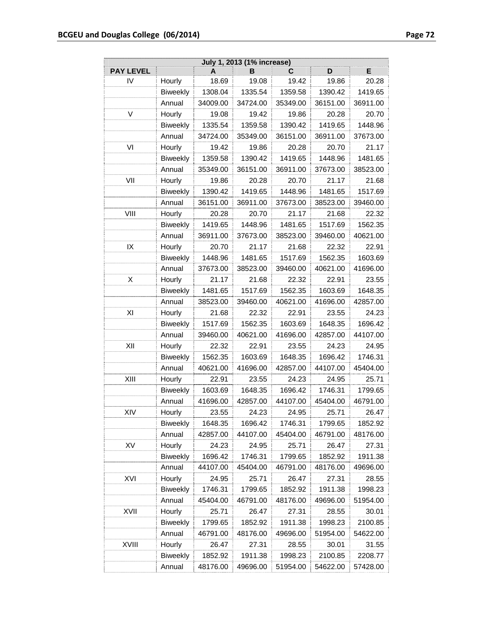| July 1, 2013 (1% increase) |                 |          |          |          |          |          |
|----------------------------|-----------------|----------|----------|----------|----------|----------|
| <b>PAY LEVEL</b>           |                 | A        | в        | С        | D        | Е        |
| IV                         | Hourly          | 18.69    | 19.08    | 19.42    | 19.86    | 20.28    |
|                            | <b>Biweekly</b> | 1308.04  | 1335.54  | 1359.58  | 1390.42  | 1419.65  |
|                            | Annual          | 34009.00 | 34724.00 | 35349.00 | 36151.00 | 36911.00 |
| V                          | Hourly          | 19.08    | 19.42    | 19.86    | 20.28    | 20.70    |
|                            | <b>Biweekly</b> | 1335.54  | 1359.58  | 1390.42  | 1419.65  | 1448.96  |
|                            | Annual          | 34724.00 | 35349.00 | 36151.00 | 36911.00 | 37673.00 |
| VI                         | Hourly          | 19.42    | 19.86    | 20.28    | 20.70    | 21.17    |
|                            | Biweekly        | 1359.58  | 1390.42  | 1419.65  | 1448.96  | 1481.65  |
|                            | Annual          | 35349.00 | 36151.00 | 36911.00 | 37673.00 | 38523.00 |
| VII                        | Hourly          | 19.86    | 20.28    | 20.70    | 21.17    | 21.68    |
|                            | <b>Biweekly</b> | 1390.42  | 1419.65  | 1448.96  | 1481.65  | 1517.69  |
|                            | Annual          | 36151.00 | 36911.00 | 37673.00 | 38523.00 | 39460.00 |
| VIII                       | Hourly          | 20.28    | 20.70    | 21.17    | 21.68    | 22.32    |
|                            | <b>Biweekly</b> | 1419.65  | 1448.96  | 1481.65  | 1517.69  | 1562.35  |
|                            | Annual          | 36911.00 | 37673.00 | 38523.00 | 39460.00 | 40621.00 |
| IX                         | Hourly          | 20.70    | 21.17    | 21.68    | 22.32    | 22.91    |
|                            | <b>Biweekly</b> | 1448.96  | 1481.65  | 1517.69  | 1562.35  | 1603.69  |
|                            | Annual          | 37673.00 | 38523.00 | 39460.00 | 40621.00 | 41696.00 |
| X                          | Hourly          | 21.17    | 21.68    | 22.32    | 22.91    | 23.55    |
|                            | <b>Biweekly</b> | 1481.65  | 1517.69  | 1562.35  | 1603.69  | 1648.35  |
|                            | Annual          | 38523.00 | 39460.00 | 40621.00 | 41696.00 | 42857.00 |
| ΧI                         | Hourly          | 21.68    | 22.32    | 22.91    | 23.55    | 24.23    |
|                            | <b>Biweekly</b> | 1517.69  | 1562.35  | 1603.69  | 1648.35  | 1696.42  |
|                            | Annual          | 39460.00 | 40621.00 | 41696.00 | 42857.00 | 44107.00 |
| XII                        | Hourly          | 22.32    | 22.91    | 23.55    | 24.23    | 24.95    |
|                            | <b>Biweekly</b> | 1562.35  | 1603.69  | 1648.35  | 1696.42  | 1746.31  |
|                            | Annual          | 40621.00 | 41696.00 | 42857.00 | 44107.00 | 45404.00 |
| XIII                       | Hourly          | 22.91    | 23.55    | 24.23    | 24.95    | 25.71    |
|                            | <b>Biweekly</b> | 1603.69  | 1648.35  | 1696.42  | 1746.31  | 1799.65  |
|                            | Annual          | 41696.00 | 42857.00 | 44107.00 | 45404.00 | 46791.00 |
| XIV                        | Hourly          | 23.55    | 24.23    | 24.95    | 25.71    | 26.47    |
|                            | <b>Biweekly</b> | 1648.35  | 1696.42  | 1746.31  | 1799.65  | 1852.92  |
|                            | Annual          | 42857.00 | 44107.00 | 45404.00 | 46791.00 | 48176.00 |
| XV                         | Hourly          | 24.23    | 24.95    | 25.71    | 26.47    | 27.31    |
|                            | <b>Biweekly</b> | 1696.42  | 1746.31  | 1799.65  | 1852.92  | 1911.38  |
|                            | Annual          | 44107.00 | 45404.00 | 46791.00 | 48176.00 | 49696.00 |
| XVI                        | Hourly          | 24.95    | 25.71    | 26.47    | 27.31    | 28.55    |
|                            | <b>Biweekly</b> | 1746.31  | 1799.65  | 1852.92  | 1911.38  | 1998.23  |
|                            | Annual          | 45404.00 | 46791.00 | 48176.00 | 49696.00 | 51954.00 |
| XVII                       | Hourly          | 25.71    | 26.47    | 27.31    | 28.55    | 30.01    |
|                            | <b>Biweekly</b> | 1799.65  | 1852.92  | 1911.38  | 1998.23  | 2100.85  |
|                            | Annual          | 46791.00 | 48176.00 | 49696.00 | 51954.00 | 54622.00 |
| XVIII                      | Hourly          | 26.47    | 27.31    | 28.55    | 30.01    | 31.55    |
|                            | <b>Biweekly</b> | 1852.92  | 1911.38  | 1998.23  | 2100.85  | 2208.77  |
|                            | Annual          | 48176.00 | 49696.00 | 51954.00 | 54622.00 | 57428.00 |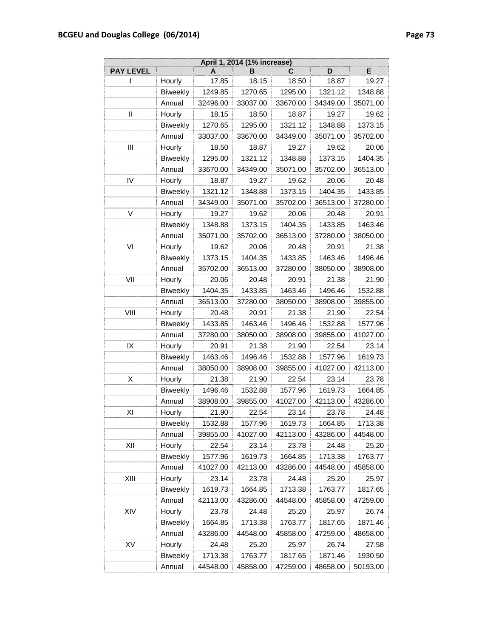| E<br>D<br>в<br>С<br>A<br>17.85<br>18.15<br>19.27<br>ı<br>Hourly<br>18.50<br>18.87<br>1295.00<br><b>Biweekly</b><br>1249.85<br>1270.65<br>1321.12<br>1348.88<br>Annual<br>33037.00<br>33670.00<br>32496.00<br>34349.00<br>35071.00<br>Hourly<br>19.27<br>Ш<br>18.15<br>18.50<br>18.87<br>19.62<br><b>Biweekly</b><br>1270.65<br>1295.00<br>1321.12<br>1348.88<br>1373.15<br>Annual<br>33037.00<br>33670.00<br>34349.00<br>35071.00<br>35702.00<br>Ш<br>Hourly<br>18.50<br>18.87<br>19.27<br>19.62<br>20.06<br>1295.00<br>1321.12<br>1348.88<br>1373.15<br>1404.35<br><b>Biweekly</b><br>33670.00<br>35071.00<br>Annual<br>34349.00<br>35702.00<br>36513.00<br>IV<br>Hourly<br>18.87<br>19.27<br>19.62<br>20.06<br>20.48<br><b>Biweekly</b><br>1321.12<br>1373.15<br>1404.35<br>1348.88<br>1433.85<br>Annual<br>34349.00<br>35071.00<br>35702.00<br>36513.00<br>37280.00<br>V<br>Hourly<br>19.27<br>19.62<br>20.06<br>20.48<br>20.91<br>1348.88<br>1373.15<br>1404.35<br>1433.85<br>1463.46<br><b>Biweekly</b><br>36513.00<br>Annual<br>35071.00<br>35702.00<br>37280.00<br>38050.00<br>VI<br>20.48<br>20.91<br>Hourly<br>19.62<br>20.06<br>21.38<br>1404.35<br>1433.85<br>1463.46<br><b>Biweekly</b><br>1373.15<br>1496.46<br>Annual<br>35702.00<br>36513.00<br>37280.00<br>38050.00<br>38908.00<br>VII<br>Hourly<br>20.06<br>20.48<br>20.91<br>21.38<br>21.90<br><b>Biweekly</b><br>1404.35<br>1433.85<br>1463.46<br>1496.46<br>1532.88<br>Annual<br>36513.00<br>37280.00<br>38050.00<br>38908.00<br>39855.00<br>VIII<br>Hourly<br>20.48<br>20.91<br>21.38<br>21.90<br>22.54<br><b>Biweekly</b><br>1433.85<br>1463.46<br>1496.46<br>1532.88<br>1577.96<br>39855.00<br>Annual<br>37280.00<br>38050.00<br>38908.00<br>41027.00<br>IX<br>Hourly<br>21.38<br>22.54<br>20.91<br>21.90<br>23.14<br><b>Biweekly</b><br>1463.46<br>1496.46<br>1532.88<br>1577.96<br>1619.73<br>Annual<br>38050.00<br>38908.00<br>39855.00<br>41027.00<br>42113.00<br>Χ<br>Hourly<br>21.38<br>21.90<br>22.54<br>23.14<br>23.78<br>Biweekly<br>1577.96<br>1619.73<br>1496.46<br>1532.88<br>1664.85<br>Annual<br>42113.00<br>38908.00<br>39855.00<br>41027.00<br>43286.00<br>ΧI<br>Hourly<br>21.90<br>22.54<br>23.14<br>23.78<br>24.48<br><b>Biweekly</b><br>1577.96<br>1619.73<br>1664.85<br>1532.88<br>1713.38<br>Annual<br>42113.00<br>39855.00<br>41027.00<br>43286.00<br>44548.00<br>Hourly<br>XII<br>22.54<br>23.78<br>24.48<br>23.14<br>25.20<br><b>Biweekly</b><br>1577.96<br>1619.73<br>1664.85<br>1713.38<br>1763.77<br>Annual<br>42113.00<br>43286.00<br>44548.00<br>41027.00<br>45858.00<br>XIII<br>Hourly<br>23.14<br>23.78<br>24.48<br>25.20<br>25.97<br><b>Biweekly</b><br>1619.73<br>1664.85<br>1713.38<br>1763.77<br>1817.65<br>Annual<br>42113.00<br>43286.00<br>44548.00<br>45858.00<br>47259.00<br>XIV<br>Hourly<br>23.78<br>24.48<br>25.20<br>25.97<br>26.74<br><b>Biweekly</b><br>1664.85<br>1713.38<br>1763.77<br>1817.65<br>1871.46<br>Annual<br>43286.00<br>44548.00<br>45858.00<br>47259.00<br>48658.00<br>XV<br>Hourly<br>24.48<br>25.20<br>25.97<br>26.74<br>27.58<br>Biweekly<br>1713.38<br>1763.77<br>1817.65<br>1871.46<br>1930.50 | April 1, 2014 (1% increase) |        |          |          |          |          |          |
|----------------------------------------------------------------------------------------------------------------------------------------------------------------------------------------------------------------------------------------------------------------------------------------------------------------------------------------------------------------------------------------------------------------------------------------------------------------------------------------------------------------------------------------------------------------------------------------------------------------------------------------------------------------------------------------------------------------------------------------------------------------------------------------------------------------------------------------------------------------------------------------------------------------------------------------------------------------------------------------------------------------------------------------------------------------------------------------------------------------------------------------------------------------------------------------------------------------------------------------------------------------------------------------------------------------------------------------------------------------------------------------------------------------------------------------------------------------------------------------------------------------------------------------------------------------------------------------------------------------------------------------------------------------------------------------------------------------------------------------------------------------------------------------------------------------------------------------------------------------------------------------------------------------------------------------------------------------------------------------------------------------------------------------------------------------------------------------------------------------------------------------------------------------------------------------------------------------------------------------------------------------------------------------------------------------------------------------------------------------------------------------------------------------------------------------------------------------------------------------------------------------------------------------------------------------------------------------------------------------------------------------------------------------------------------------------------------------------------------------------------------------------------------------------------------------------------------------------------------------------------------------------------------------------------------------------------------------------------------------------------------------------------------------------------------------------------------------------------------------------------------------|-----------------------------|--------|----------|----------|----------|----------|----------|
|                                                                                                                                                                                                                                                                                                                                                                                                                                                                                                                                                                                                                                                                                                                                                                                                                                                                                                                                                                                                                                                                                                                                                                                                                                                                                                                                                                                                                                                                                                                                                                                                                                                                                                                                                                                                                                                                                                                                                                                                                                                                                                                                                                                                                                                                                                                                                                                                                                                                                                                                                                                                                                                                                                                                                                                                                                                                                                                                                                                                                                                                                                                                        | <b>PAY LEVEL</b>            |        |          |          |          |          |          |
|                                                                                                                                                                                                                                                                                                                                                                                                                                                                                                                                                                                                                                                                                                                                                                                                                                                                                                                                                                                                                                                                                                                                                                                                                                                                                                                                                                                                                                                                                                                                                                                                                                                                                                                                                                                                                                                                                                                                                                                                                                                                                                                                                                                                                                                                                                                                                                                                                                                                                                                                                                                                                                                                                                                                                                                                                                                                                                                                                                                                                                                                                                                                        |                             |        |          |          |          |          |          |
|                                                                                                                                                                                                                                                                                                                                                                                                                                                                                                                                                                                                                                                                                                                                                                                                                                                                                                                                                                                                                                                                                                                                                                                                                                                                                                                                                                                                                                                                                                                                                                                                                                                                                                                                                                                                                                                                                                                                                                                                                                                                                                                                                                                                                                                                                                                                                                                                                                                                                                                                                                                                                                                                                                                                                                                                                                                                                                                                                                                                                                                                                                                                        |                             |        |          |          |          |          |          |
|                                                                                                                                                                                                                                                                                                                                                                                                                                                                                                                                                                                                                                                                                                                                                                                                                                                                                                                                                                                                                                                                                                                                                                                                                                                                                                                                                                                                                                                                                                                                                                                                                                                                                                                                                                                                                                                                                                                                                                                                                                                                                                                                                                                                                                                                                                                                                                                                                                                                                                                                                                                                                                                                                                                                                                                                                                                                                                                                                                                                                                                                                                                                        |                             |        |          |          |          |          |          |
|                                                                                                                                                                                                                                                                                                                                                                                                                                                                                                                                                                                                                                                                                                                                                                                                                                                                                                                                                                                                                                                                                                                                                                                                                                                                                                                                                                                                                                                                                                                                                                                                                                                                                                                                                                                                                                                                                                                                                                                                                                                                                                                                                                                                                                                                                                                                                                                                                                                                                                                                                                                                                                                                                                                                                                                                                                                                                                                                                                                                                                                                                                                                        |                             |        |          |          |          |          |          |
|                                                                                                                                                                                                                                                                                                                                                                                                                                                                                                                                                                                                                                                                                                                                                                                                                                                                                                                                                                                                                                                                                                                                                                                                                                                                                                                                                                                                                                                                                                                                                                                                                                                                                                                                                                                                                                                                                                                                                                                                                                                                                                                                                                                                                                                                                                                                                                                                                                                                                                                                                                                                                                                                                                                                                                                                                                                                                                                                                                                                                                                                                                                                        |                             |        |          |          |          |          |          |
|                                                                                                                                                                                                                                                                                                                                                                                                                                                                                                                                                                                                                                                                                                                                                                                                                                                                                                                                                                                                                                                                                                                                                                                                                                                                                                                                                                                                                                                                                                                                                                                                                                                                                                                                                                                                                                                                                                                                                                                                                                                                                                                                                                                                                                                                                                                                                                                                                                                                                                                                                                                                                                                                                                                                                                                                                                                                                                                                                                                                                                                                                                                                        |                             |        |          |          |          |          |          |
|                                                                                                                                                                                                                                                                                                                                                                                                                                                                                                                                                                                                                                                                                                                                                                                                                                                                                                                                                                                                                                                                                                                                                                                                                                                                                                                                                                                                                                                                                                                                                                                                                                                                                                                                                                                                                                                                                                                                                                                                                                                                                                                                                                                                                                                                                                                                                                                                                                                                                                                                                                                                                                                                                                                                                                                                                                                                                                                                                                                                                                                                                                                                        |                             |        |          |          |          |          |          |
|                                                                                                                                                                                                                                                                                                                                                                                                                                                                                                                                                                                                                                                                                                                                                                                                                                                                                                                                                                                                                                                                                                                                                                                                                                                                                                                                                                                                                                                                                                                                                                                                                                                                                                                                                                                                                                                                                                                                                                                                                                                                                                                                                                                                                                                                                                                                                                                                                                                                                                                                                                                                                                                                                                                                                                                                                                                                                                                                                                                                                                                                                                                                        |                             |        |          |          |          |          |          |
|                                                                                                                                                                                                                                                                                                                                                                                                                                                                                                                                                                                                                                                                                                                                                                                                                                                                                                                                                                                                                                                                                                                                                                                                                                                                                                                                                                                                                                                                                                                                                                                                                                                                                                                                                                                                                                                                                                                                                                                                                                                                                                                                                                                                                                                                                                                                                                                                                                                                                                                                                                                                                                                                                                                                                                                                                                                                                                                                                                                                                                                                                                                                        |                             |        |          |          |          |          |          |
|                                                                                                                                                                                                                                                                                                                                                                                                                                                                                                                                                                                                                                                                                                                                                                                                                                                                                                                                                                                                                                                                                                                                                                                                                                                                                                                                                                                                                                                                                                                                                                                                                                                                                                                                                                                                                                                                                                                                                                                                                                                                                                                                                                                                                                                                                                                                                                                                                                                                                                                                                                                                                                                                                                                                                                                                                                                                                                                                                                                                                                                                                                                                        |                             |        |          |          |          |          |          |
|                                                                                                                                                                                                                                                                                                                                                                                                                                                                                                                                                                                                                                                                                                                                                                                                                                                                                                                                                                                                                                                                                                                                                                                                                                                                                                                                                                                                                                                                                                                                                                                                                                                                                                                                                                                                                                                                                                                                                                                                                                                                                                                                                                                                                                                                                                                                                                                                                                                                                                                                                                                                                                                                                                                                                                                                                                                                                                                                                                                                                                                                                                                                        |                             |        |          |          |          |          |          |
|                                                                                                                                                                                                                                                                                                                                                                                                                                                                                                                                                                                                                                                                                                                                                                                                                                                                                                                                                                                                                                                                                                                                                                                                                                                                                                                                                                                                                                                                                                                                                                                                                                                                                                                                                                                                                                                                                                                                                                                                                                                                                                                                                                                                                                                                                                                                                                                                                                                                                                                                                                                                                                                                                                                                                                                                                                                                                                                                                                                                                                                                                                                                        |                             |        |          |          |          |          |          |
|                                                                                                                                                                                                                                                                                                                                                                                                                                                                                                                                                                                                                                                                                                                                                                                                                                                                                                                                                                                                                                                                                                                                                                                                                                                                                                                                                                                                                                                                                                                                                                                                                                                                                                                                                                                                                                                                                                                                                                                                                                                                                                                                                                                                                                                                                                                                                                                                                                                                                                                                                                                                                                                                                                                                                                                                                                                                                                                                                                                                                                                                                                                                        |                             |        |          |          |          |          |          |
|                                                                                                                                                                                                                                                                                                                                                                                                                                                                                                                                                                                                                                                                                                                                                                                                                                                                                                                                                                                                                                                                                                                                                                                                                                                                                                                                                                                                                                                                                                                                                                                                                                                                                                                                                                                                                                                                                                                                                                                                                                                                                                                                                                                                                                                                                                                                                                                                                                                                                                                                                                                                                                                                                                                                                                                                                                                                                                                                                                                                                                                                                                                                        |                             |        |          |          |          |          |          |
|                                                                                                                                                                                                                                                                                                                                                                                                                                                                                                                                                                                                                                                                                                                                                                                                                                                                                                                                                                                                                                                                                                                                                                                                                                                                                                                                                                                                                                                                                                                                                                                                                                                                                                                                                                                                                                                                                                                                                                                                                                                                                                                                                                                                                                                                                                                                                                                                                                                                                                                                                                                                                                                                                                                                                                                                                                                                                                                                                                                                                                                                                                                                        |                             |        |          |          |          |          |          |
|                                                                                                                                                                                                                                                                                                                                                                                                                                                                                                                                                                                                                                                                                                                                                                                                                                                                                                                                                                                                                                                                                                                                                                                                                                                                                                                                                                                                                                                                                                                                                                                                                                                                                                                                                                                                                                                                                                                                                                                                                                                                                                                                                                                                                                                                                                                                                                                                                                                                                                                                                                                                                                                                                                                                                                                                                                                                                                                                                                                                                                                                                                                                        |                             |        |          |          |          |          |          |
|                                                                                                                                                                                                                                                                                                                                                                                                                                                                                                                                                                                                                                                                                                                                                                                                                                                                                                                                                                                                                                                                                                                                                                                                                                                                                                                                                                                                                                                                                                                                                                                                                                                                                                                                                                                                                                                                                                                                                                                                                                                                                                                                                                                                                                                                                                                                                                                                                                                                                                                                                                                                                                                                                                                                                                                                                                                                                                                                                                                                                                                                                                                                        |                             |        |          |          |          |          |          |
|                                                                                                                                                                                                                                                                                                                                                                                                                                                                                                                                                                                                                                                                                                                                                                                                                                                                                                                                                                                                                                                                                                                                                                                                                                                                                                                                                                                                                                                                                                                                                                                                                                                                                                                                                                                                                                                                                                                                                                                                                                                                                                                                                                                                                                                                                                                                                                                                                                                                                                                                                                                                                                                                                                                                                                                                                                                                                                                                                                                                                                                                                                                                        |                             |        |          |          |          |          |          |
|                                                                                                                                                                                                                                                                                                                                                                                                                                                                                                                                                                                                                                                                                                                                                                                                                                                                                                                                                                                                                                                                                                                                                                                                                                                                                                                                                                                                                                                                                                                                                                                                                                                                                                                                                                                                                                                                                                                                                                                                                                                                                                                                                                                                                                                                                                                                                                                                                                                                                                                                                                                                                                                                                                                                                                                                                                                                                                                                                                                                                                                                                                                                        |                             |        |          |          |          |          |          |
|                                                                                                                                                                                                                                                                                                                                                                                                                                                                                                                                                                                                                                                                                                                                                                                                                                                                                                                                                                                                                                                                                                                                                                                                                                                                                                                                                                                                                                                                                                                                                                                                                                                                                                                                                                                                                                                                                                                                                                                                                                                                                                                                                                                                                                                                                                                                                                                                                                                                                                                                                                                                                                                                                                                                                                                                                                                                                                                                                                                                                                                                                                                                        |                             |        |          |          |          |          |          |
|                                                                                                                                                                                                                                                                                                                                                                                                                                                                                                                                                                                                                                                                                                                                                                                                                                                                                                                                                                                                                                                                                                                                                                                                                                                                                                                                                                                                                                                                                                                                                                                                                                                                                                                                                                                                                                                                                                                                                                                                                                                                                                                                                                                                                                                                                                                                                                                                                                                                                                                                                                                                                                                                                                                                                                                                                                                                                                                                                                                                                                                                                                                                        |                             |        |          |          |          |          |          |
|                                                                                                                                                                                                                                                                                                                                                                                                                                                                                                                                                                                                                                                                                                                                                                                                                                                                                                                                                                                                                                                                                                                                                                                                                                                                                                                                                                                                                                                                                                                                                                                                                                                                                                                                                                                                                                                                                                                                                                                                                                                                                                                                                                                                                                                                                                                                                                                                                                                                                                                                                                                                                                                                                                                                                                                                                                                                                                                                                                                                                                                                                                                                        |                             |        |          |          |          |          |          |
|                                                                                                                                                                                                                                                                                                                                                                                                                                                                                                                                                                                                                                                                                                                                                                                                                                                                                                                                                                                                                                                                                                                                                                                                                                                                                                                                                                                                                                                                                                                                                                                                                                                                                                                                                                                                                                                                                                                                                                                                                                                                                                                                                                                                                                                                                                                                                                                                                                                                                                                                                                                                                                                                                                                                                                                                                                                                                                                                                                                                                                                                                                                                        |                             |        |          |          |          |          |          |
|                                                                                                                                                                                                                                                                                                                                                                                                                                                                                                                                                                                                                                                                                                                                                                                                                                                                                                                                                                                                                                                                                                                                                                                                                                                                                                                                                                                                                                                                                                                                                                                                                                                                                                                                                                                                                                                                                                                                                                                                                                                                                                                                                                                                                                                                                                                                                                                                                                                                                                                                                                                                                                                                                                                                                                                                                                                                                                                                                                                                                                                                                                                                        |                             |        |          |          |          |          |          |
|                                                                                                                                                                                                                                                                                                                                                                                                                                                                                                                                                                                                                                                                                                                                                                                                                                                                                                                                                                                                                                                                                                                                                                                                                                                                                                                                                                                                                                                                                                                                                                                                                                                                                                                                                                                                                                                                                                                                                                                                                                                                                                                                                                                                                                                                                                                                                                                                                                                                                                                                                                                                                                                                                                                                                                                                                                                                                                                                                                                                                                                                                                                                        |                             |        |          |          |          |          |          |
|                                                                                                                                                                                                                                                                                                                                                                                                                                                                                                                                                                                                                                                                                                                                                                                                                                                                                                                                                                                                                                                                                                                                                                                                                                                                                                                                                                                                                                                                                                                                                                                                                                                                                                                                                                                                                                                                                                                                                                                                                                                                                                                                                                                                                                                                                                                                                                                                                                                                                                                                                                                                                                                                                                                                                                                                                                                                                                                                                                                                                                                                                                                                        |                             |        |          |          |          |          |          |
|                                                                                                                                                                                                                                                                                                                                                                                                                                                                                                                                                                                                                                                                                                                                                                                                                                                                                                                                                                                                                                                                                                                                                                                                                                                                                                                                                                                                                                                                                                                                                                                                                                                                                                                                                                                                                                                                                                                                                                                                                                                                                                                                                                                                                                                                                                                                                                                                                                                                                                                                                                                                                                                                                                                                                                                                                                                                                                                                                                                                                                                                                                                                        |                             |        |          |          |          |          |          |
|                                                                                                                                                                                                                                                                                                                                                                                                                                                                                                                                                                                                                                                                                                                                                                                                                                                                                                                                                                                                                                                                                                                                                                                                                                                                                                                                                                                                                                                                                                                                                                                                                                                                                                                                                                                                                                                                                                                                                                                                                                                                                                                                                                                                                                                                                                                                                                                                                                                                                                                                                                                                                                                                                                                                                                                                                                                                                                                                                                                                                                                                                                                                        |                             |        |          |          |          |          |          |
|                                                                                                                                                                                                                                                                                                                                                                                                                                                                                                                                                                                                                                                                                                                                                                                                                                                                                                                                                                                                                                                                                                                                                                                                                                                                                                                                                                                                                                                                                                                                                                                                                                                                                                                                                                                                                                                                                                                                                                                                                                                                                                                                                                                                                                                                                                                                                                                                                                                                                                                                                                                                                                                                                                                                                                                                                                                                                                                                                                                                                                                                                                                                        |                             |        |          |          |          |          |          |
|                                                                                                                                                                                                                                                                                                                                                                                                                                                                                                                                                                                                                                                                                                                                                                                                                                                                                                                                                                                                                                                                                                                                                                                                                                                                                                                                                                                                                                                                                                                                                                                                                                                                                                                                                                                                                                                                                                                                                                                                                                                                                                                                                                                                                                                                                                                                                                                                                                                                                                                                                                                                                                                                                                                                                                                                                                                                                                                                                                                                                                                                                                                                        |                             |        |          |          |          |          |          |
|                                                                                                                                                                                                                                                                                                                                                                                                                                                                                                                                                                                                                                                                                                                                                                                                                                                                                                                                                                                                                                                                                                                                                                                                                                                                                                                                                                                                                                                                                                                                                                                                                                                                                                                                                                                                                                                                                                                                                                                                                                                                                                                                                                                                                                                                                                                                                                                                                                                                                                                                                                                                                                                                                                                                                                                                                                                                                                                                                                                                                                                                                                                                        |                             |        |          |          |          |          |          |
|                                                                                                                                                                                                                                                                                                                                                                                                                                                                                                                                                                                                                                                                                                                                                                                                                                                                                                                                                                                                                                                                                                                                                                                                                                                                                                                                                                                                                                                                                                                                                                                                                                                                                                                                                                                                                                                                                                                                                                                                                                                                                                                                                                                                                                                                                                                                                                                                                                                                                                                                                                                                                                                                                                                                                                                                                                                                                                                                                                                                                                                                                                                                        |                             |        |          |          |          |          |          |
|                                                                                                                                                                                                                                                                                                                                                                                                                                                                                                                                                                                                                                                                                                                                                                                                                                                                                                                                                                                                                                                                                                                                                                                                                                                                                                                                                                                                                                                                                                                                                                                                                                                                                                                                                                                                                                                                                                                                                                                                                                                                                                                                                                                                                                                                                                                                                                                                                                                                                                                                                                                                                                                                                                                                                                                                                                                                                                                                                                                                                                                                                                                                        |                             |        |          |          |          |          |          |
|                                                                                                                                                                                                                                                                                                                                                                                                                                                                                                                                                                                                                                                                                                                                                                                                                                                                                                                                                                                                                                                                                                                                                                                                                                                                                                                                                                                                                                                                                                                                                                                                                                                                                                                                                                                                                                                                                                                                                                                                                                                                                                                                                                                                                                                                                                                                                                                                                                                                                                                                                                                                                                                                                                                                                                                                                                                                                                                                                                                                                                                                                                                                        |                             |        |          |          |          |          |          |
|                                                                                                                                                                                                                                                                                                                                                                                                                                                                                                                                                                                                                                                                                                                                                                                                                                                                                                                                                                                                                                                                                                                                                                                                                                                                                                                                                                                                                                                                                                                                                                                                                                                                                                                                                                                                                                                                                                                                                                                                                                                                                                                                                                                                                                                                                                                                                                                                                                                                                                                                                                                                                                                                                                                                                                                                                                                                                                                                                                                                                                                                                                                                        |                             |        |          |          |          |          |          |
|                                                                                                                                                                                                                                                                                                                                                                                                                                                                                                                                                                                                                                                                                                                                                                                                                                                                                                                                                                                                                                                                                                                                                                                                                                                                                                                                                                                                                                                                                                                                                                                                                                                                                                                                                                                                                                                                                                                                                                                                                                                                                                                                                                                                                                                                                                                                                                                                                                                                                                                                                                                                                                                                                                                                                                                                                                                                                                                                                                                                                                                                                                                                        |                             |        |          |          |          |          |          |
|                                                                                                                                                                                                                                                                                                                                                                                                                                                                                                                                                                                                                                                                                                                                                                                                                                                                                                                                                                                                                                                                                                                                                                                                                                                                                                                                                                                                                                                                                                                                                                                                                                                                                                                                                                                                                                                                                                                                                                                                                                                                                                                                                                                                                                                                                                                                                                                                                                                                                                                                                                                                                                                                                                                                                                                                                                                                                                                                                                                                                                                                                                                                        |                             |        |          |          |          |          |          |
|                                                                                                                                                                                                                                                                                                                                                                                                                                                                                                                                                                                                                                                                                                                                                                                                                                                                                                                                                                                                                                                                                                                                                                                                                                                                                                                                                                                                                                                                                                                                                                                                                                                                                                                                                                                                                                                                                                                                                                                                                                                                                                                                                                                                                                                                                                                                                                                                                                                                                                                                                                                                                                                                                                                                                                                                                                                                                                                                                                                                                                                                                                                                        |                             |        |          |          |          |          |          |
|                                                                                                                                                                                                                                                                                                                                                                                                                                                                                                                                                                                                                                                                                                                                                                                                                                                                                                                                                                                                                                                                                                                                                                                                                                                                                                                                                                                                                                                                                                                                                                                                                                                                                                                                                                                                                                                                                                                                                                                                                                                                                                                                                                                                                                                                                                                                                                                                                                                                                                                                                                                                                                                                                                                                                                                                                                                                                                                                                                                                                                                                                                                                        |                             |        |          |          |          |          |          |
|                                                                                                                                                                                                                                                                                                                                                                                                                                                                                                                                                                                                                                                                                                                                                                                                                                                                                                                                                                                                                                                                                                                                                                                                                                                                                                                                                                                                                                                                                                                                                                                                                                                                                                                                                                                                                                                                                                                                                                                                                                                                                                                                                                                                                                                                                                                                                                                                                                                                                                                                                                                                                                                                                                                                                                                                                                                                                                                                                                                                                                                                                                                                        |                             |        |          |          |          |          |          |
|                                                                                                                                                                                                                                                                                                                                                                                                                                                                                                                                                                                                                                                                                                                                                                                                                                                                                                                                                                                                                                                                                                                                                                                                                                                                                                                                                                                                                                                                                                                                                                                                                                                                                                                                                                                                                                                                                                                                                                                                                                                                                                                                                                                                                                                                                                                                                                                                                                                                                                                                                                                                                                                                                                                                                                                                                                                                                                                                                                                                                                                                                                                                        |                             |        |          |          |          |          |          |
|                                                                                                                                                                                                                                                                                                                                                                                                                                                                                                                                                                                                                                                                                                                                                                                                                                                                                                                                                                                                                                                                                                                                                                                                                                                                                                                                                                                                                                                                                                                                                                                                                                                                                                                                                                                                                                                                                                                                                                                                                                                                                                                                                                                                                                                                                                                                                                                                                                                                                                                                                                                                                                                                                                                                                                                                                                                                                                                                                                                                                                                                                                                                        |                             |        |          |          |          |          |          |
|                                                                                                                                                                                                                                                                                                                                                                                                                                                                                                                                                                                                                                                                                                                                                                                                                                                                                                                                                                                                                                                                                                                                                                                                                                                                                                                                                                                                                                                                                                                                                                                                                                                                                                                                                                                                                                                                                                                                                                                                                                                                                                                                                                                                                                                                                                                                                                                                                                                                                                                                                                                                                                                                                                                                                                                                                                                                                                                                                                                                                                                                                                                                        |                             |        |          |          |          |          |          |
|                                                                                                                                                                                                                                                                                                                                                                                                                                                                                                                                                                                                                                                                                                                                                                                                                                                                                                                                                                                                                                                                                                                                                                                                                                                                                                                                                                                                                                                                                                                                                                                                                                                                                                                                                                                                                                                                                                                                                                                                                                                                                                                                                                                                                                                                                                                                                                                                                                                                                                                                                                                                                                                                                                                                                                                                                                                                                                                                                                                                                                                                                                                                        |                             |        |          |          |          |          |          |
|                                                                                                                                                                                                                                                                                                                                                                                                                                                                                                                                                                                                                                                                                                                                                                                                                                                                                                                                                                                                                                                                                                                                                                                                                                                                                                                                                                                                                                                                                                                                                                                                                                                                                                                                                                                                                                                                                                                                                                                                                                                                                                                                                                                                                                                                                                                                                                                                                                                                                                                                                                                                                                                                                                                                                                                                                                                                                                                                                                                                                                                                                                                                        |                             | Annual | 44548.00 | 45858.00 | 47259.00 | 48658.00 | 50193.00 |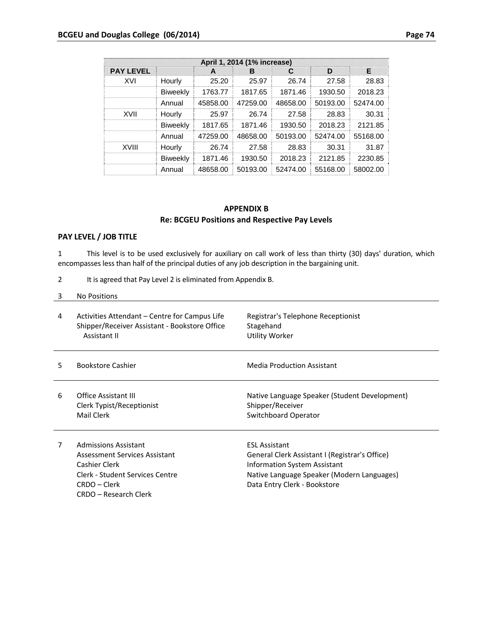| April 1, 2014 (1% increase) |                 |          |          |          |          |          |  |
|-----------------------------|-----------------|----------|----------|----------|----------|----------|--|
| <b>PAY LEVEL</b>            |                 | A        | в        | C        | D        | Е        |  |
| XVI                         | Hourly          | 25.20    | 25.97    | 26.74    | 27.58    | 28.83    |  |
|                             | <b>Biweekly</b> | 1763.77  | 1817.65  | 1871.46  | 1930.50  | 2018.23  |  |
|                             | Annual          | 45858.00 | 47259.00 | 48658.00 | 50193.00 | 52474.00 |  |
| XVII                        | Hourly          | 25.97    | 26.74    | 27.58    | 28.83    | 30.31    |  |
|                             | <b>Biweekly</b> | 1817.65  | 1871.46  | 1930.50  | 2018.23  | 2121.85  |  |
|                             | Annual          | 47259.00 | 48658.00 | 50193.00 | 52474.00 | 55168.00 |  |
| <b>XVIII</b>                | Hourly          | 26.74    | 27.58    | 28.83    | 30.31    | 31.87    |  |
|                             | <b>Biweekly</b> | 1871.46  | 1930.50  | 2018.23  | 2121.85  | 2230.85  |  |
|                             | Annual          | 48658.00 | 50193.00 | 52474.00 | 55168.00 | 58002.00 |  |

## **APPENDIX B Re: BCGEU Positions and Respective Pay Levels**

### **PAY LEVEL / JOB TITLE**

1 This level is to be used exclusively for auxiliary on call work of less than thirty (30) days' duration, which encompasses less than half of the principal duties of any job description in the bargaining unit.

2 It is agreed that Pay Level 2 is eliminated from Appendix B.

| 4  | Activities Attendant – Centre for Campus Life<br>Shipper/Receiver Assistant - Bookstore Office<br>Assistant II | Registrar's Telephone Receptionist<br>Stagehand<br>Utility Worker                         |
|----|----------------------------------------------------------------------------------------------------------------|-------------------------------------------------------------------------------------------|
| 5. | <b>Bookstore Cashier</b>                                                                                       | <b>Media Production Assistant</b>                                                         |
| 6  | <b>Office Assistant III</b><br>Clerk Typist/Receptionist<br>Mail Clerk                                         | Native Language Speaker (Student Development)<br>Shipper/Receiver<br>Switchboard Operator |
| 7  | Admissions Assistant<br>Assessment Services Assistant                                                          | <b>ESL Assistant</b><br>General Clerk Assistant I (Registrar's Office)                    |

Assessment Services Assistant Cashier Clerk Clerk ‐ Student Services Centre CRDO – Clerk CRDO – Research Clerk

General Clerk Assistant I (Registrar's Office) Information System Assistant Native Language Speaker (Modern Languages) Data Entry Clerk ‐ Bookstore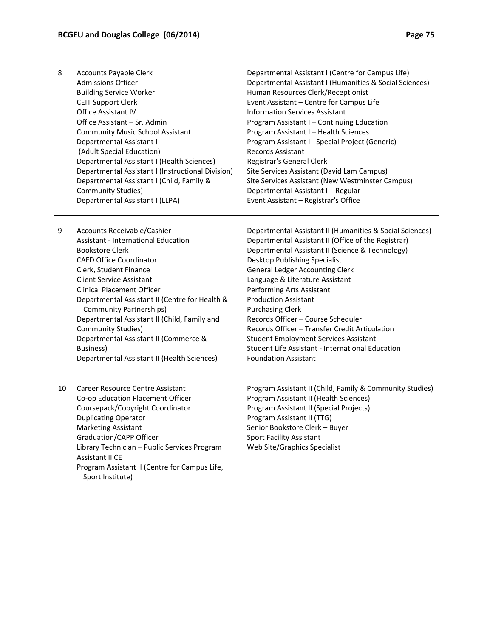- 8 Accounts Payable Clerk Admissions Officer Building Service Worker CEIT Support Clerk Office Assistant IV Office Assistant – Sr. Admin Community Music School Assistant Departmental Assistant I (Adult Special Education) Departmental Assistant I (Health Sciences) Departmental Assistant I (Instructional Division) Departmental Assistant I (Centre for Campus Life) Departmental Assistant I (Humanities & Social Sciences) Human Resources Clerk/Receptionist Event Assistant – Centre for Campus Life Information Services Assistant Program Assistant I – Continuing Education Program Assistant I – Health Sciences Program Assistant I ‐ Special Project (Generic) Records Assistant Registrar's General Clerk
	- Departmental Assistant I (Child, Family & Community Studies) Departmental Assistant I (LLPA) Site Services Assistant (David Lam Campus) Site Services Assistant (New Westminster Campus) Departmental Assistant I – Regular Event Assistant – Registrar's Office
- 9 Accounts Receivable/Cashier Assistant ‐ International Education Bookstore Clerk CAFD Office Coordinator Clerk, Student Finance Client Service Assistant Clinical Placement Officer Departmental Assistant II (Centre for Health & Community Partnerships) Departmental Assistant II (Child, Family and Community Studies) Departmental Assistant II (Commerce & Business) Departmental Assistant II (Health Sciences)
- Departmental Assistant II (Humanities & Social Sciences) Departmental Assistant II (Office of the Registrar) Departmental Assistant II (Science & Technology) Desktop Publishing Specialist General Ledger Accounting Clerk Language & Literature Assistant Performing Arts Assistant Production Assistant Purchasing Clerk Records Officer – Course Scheduler Records Officer – Transfer Credit Articulation Student Employment Services Assistant Student Life Assistant ‐ International Education Foundation Assistant
- 10 Career Resource Centre Assistant Co‐op Education Placement Officer Coursepack/Copyright Coordinator Duplicating Operator Marketing Assistant Graduation/CAPP Officer Library Technician – Public Services Program Assistant II CE Program Assistant II (Centre for Campus Life, Sport Institute)
- Program Assistant II (Child, Family & Community Studies) Program Assistant II (Health Sciences) Program Assistant II (Special Projects) Program Assistant II (TTG) Senior Bookstore Clerk – Buyer Sport Facility Assistant Web Site/Graphics Specialist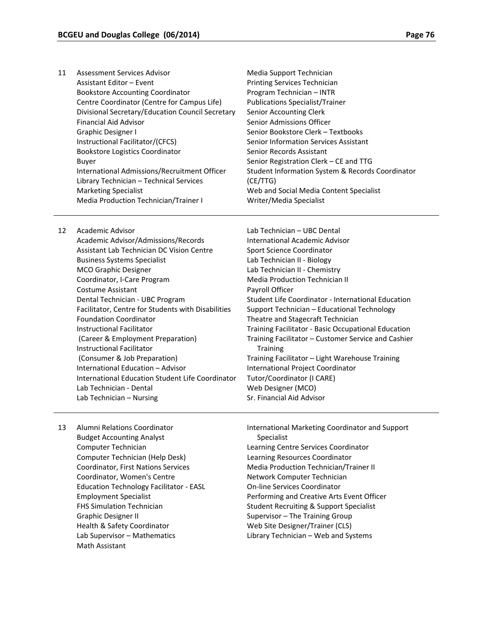| 11 | Assessment Services Advisor                      | Media Support Technician                         |
|----|--------------------------------------------------|--------------------------------------------------|
|    | Assistant Editor - Event                         | <b>Printing Services Technician</b>              |
|    | <b>Bookstore Accounting Coordinator</b>          | Program Technician - INTR                        |
|    | Centre Coordinator (Centre for Campus Life)      | <b>Publications Specialist/Trainer</b>           |
|    | Divisional Secretary/Education Council Secretary | Senior Accounting Clerk                          |
|    | <b>Financial Aid Advisor</b>                     | Senior Admissions Officer                        |
|    | Graphic Designer I                               | Senior Bookstore Clerk - Textbooks               |
|    | Instructional Facilitator/(CFCS)                 | Senior Information Services Assistant            |
|    | <b>Bookstore Logistics Coordinator</b>           | Senior Records Assistant                         |
|    | Buyer                                            | Senior Registration Clerk - CE and TTG           |
|    | International Admissions/Recruitment Officer     | Student Information System & Records Coordinator |
|    | Library Technician - Technical Services          | (CE/TTG)                                         |
|    | <b>Marketing Specialist</b>                      | Web and Social Media Content Specialist          |
|    | <b>Media Production Technician/Trainer I</b>     | Writer/Media Specialist                          |
|    |                                                  |                                                  |

12 Academic Advisor Academic Advisor/Admissions/Records Assistant Lab Technician DC Vision Centre Business Systems Specialist MCO Graphic Designer Coordinator, I‐Care Program Costume Assistant Dental Technician ‐ UBC Program Facilitator, Centre for Students with Disabilities Foundation Coordinator Instructional Facilitator (Career & Employment Preparation) Instructional Facilitator (Consumer & Job Preparation) International Education – Advisor International Education Student Life Coordinator Lab Technician ‐ Dental Lab Technician – Nursing

Lab Technician – UBC Dental International Academic Advisor Sport Science Coordinator Lab Technician II ‐ Biology Lab Technician II ‐ Chemistry Media Production Technician II Payroll Officer Student Life Coordinator ‐ International Education Support Technician – Educational Technology Theatre and Stagecraft Technician Training Facilitator ‐ Basic Occupational Education Training Facilitator – Customer Service and Cashier **Training** Training Facilitator – Light Warehouse Training International Project Coordinator Tutor/Coordinator (I CARE) Web Designer (MCO) Sr. Financial Aid Advisor

13 Alumni Relations Coordinator Budget Accounting Analyst Computer Technician Computer Technician (Help Desk) Coordinator, First Nations Services Coordinator, Women's Centre Education Technology Facilitator ‐ EASL Employment Specialist FHS Simulation Technician Graphic Designer II Health & Safety Coordinator Lab Supervisor – Mathematics Math Assistant

International Marketing Coordinator and Support Specialist Learning Centre Services Coordinator Learning Resources Coordinator Media Production Technician/Trainer II Network Computer Technician On‐line Services Coordinator Performing and Creative Arts Event Officer Student Recruiting & Support Specialist Supervisor – The Training Group Web Site Designer/Trainer (CLS) Library Technician – Web and Systems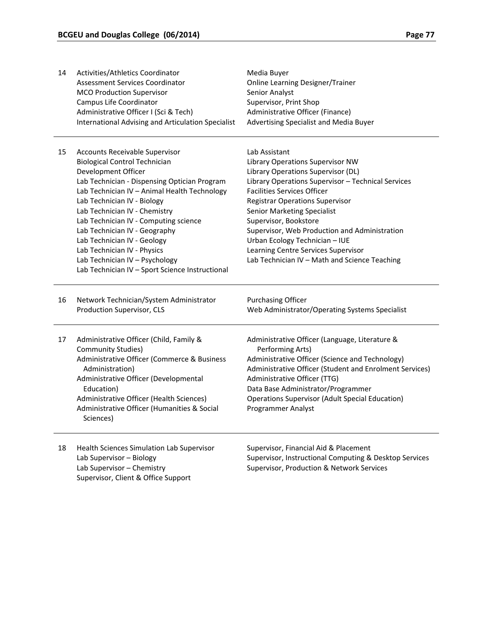| 14 | Activities/Athletics Coordinator<br>Assessment Services Coordinator<br><b>MCO Production Supervisor</b><br>Campus Life Coordinator | Media Buyer<br><b>Online Learning Designer/Trainer</b><br>Senior Analyst<br>Supervisor, Print Shop |
|----|------------------------------------------------------------------------------------------------------------------------------------|----------------------------------------------------------------------------------------------------|
|    | Administrative Officer I (Sci & Tech)<br>International Advising and Articulation Specialist                                        | Administrative Officer (Finance)<br>Advertising Specialist and Media Buyer                         |
| 15 | Accounts Receivable Supervisor                                                                                                     | Lab Assistant                                                                                      |
|    | <b>Biological Control Technician</b>                                                                                               | Library Operations Supervisor NW                                                                   |
|    | Development Officer                                                                                                                | Library Operations Supervisor (DL)                                                                 |
|    | Lab Technician - Dispensing Optician Program                                                                                       | Library Operations Supervisor - Technical Services                                                 |
|    | Lab Technician IV - Animal Health Technology                                                                                       | <b>Facilities Services Officer</b>                                                                 |
|    | Lab Technician IV - Biology                                                                                                        | <b>Registrar Operations Supervisor</b>                                                             |
|    | Lab Technician IV - Chemistry                                                                                                      | <b>Senior Marketing Specialist</b>                                                                 |
|    | Lab Technician IV - Computing science<br>Lab Technician IV - Geography                                                             | Supervisor, Bookstore<br>Supervisor, Web Production and Administration                             |
|    | Lab Technician IV - Geology                                                                                                        | Urban Ecology Technician - IUE                                                                     |
|    | Lab Technician IV - Physics                                                                                                        | Learning Centre Services Supervisor                                                                |
|    | Lab Technician IV - Psychology                                                                                                     | Lab Technician IV - Math and Science Teaching                                                      |
|    | Lab Technician IV - Sport Science Instructional                                                                                    |                                                                                                    |
| 16 | Network Technician/System Administrator                                                                                            | <b>Purchasing Officer</b>                                                                          |
|    | Production Supervisor, CLS                                                                                                         | Web Administrator/Operating Systems Specialist                                                     |
| 17 | Administrative Officer (Child, Family &<br><b>Community Studies)</b>                                                               | Administrative Officer (Language, Literature &<br>Performing Arts)                                 |
|    | Administrative Officer (Commerce & Business                                                                                        | Administrative Officer (Science and Technology)                                                    |
|    | Administration)                                                                                                                    | Administrative Officer (Student and Enrolment Services)                                            |
|    | Administrative Officer (Developmental                                                                                              | Administrative Officer (TTG)                                                                       |
|    | Education)                                                                                                                         | Data Base Administrator/Programmer                                                                 |
|    | Administrative Officer (Health Sciences)                                                                                           | <b>Operations Supervisor (Adult Special Education)</b>                                             |
|    | Administrative Officer (Humanities & Social<br>Sciences)                                                                           | Programmer Analyst                                                                                 |
| 18 | Health Sciences Simulation Lab Supervisor                                                                                          | Supervisor, Financial Aid & Placement                                                              |
|    | Lab Supervisor - Biology                                                                                                           | Supervisor, Instructional Computing & Desktop Services                                             |
|    | Lab Supervisor - Chemistry                                                                                                         | Supervisor, Production & Network Services                                                          |

Supervisor, Client & Office Support

Supervisor, Production & Network Services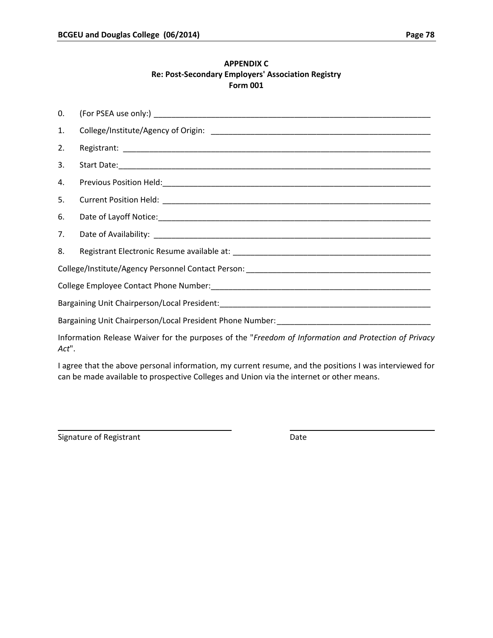### **APPENDIX C Re: Post‐Secondary Employers' Association Registry Form 001**

| $\Omega$ . |                                                                                                      |
|------------|------------------------------------------------------------------------------------------------------|
| 1.         |                                                                                                      |
| 2.         |                                                                                                      |
| 3.         |                                                                                                      |
| 4.         |                                                                                                      |
| 5.         |                                                                                                      |
| 6.         |                                                                                                      |
| 7.         |                                                                                                      |
| 8.         |                                                                                                      |
|            |                                                                                                      |
|            |                                                                                                      |
|            |                                                                                                      |
|            |                                                                                                      |
| Act".      | Information Release Waiver for the purposes of the "Freedom of Information and Protection of Privacy |

I agree that the above personal information, my current resume, and the positions I was interviewed for can be made available to prospective Colleges and Union via the internet or other means.

<u> 2008 - Andrea State Barbara, amerikan personal di sebagai personal di sebagai personal di sebagai personal d</u>

Signature of Registrant Date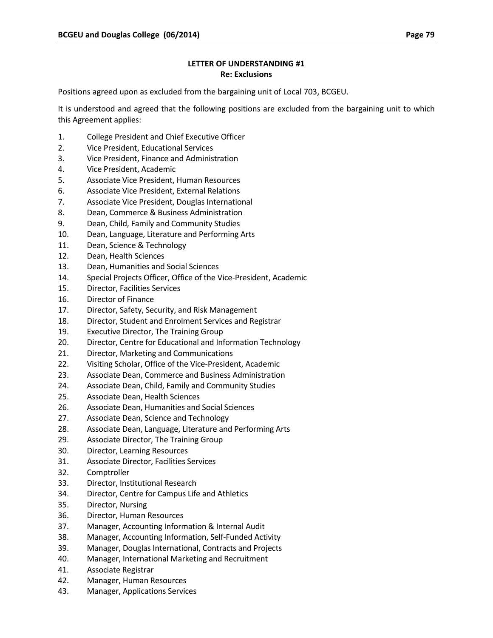## **LETTER OF UNDERSTANDING #1 Re: Exclusions**

Positions agreed upon as excluded from the bargaining unit of Local 703, BCGEU.

It is understood and agreed that the following positions are excluded from the bargaining unit to which this Agreement applies:

- 1. College President and Chief Executive Officer
- 2. Vice President, Educational Services
- 3. Vice President, Finance and Administration
- 4. Vice President, Academic
- 5. Associate Vice President, Human Resources
- 6. Associate Vice President, External Relations
- 7. Associate Vice President, Douglas International
- 8. Dean, Commerce & Business Administration
- 9. Dean, Child, Family and Community Studies
- 10. Dean, Language, Literature and Performing Arts
- 11. Dean, Science & Technology
- 12. Dean, Health Sciences
- 13. Dean, Humanities and Social Sciences
- 14. Special Projects Officer, Office of the Vice-President, Academic
- 15. Director, Facilities Services
- 16. Director of Finance
- 17. Director, Safety, Security, and Risk Management
- 18. Director, Student and Enrolment Services and Registrar
- 19. Executive Director, The Training Group
- 20. Director, Centre for Educational and Information Technology
- 21. Director, Marketing and Communications
- 22. Visiting Scholar, Office of the Vice-President, Academic
- 23. Associate Dean, Commerce and Business Administration
- 24. Associate Dean, Child, Family and Community Studies
- 25. Associate Dean, Health Sciences
- 26. Associate Dean, Humanities and Social Sciences
- 27. Associate Dean, Science and Technology
- 28. Associate Dean, Language, Literature and Performing Arts
- 29. Associate Director, The Training Group
- 30. Director, Learning Resources
- 31. Associate Director, Facilities Services
- 32. Comptroller
- 33. Director, Institutional Research
- 34. Director, Centre for Campus Life and Athletics
- 35. Director, Nursing
- 36. Director, Human Resources
- 37. Manager, Accounting Information & Internal Audit
- 38. Manager, Accounting Information, Self‐Funded Activity
- 39. Manager, Douglas International, Contracts and Projects
- 40. Manager, International Marketing and Recruitment
- 41. Associate Registrar
- 42. Manager, Human Resources
- 43. Manager, Applications Services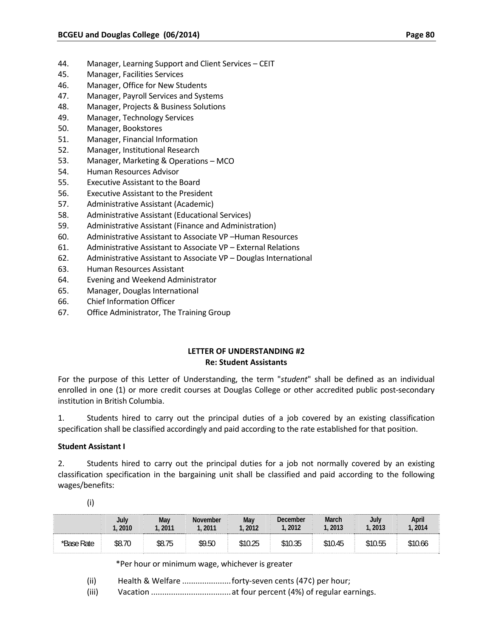- 44. Manager, Learning Support and Client Services CEIT
- 45. Manager, Facilities Services
- 46. Manager, Office for New Students
- 47. Manager, Payroll Services and Systems
- 48. Manager, Projects & Business Solutions
- 49. Manager, Technology Services
- 50. Manager, Bookstores
- 51. Manager, Financial Information
- 52. Manager, Institutional Research
- 53. Manager, Marketing & Operations MCO
- 54. Human Resources Advisor
- 55. Executive Assistant to the Board
- 56. Executive Assistant to the President
- 57. Administrative Assistant (Academic)
- 58. Administrative Assistant (Educational Services)
- 59. Administrative Assistant (Finance and Administration)
- 60. Administrative Assistant to Associate VP –Human Resources
- 61. Administrative Assistant to Associate VP External Relations
- 62. Administrative Assistant to Associate VP Douglas International
- 63. Human Resources Assistant
- 64. Evening and Weekend Administrator
- 65. Manager, Douglas International
- 66. Chief Information Officer
- 67. Office Administrator, The Training Group

### **LETTER OF UNDERSTANDING #2 Re: Student Assistants**

For the purpose of this Letter of Understanding, the term "*student*" shall be defined as an individual enrolled in one (1) or more credit courses at Douglas College or other accredited public post-secondary institution in British Columbia.

1. Students hired to carry out the principal duties of a job covered by an existing classification specification shall be classified accordingly and paid according to the rate established for that position.

#### **Student Assistant I**

2. Students hired to carry out the principal duties for a job not normally covered by an existing classification specification in the bargaining unit shall be classified and paid according to the following wages/benefits:

|            | July   | May    | November | May     | December | <b>March</b> | July    | April   |
|------------|--------|--------|----------|---------|----------|--------------|---------|---------|
|            | . 2010 | 2011   | 2011     | 2012    | . 2012   | .2013        | 1, 2013 | 1,2014  |
| *Base Rate | \$8.70 | \$8.75 | \$9.50   | \$10.25 | \$10.35  | \$10.45      | \$10.55 | \$10.66 |

(i)

\*Per hour or minimum wage, whichever is greater

- (ii) Health & Welfare ..........................forty-seven cents (47¢) per hour;
- (iii) Vacation ....................................at four percent (4%) of regular earnings.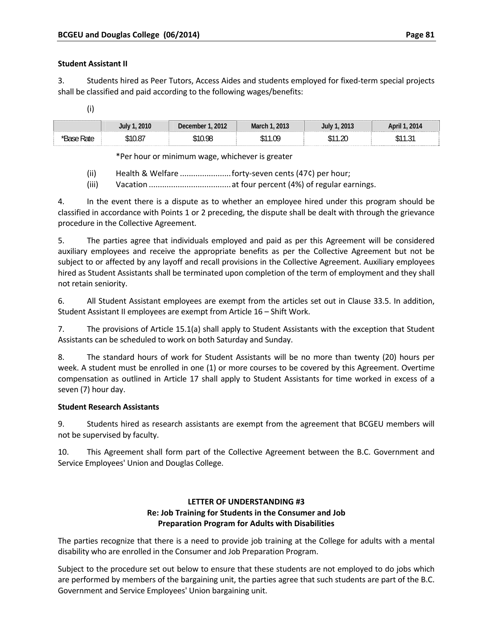### **Student Assistant II**

3. Students hired as Peer Tutors, Access Aides and students employed for fixed‐term special projects shall be classified and paid according to the following wages/benefits:

| วกาก | 2012 | 2013<br>Marc | 2013       | 2014            |
|------|------|--------------|------------|-----------------|
| ∩ 07 | O    | na<br>I.U    | .20<br>ሖ ብ | $\sim$<br>ا ب ا |

\*Per hour or minimum wage, whichever is greater

- (ii) Health & Welfare .......................forty‐seven cents (47¢) per hour;
- (iii) Vacation .....................................at four percent (4%) of regular earnings.

4. In the event there is a dispute as to whether an employee hired under this program should be classified in accordance with Points 1 or 2 preceding, the dispute shall be dealt with through the grievance procedure in the Collective Agreement.

5. The parties agree that individuals employed and paid as per this Agreement will be considered auxiliary employees and receive the appropriate benefits as per the Collective Agreement but not be subject to or affected by any layoff and recall provisions in the Collective Agreement. Auxiliary employees hired as Student Assistants shall be terminated upon completion of the term of employment and they shall not retain seniority.

6. All Student Assistant employees are exempt from the articles set out in Clause 33.5. In addition, Student Assistant II employees are exempt from Article 16 – Shift Work.

7. The provisions of Article 15.1(a) shall apply to Student Assistants with the exception that Student Assistants can be scheduled to work on both Saturday and Sunday.

8. The standard hours of work for Student Assistants will be no more than twenty (20) hours per week. A student must be enrolled in one (1) or more courses to be covered by this Agreement. Overtime compensation as outlined in Article 17 shall apply to Student Assistants for time worked in excess of a seven (7) hour day.

### **Student Research Assistants**

9. Students hired as research assistants are exempt from the agreement that BCGEU members will not be supervised by faculty.

10. This Agreement shall form part of the Collective Agreement between the B.C. Government and Service Employees' Union and Douglas College.

## **LETTER OF UNDERSTANDING #3 Re: Job Training for Students in the Consumer and Job Preparation Program for Adults with Disabilities**

The parties recognize that there is a need to provide job training at the College for adults with a mental disability who are enrolled in the Consumer and Job Preparation Program.

Subject to the procedure set out below to ensure that these students are not employed to do jobs which are performed by members of the bargaining unit, the parties agree that such students are part of the B.C. Government and Service Employees' Union bargaining unit.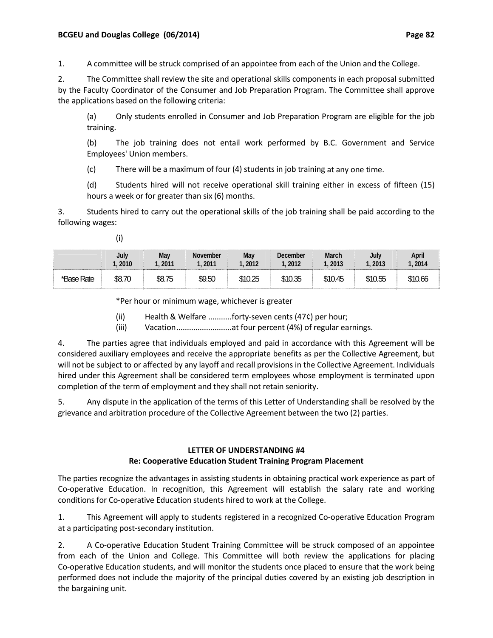1. A committee will be struck comprised of an appointee from each of the Union and the College.

2. The Committee shall review the site and operational skills components in each proposal submitted by the Faculty Coordinator of the Consumer and Job Preparation Program. The Committee shall approve the applications based on the following criteria:

(a) Only students enrolled in Consumer and Job Preparation Program are eligible for the job training.

(b) The job training does not entail work performed by B.C. Government and Service Employees' Union members.

(c) There will be a maximum of four (4) students in job training at any one time.

(d) Students hired will not receive operational skill training either in excess of fifteen (15) hours a week or for greater than six (6) months.

3. Students hired to carry out the operational skills of the job training shall be paid according to the following wages:

(i)

|            | <b>July</b> | Mav    | <b>November</b> | May     | December | <b>March</b> | July    | April   |
|------------|-------------|--------|-----------------|---------|----------|--------------|---------|---------|
|            | .2010       | 2011   | . 2011          | 2012    | 2012     | .2013        | . 2013  | . 2014  |
| *Base Rate | \$8.70      | \$8.75 | \$9.50          | \$10.25 | \$10.35  | \$10.45      | \$10.55 | \$10.66 |

\*Per hour or minimum wage, whichever is greater

(ii) Health & Welfare ...........forty‐seven cents (47¢) per hour;

(iii) Vacation................................at four percent (4%) of regular earnings.

4. The parties agree that individuals employed and paid in accordance with this Agreement will be considered auxiliary employees and receive the appropriate benefits as per the Collective Agreement, but will not be subject to or affected by any layoff and recall provisions in the Collective Agreement. Individuals hired under this Agreement shall be considered term employees whose employment is terminated upon completion of the term of employment and they shall not retain seniority.

5. Any dispute in the application of the terms of this Letter of Understanding shall be resolved by the grievance and arbitration procedure of the Collective Agreement between the two (2) parties.

### **LETTER OF UNDERSTANDING #4 Re: Cooperative Education Student Training Program Placement**

The parties recognize the advantages in assisting students in obtaining practical work experience as part of Co-operative Education. In recognition, this Agreement will establish the salary rate and working conditions for Co‐operative Education students hired to work at the College.

1. This Agreement will apply to students registered in a recognized Co-operative Education Program at a participating post‐secondary institution.

2. A Co-operative Education Student Training Committee will be struck composed of an appointee from each of the Union and College. This Committee will both review the applications for placing Co-operative Education students, and will monitor the students once placed to ensure that the work being performed does not include the majority of the principal duties covered by an existing job description in the bargaining unit.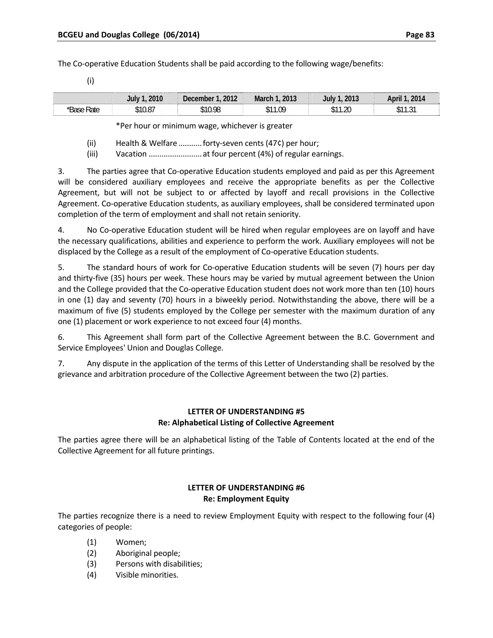The Co-operative Education Students shall be paid according to the following wage/benefits:

|      | 2010<br>aulve 7 | 2012<br>December | 2013<br>March | 2013<br>aniv | 2014            |
|------|-----------------|------------------|---------------|--------------|-----------------|
| 'ate | 10.87,          | \$10.98          | \$11.09       | \$11.20      | ົດ 1<br>- 11.91 |

\*Per hour or minimum wage, whichever is greater

(ii) Health & Welfare ...........forty‐seven cents (47¢) per hour;

(iii) Vacation ............................ at four percent (4%) of regular earnings.

3. The parties agree that Co-operative Education students employed and paid as per this Agreement will be considered auxiliary employees and receive the appropriate benefits as per the Collective Agreement, but will not be subject to or affected by layoff and recall provisions in the Collective Agreement. Co‐operative Education students, as auxiliary employees, shall be considered terminated upon completion of the term of employment and shall not retain seniority.

4. No Co-operative Education student will be hired when regular employees are on layoff and have the necessary qualifications, abilities and experience to perform the work. Auxiliary employees will not be displaced by the College as a result of the employment of Co-operative Education students.

5. The standard hours of work for Co-operative Education students will be seven (7) hours per day and thirty-five (35) hours per week. These hours may be varied by mutual agreement between the Union and the College provided that the Co-operative Education student does not work more than ten (10) hours in one (1) day and seventy (70) hours in a biweekly period. Notwithstanding the above, there will be a maximum of five (5) students employed by the College per semester with the maximum duration of any one (1) placement or work experience to not exceed four (4) months.

6. This Agreement shall form part of the Collective Agreement between the B.C. Government and Service Employees' Union and Douglas College.

7. Any dispute in the application of the terms of this Letter of Understanding shall be resolved by the grievance and arbitration procedure of the Collective Agreement between the two (2) parties.

## **LETTER OF UNDERSTANDING #5 Re: Alphabetical Listing of Collective Agreement**

The parties agree there will be an alphabetical listing of the Table of Contents located at the end of the Collective Agreement for all future printings.

## **LETTER OF UNDERSTANDING #6 Re: Employment Equity**

The parties recognize there is a need to review Employment Equity with respect to the following four (4) categories of people:

- (1) Women;
- (2) Aboriginal people;
- (3) Persons with disabilities;
- (4) Visible minorities.

(i)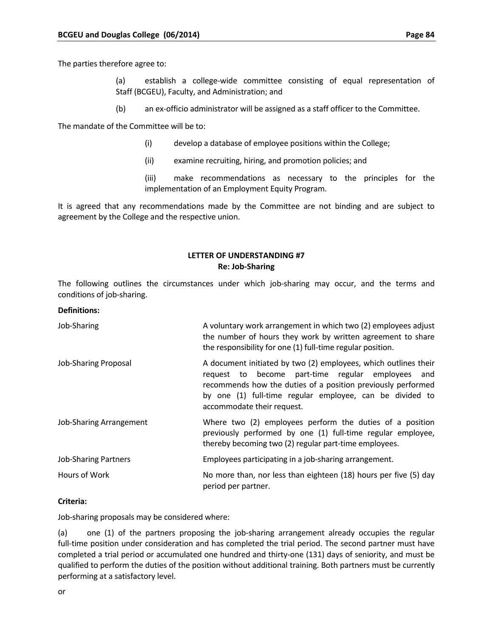The parties therefore agree to:

(a) establish a college‐wide committee consisting of equal representation of Staff (BCGEU), Faculty, and Administration; and

(b) an ex‐officio administrator will be assigned as a staff officer to the Committee.

The mandate of the Committee will be to:

- (i) develop a database of employee positions within the College;
- (ii) examine recruiting, hiring, and promotion policies; and

(iii) make recommendations as necessary to the principles for the implementation of an Employment Equity Program.

It is agreed that any recommendations made by the Committee are not binding and are subject to agreement by the College and the respective union.

### **LETTER OF UNDERSTANDING #7 Re: Job‐Sharing**

The following outlines the circumstances under which job-sharing may occur, and the terms and conditions of job‐sharing.

#### **Definitions:**

| Job-Sharing                 | A voluntary work arrangement in which two (2) employees adjust<br>the number of hours they work by written agreement to share<br>the responsibility for one (1) full-time regular position.                                                                                    |
|-----------------------------|--------------------------------------------------------------------------------------------------------------------------------------------------------------------------------------------------------------------------------------------------------------------------------|
| Job-Sharing Proposal        | A document initiated by two (2) employees, which outlines their<br>request to become part-time regular employees and<br>recommends how the duties of a position previously performed<br>by one (1) full-time regular employee, can be divided to<br>accommodate their request. |
| Job-Sharing Arrangement     | Where two (2) employees perform the duties of a position<br>previously performed by one (1) full-time regular employee,<br>thereby becoming two (2) regular part-time employees.                                                                                               |
| <b>Job-Sharing Partners</b> | Employees participating in a job-sharing arrangement.                                                                                                                                                                                                                          |
| Hours of Work               | No more than, nor less than eighteen (18) hours per five (5) day<br>period per partner.                                                                                                                                                                                        |

#### **Criteria:**

Job-sharing proposals may be considered where:

(a) one (1) of the partners proposing the job‐sharing arrangement already occupies the regular full-time position under consideration and has completed the trial period. The second partner must have completed a trial period or accumulated one hundred and thirty‐one (131) days of seniority, and must be qualified to perform the duties of the position without additional training. Both partners must be currently performing at a satisfactory level.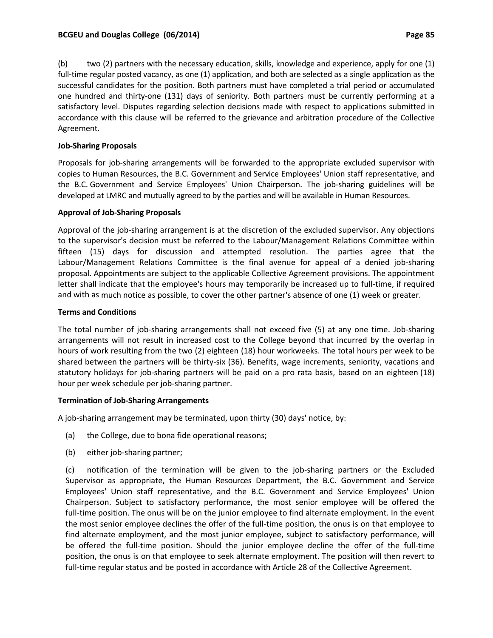(b) two (2) partners with the necessary education, skills, knowledge and experience, apply for one (1) full-time regular posted vacancy, as one (1) application, and both are selected as a single application as the successful candidates for the position. Both partners must have completed a trial period or accumulated one hundred and thirty‐one (131) days of seniority. Both partners must be currently performing at a satisfactory level. Disputes regarding selection decisions made with respect to applications submitted in accordance with this clause will be referred to the grievance and arbitration procedure of the Collective Agreement.

### **Job‐Sharing Proposals**

Proposals for job‐sharing arrangements will be forwarded to the appropriate excluded supervisor with copies to Human Resources, the B.C. Government and Service Employees' Union staff representative, and the B.C. Government and Service Employees' Union Chairperson. The job‐sharing guidelines will be developed at LMRC and mutually agreed to by the parties and will be available in Human Resources.

### **Approval of Job‐Sharing Proposals**

Approval of the job‐sharing arrangement is at the discretion of the excluded supervisor. Any objections to the supervisor's decision must be referred to the Labour/Management Relations Committee within fifteen (15) days for discussion and attempted resolution. The parties agree that the Labour/Management Relations Committee is the final avenue for appeal of a denied job‐sharing proposal. Appointments are subject to the applicable Collective Agreement provisions. The appointment letter shall indicate that the employee's hours may temporarily be increased up to full‐time, if required and with as much notice as possible, to cover the other partner's absence of one (1) week or greater.

### **Terms and Conditions**

The total number of job-sharing arrangements shall not exceed five (5) at any one time. Job-sharing arrangements will not result in increased cost to the College beyond that incurred by the overlap in hours of work resulting from the two (2) eighteen (18) hour workweeks. The total hours per week to be shared between the partners will be thirty‐six (36). Benefits, wage increments, seniority, vacations and statutory holidays for job‐sharing partners will be paid on a pro rata basis, based on an eighteen (18) hour per week schedule per job‐sharing partner.

#### **Termination of Job‐Sharing Arrangements**

A job‐sharing arrangement may be terminated, upon thirty (30) days' notice, by:

- (a) the College, due to bona fide operational reasons;
- (b) either job‐sharing partner;

(c) notification of the termination will be given to the job‐sharing partners or the Excluded Supervisor as appropriate, the Human Resources Department, the B.C. Government and Service Employees' Union staff representative, and the B.C. Government and Service Employees' Union Chairperson. Subject to satisfactory performance, the most senior employee will be offered the full-time position. The onus will be on the junior employee to find alternate employment. In the event the most senior employee declines the offer of the full‐time position, the onus is on that employee to find alternate employment, and the most junior employee, subject to satisfactory performance, will be offered the full‐time position. Should the junior employee decline the offer of the full‐time position, the onus is on that employee to seek alternate employment. The position will then revert to full-time regular status and be posted in accordance with Article 28 of the Collective Agreement.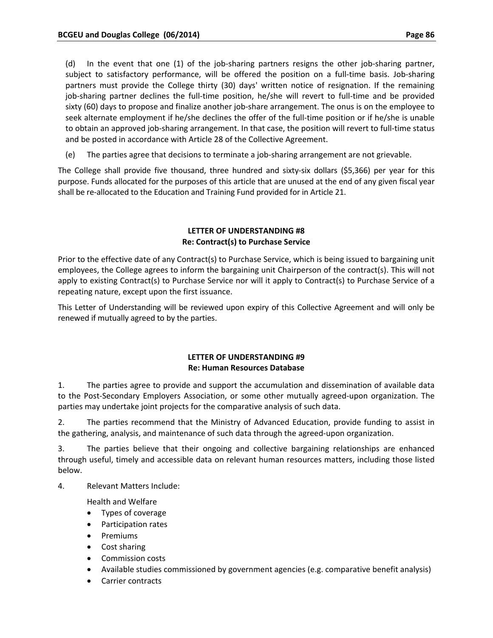(d) In the event that one (1) of the job‐sharing partners resigns the other job‐sharing partner, subject to satisfactory performance, will be offered the position on a full-time basis. Job-sharing partners must provide the College thirty (30) days' written notice of resignation. If the remaining job-sharing partner declines the full-time position, he/she will revert to full-time and be provided sixty (60) days to propose and finalize another job-share arrangement. The onus is on the employee to seek alternate employment if he/she declines the offer of the full-time position or if he/she is unable to obtain an approved job-sharing arrangement. In that case, the position will revert to full-time status and be posted in accordance with Article 28 of the Collective Agreement.

(e) The parties agree that decisions to terminate a job‐sharing arrangement are not grievable.

The College shall provide five thousand, three hundred and sixty‐six dollars (\$5,366) per year for this purpose. Funds allocated for the purposes of this article that are unused at the end of any given fiscal year shall be re-allocated to the Education and Training Fund provided for in Article 21.

### **LETTER OF UNDERSTANDING #8 Re: Contract(s) to Purchase Service**

Prior to the effective date of any Contract(s) to Purchase Service, which is being issued to bargaining unit employees, the College agrees to inform the bargaining unit Chairperson of the contract(s). This will not apply to existing Contract(s) to Purchase Service nor will it apply to Contract(s) to Purchase Service of a repeating nature, except upon the first issuance.

This Letter of Understanding will be reviewed upon expiry of this Collective Agreement and will only be renewed if mutually agreed to by the parties.

## **LETTER OF UNDERSTANDING #9 Re: Human Resources Database**

1. The parties agree to provide and support the accumulation and dissemination of available data to the Post‐Secondary Employers Association, or some other mutually agreed‐upon organization. The parties may undertake joint projects for the comparative analysis of such data.

2. The parties recommend that the Ministry of Advanced Education, provide funding to assist in the gathering, analysis, and maintenance of such data through the agreed‐upon organization.

3. The parties believe that their ongoing and collective bargaining relationships are enhanced through useful, timely and accessible data on relevant human resources matters, including those listed below.

4. Relevant Matters Include:

Health and Welfare

- Types of coverage
- Participation rates
- Premiums
- Cost sharing
- Commission costs
- Available studies commissioned by government agencies (e.g. comparative benefit analysis)
- Carrier contracts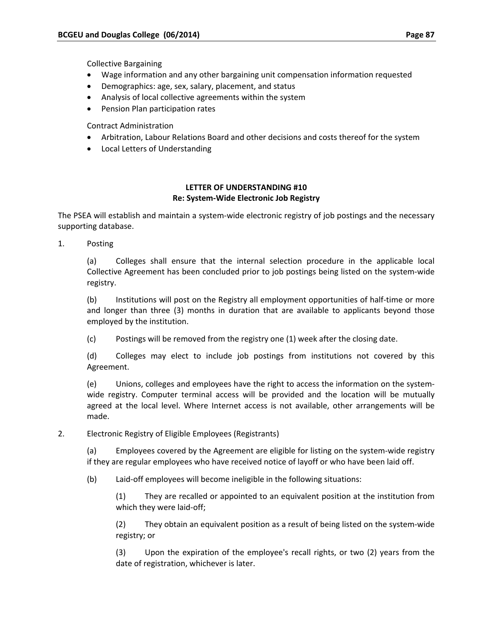Collective Bargaining

- Wage information and any other bargaining unit compensation information requested
- Demographics: age, sex, salary, placement, and status
- Analysis of local collective agreements within the system
- Pension Plan participation rates

Contract Administration

- Arbitration, Labour Relations Board and other decisions and costs thereof for the system
- Local Letters of Understanding

## **LETTER OF UNDERSTANDING #10 Re: System‐Wide Electronic Job Registry**

The PSEA will establish and maintain a system‐wide electronic registry of job postings and the necessary supporting database.

1. Posting

(a) Colleges shall ensure that the internal selection procedure in the applicable local Collective Agreement has been concluded prior to job postings being listed on the system‐wide registry.

(b) Institutions will post on the Registry all employment opportunities of half‐time or more and longer than three (3) months in duration that are available to applicants beyond those employed by the institution.

(c) Postings will be removed from the registry one (1) week after the closing date.

(d) Colleges may elect to include job postings from institutions not covered by this Agreement.

(e) Unions, colleges and employees have the right to access the information on the system‐ wide registry. Computer terminal access will be provided and the location will be mutually agreed at the local level. Where Internet access is not available, other arrangements will be made.

2. Electronic Registry of Eligible Employees (Registrants)

(a) Employees covered by the Agreement are eligible for listing on the system‐wide registry if they are regular employees who have received notice of layoff or who have been laid off.

(b) Laid‐off employees will become ineligible in the following situations:

(1) They are recalled or appointed to an equivalent position at the institution from which they were laid-off;

(2) They obtain an equivalent position as a result of being listed on the system‐wide registry; or

(3) Upon the expiration of the employee's recall rights, or two (2) years from the date of registration, whichever is later.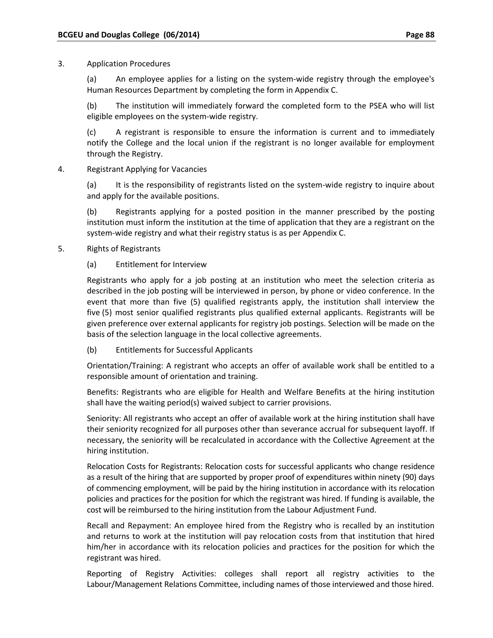### 3. Application Procedures

(a) An employee applies for a listing on the system-wide registry through the employee's Human Resources Department by completing the form in Appendix C.

(b) The institution will immediately forward the completed form to the PSEA who will list eligible employees on the system‐wide registry.

(c) A registrant is responsible to ensure the information is current and to immediately notify the College and the local union if the registrant is no longer available for employment through the Registry.

4. Registrant Applying for Vacancies

(a) It is the responsibility of registrants listed on the system-wide registry to inquire about and apply for the available positions.

(b) Registrants applying for a posted position in the manner prescribed by the posting institution must inform the institution at the time of application that they are a registrant on the system‐wide registry and what their registry status is as per Appendix C.

### 5. Rights of Registrants

### (a) Entitlement for Interview

Registrants who apply for a job posting at an institution who meet the selection criteria as described in the job posting will be interviewed in person, by phone or video conference. In the event that more than five (5) qualified registrants apply, the institution shall interview the five (5) most senior qualified registrants plus qualified external applicants. Registrants will be given preference over external applicants for registry job postings. Selection will be made on the basis of the selection language in the local collective agreements.

(b) Entitlements for Successful Applicants

Orientation/Training: A registrant who accepts an offer of available work shall be entitled to a responsible amount of orientation and training.

Benefits: Registrants who are eligible for Health and Welfare Benefits at the hiring institution shall have the waiting period(s) waived subject to carrier provisions.

Seniority: All registrants who accept an offer of available work at the hiring institution shall have their seniority recognized for all purposes other than severance accrual for subsequent layoff. If necessary, the seniority will be recalculated in accordance with the Collective Agreement at the hiring institution.

Relocation Costs for Registrants: Relocation costs for successful applicants who change residence as a result of the hiring that are supported by proper proof of expenditures within ninety (90) days of commencing employment, will be paid by the hiring institution in accordance with its relocation policies and practices for the position for which the registrant was hired. If funding is available, the cost will be reimbursed to the hiring institution from the Labour Adjustment Fund.

Recall and Repayment: An employee hired from the Registry who is recalled by an institution and returns to work at the institution will pay relocation costs from that institution that hired him/her in accordance with its relocation policies and practices for the position for which the registrant was hired.

Reporting of Registry Activities: colleges shall report all registry activities to the Labour/Management Relations Committee, including names of those interviewed and those hired.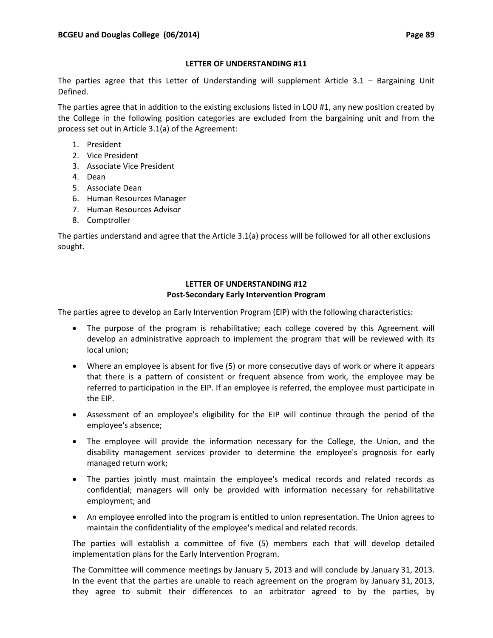### **LETTER OF UNDERSTANDING #11**

The parties agree that this Letter of Understanding will supplement Article 3.1 – Bargaining Unit Defined.

The parties agree that in addition to the existing exclusions listed in LOU #1, any new position created by the College in the following position categories are excluded from the bargaining unit and from the process set out in Article 3.1(a) of the Agreement:

- 1. President
- 2. Vice President
- 3. Associate Vice President
- 4. Dean
- 5. Associate Dean
- 6. Human Resources Manager
- 7. Human Resources Advisor
- 8. Comptroller

The parties understand and agree that the Article 3.1(a) process will be followed for all other exclusions sought.

### **LETTER OF UNDERSTANDING #12 Post‐Secondary Early Intervention Program**

The parties agree to develop an Early Intervention Program (EIP) with the following characteristics:

- The purpose of the program is rehabilitative; each college covered by this Agreement will develop an administrative approach to implement the program that will be reviewed with its local union;
- Where an employee is absent for five (5) or more consecutive days of work or where it appears that there is a pattern of consistent or frequent absence from work, the employee may be referred to participation in the EIP. If an employee is referred, the employee must participate in the EIP.
- Assessment of an employee's eligibility for the EIP will continue through the period of the employee's absence;
- The employee will provide the information necessary for the College, the Union, and the disability management services provider to determine the employee's prognosis for early managed return work;
- The parties jointly must maintain the employee's medical records and related records as confidential; managers will only be provided with information necessary for rehabilitative employment; and
- An employee enrolled into the program is entitled to union representation. The Union agrees to maintain the confidentiality of the employee's medical and related records.

The parties will establish a committee of five (5) members each that will develop detailed implementation plans for the Early Intervention Program.

The Committee will commence meetings by January 5, 2013 and will conclude by January 31, 2013. In the event that the parties are unable to reach agreement on the program by January 31, 2013, they agree to submit their differences to an arbitrator agreed to by the parties, by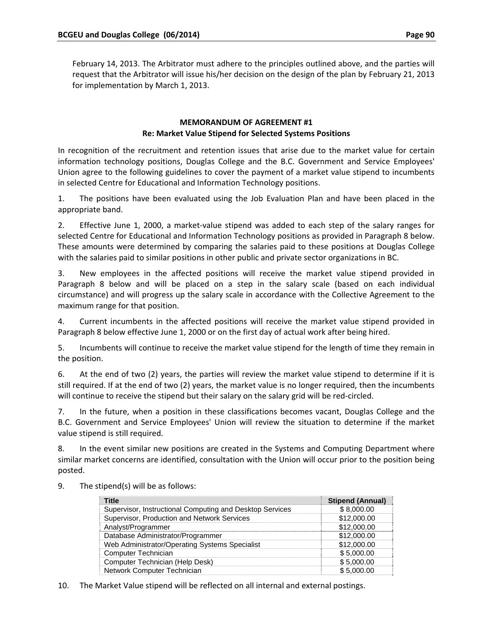February 14, 2013. The Arbitrator must adhere to the principles outlined above, and the parties will request that the Arbitrator will issue his/her decision on the design of the plan by February 21, 2013 for implementation by March 1, 2013.

### **MEMORANDUM OF AGREEMENT #1 Re: Market Value Stipend for Selected Systems Positions**

In recognition of the recruitment and retention issues that arise due to the market value for certain information technology positions, Douglas College and the B.C. Government and Service Employees' Union agree to the following guidelines to cover the payment of a market value stipend to incumbents in selected Centre for Educational and Information Technology positions.

1. The positions have been evaluated using the Job Evaluation Plan and have been placed in the appropriate band.

2. Effective June 1, 2000, a market-value stipend was added to each step of the salary ranges for selected Centre for Educational and Information Technology positions as provided in Paragraph 8 below. These amounts were determined by comparing the salaries paid to these positions at Douglas College with the salaries paid to similar positions in other public and private sector organizations in BC.

3. New employees in the affected positions will receive the market value stipend provided in Paragraph 8 below and will be placed on a step in the salary scale (based on each individual circumstance) and will progress up the salary scale in accordance with the Collective Agreement to the maximum range for that position.

4. Current incumbents in the affected positions will receive the market value stipend provided in Paragraph 8 below effective June 1, 2000 or on the first day of actual work after being hired.

5. Incumbents will continue to receive the market value stipend for the length of time they remain in the position.

6. At the end of two (2) years, the parties will review the market value stipend to determine if it is still required. If at the end of two (2) years, the market value is no longer required, then the incumbents will continue to receive the stipend but their salary on the salary grid will be red-circled.

7. In the future, when a position in these classifications becomes vacant, Douglas College and the B.C. Government and Service Employees' Union will review the situation to determine if the market value stipend is still required.

8. In the event similar new positions are created in the Systems and Computing Department where similar market concerns are identified, consultation with the Union will occur prior to the position being posted.

| <b>Title</b>                                             | <b>Stipend (Annual)</b> |
|----------------------------------------------------------|-------------------------|
| Supervisor, Instructional Computing and Desktop Services | \$8,000.00              |
| Supervisor, Production and Network Services              | \$12,000.00             |
| Analyst/Programmer                                       | \$12,000.00             |
| Database Administrator/Programmer                        | \$12,000.00             |
| Web Administrator/Operating Systems Specialist           | \$12,000.00             |
| Computer Technician                                      | \$5,000.00              |
| Computer Technician (Help Desk)                          | \$5,000.00              |
| Network Computer Technician                              | \$5,000.00              |

9. The stipend(s) will be as follows:

10. The Market Value stipend will be reflected on all internal and external postings.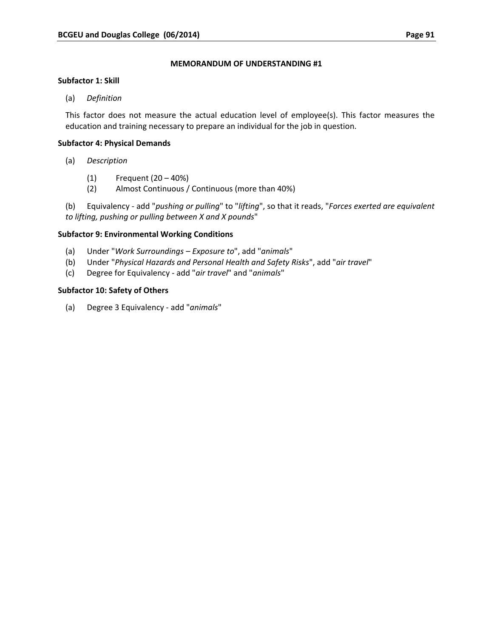### **MEMORANDUM OF UNDERSTANDING #1**

### **Subfactor 1: Skill**

(a) *Definition*

This factor does not measure the actual education level of employee(s). This factor measures the education and training necessary to prepare an individual for the job in question.

### **Subfactor 4: Physical Demands**

- (a) *Description*
	- (1) Frequent (20 40%)
	- (2) Almost Continuous / Continuous (more than 40%)

(b) Equivalency ‐ add "*pushing or pulling*" to "*lifting*", so that it reads, "*Forces exerted are equivalent to lifting, pushing or pulling between X and X pounds*"

## **Subfactor 9: Environmental Working Conditions**

- (a) Under "*Work Surroundings – Exposure to*", add "*animals*"
- (b) Under "*Physical Hazards and Personal Health and Safety Risks*", add "*air travel*"
- (c) Degree for Equivalency ‐ add "*air travel*" and "*animals*"

### **Subfactor 10: Safety of Others**

(a) Degree 3 Equivalency ‐ add "*animals*"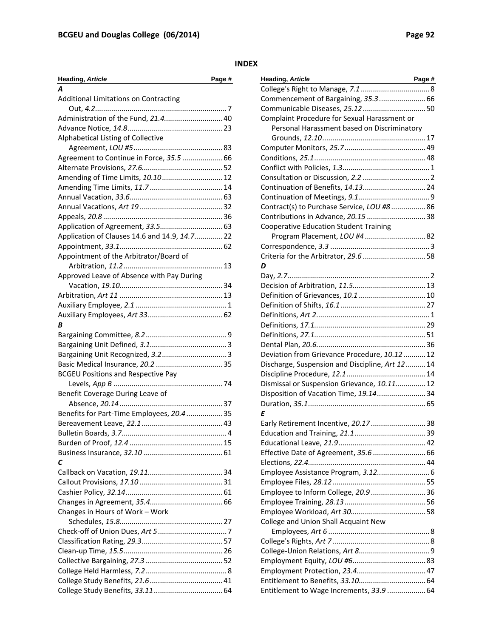### **INDEX**

| Page #<br><b>Heading, Article</b>            |
|----------------------------------------------|
| A                                            |
| <b>Additional Limitations on Contracting</b> |
|                                              |
| Administration of the Fund, 21.4 40          |
|                                              |
| Alphabetical Listing of Collective           |
|                                              |
| Agreement to Continue in Force, 35.5  66     |
|                                              |
| Amending of Time Limits, 10.10 12            |
|                                              |
|                                              |
|                                              |
|                                              |
|                                              |
| Application of Clauses 14.6 and 14.9, 14.722 |
|                                              |
| Appointment of the Arbitrator/Board of       |
|                                              |
| Approved Leave of Absence with Pay During    |
|                                              |
|                                              |
|                                              |
|                                              |
| В                                            |
|                                              |
|                                              |
|                                              |
|                                              |
| <b>BCGEU Positions and Respective Pay</b>    |
|                                              |
| Benefit Coverage During Leave of             |
|                                              |
| Benefits for Part-Time Employees, 20.435     |
|                                              |
|                                              |
|                                              |
|                                              |
| С                                            |
|                                              |
|                                              |
|                                              |
|                                              |
| Changes in Hours of Work - Work              |
|                                              |
|                                              |
|                                              |
|                                              |
|                                              |
|                                              |
|                                              |
|                                              |

| Heading, Article<br>Page #                      |  |
|-------------------------------------------------|--|
|                                                 |  |
| Commencement of Bargaining, 35.3 66             |  |
|                                                 |  |
| Complaint Procedure for Sexual Harassment or    |  |
| Personal Harassment based on Discriminatory     |  |
|                                                 |  |
|                                                 |  |
|                                                 |  |
|                                                 |  |
|                                                 |  |
|                                                 |  |
|                                                 |  |
| Contract(s) to Purchase Service, LOU #8 86      |  |
| Contributions in Advance, 20.15  38             |  |
| <b>Cooperative Education Student Training</b>   |  |
| Program Placement, LOU #4 82                    |  |
|                                                 |  |
|                                                 |  |
| D                                               |  |
|                                                 |  |
|                                                 |  |
|                                                 |  |
|                                                 |  |
|                                                 |  |
|                                                 |  |
|                                                 |  |
|                                                 |  |
| Deviation from Grievance Procedure, 10.1212     |  |
| Discharge, Suspension and Discipline, Art 12 14 |  |
|                                                 |  |
| Dismissal or Suspension Grievance, 10.11 12     |  |
| Disposition of Vacation Time, 19.14 34          |  |
|                                                 |  |
| E                                               |  |
| Early Retirement Incentive, 20.17  38           |  |
|                                                 |  |
|                                                 |  |
| Effective Date of Agreement, 35.6  66           |  |
|                                                 |  |
| Employee Assistance Program, 3.12 6             |  |
|                                                 |  |
| Employee to Inform College, 20.9  36            |  |
|                                                 |  |
|                                                 |  |
| College and Union Shall Acquaint New            |  |
|                                                 |  |
|                                                 |  |
|                                                 |  |
|                                                 |  |
|                                                 |  |
|                                                 |  |
| Entitlement to Wage Increments, 33.9  64        |  |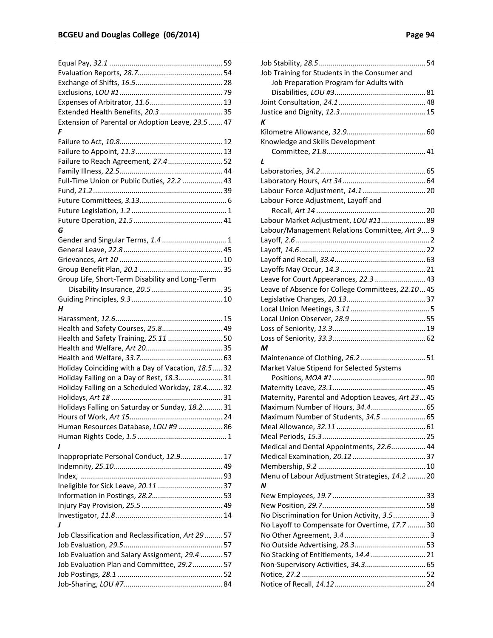| Extended Health Benefits, 20.3  35                  |
|-----------------------------------------------------|
| Extension of Parental or Adoption Leave, 23.5  47   |
| F                                                   |
|                                                     |
|                                                     |
| Failure to Reach Agreement, 27.452                  |
|                                                     |
|                                                     |
| Full-Time Union or Public Duties, 22.2  43          |
|                                                     |
|                                                     |
|                                                     |
|                                                     |
| G                                                   |
| Gender and Singular Terms, 1.4  1                   |
|                                                     |
|                                                     |
|                                                     |
| Group Life, Short-Term Disability and Long-Term     |
|                                                     |
|                                                     |
| н                                                   |
|                                                     |
|                                                     |
| Health and Safety Courses, 25.8 49                  |
| Health and Safety Training, 25.11  50               |
|                                                     |
|                                                     |
| Holiday Coinciding with a Day of Vacation, 18.5  32 |
| Holiday Falling on a Day of Rest, 18.331            |
| Holiday Falling on a Scheduled Workday, 18.432      |
|                                                     |
| Holidays Falling on Saturday or Sunday, 18.231      |
|                                                     |
| Human Resources Database, LOU #9  86                |
|                                                     |
| ı                                                   |
| Inappropriate Personal Conduct, 12.9 17             |
|                                                     |
|                                                     |
|                                                     |
|                                                     |
|                                                     |
|                                                     |
|                                                     |
| J                                                   |
| Job Classification and Reclassification, Art 29  57 |
|                                                     |
| Job Evaluation and Salary Assignment, 29.4  57      |
| Job Evaluation Plan and Committee, 29.257           |
|                                                     |
|                                                     |

| Job Training for Students in the Consumer and     |  |
|---------------------------------------------------|--|
| Job Preparation Program for Adults with           |  |
|                                                   |  |
|                                                   |  |
|                                                   |  |
| К                                                 |  |
|                                                   |  |
| Knowledge and Skills Development                  |  |
|                                                   |  |
| L                                                 |  |
|                                                   |  |
|                                                   |  |
| Labour Force Adjustment, 14.1  20                 |  |
| Labour Force Adjustment, Layoff and               |  |
|                                                   |  |
| Labour Market Adjustment, LOU #11 89              |  |
| Labour/Management Relations Committee, Art 9 9    |  |
|                                                   |  |
|                                                   |  |
|                                                   |  |
|                                                   |  |
| Leave for Court Appearances, 22.3  43             |  |
| Leave of Absence for College Committees, 22.1045  |  |
|                                                   |  |
|                                                   |  |
|                                                   |  |
|                                                   |  |
|                                                   |  |
| м                                                 |  |
|                                                   |  |
| Market Value Stipend for Selected Systems         |  |
|                                                   |  |
|                                                   |  |
| Maternity, Parental and Adoption Leaves, Art 2345 |  |
| Maximum Number of Hours, 34.4 65                  |  |
| Maximum Number of Students, 34.5  65              |  |
|                                                   |  |
|                                                   |  |
| Medical and Dental Appointments, 22.6 44          |  |
|                                                   |  |
|                                                   |  |
| Menu of Labour Adjustment Strategies, 14.2  20    |  |
| N                                                 |  |
|                                                   |  |
|                                                   |  |
| No Discrimination for Union Activity, 3.53        |  |
| No Layoff to Compensate for Overtime, 17.7  30    |  |
|                                                   |  |
|                                                   |  |
| No Stacking of Entitlements, 14.4  21             |  |
|                                                   |  |
|                                                   |  |
|                                                   |  |
|                                                   |  |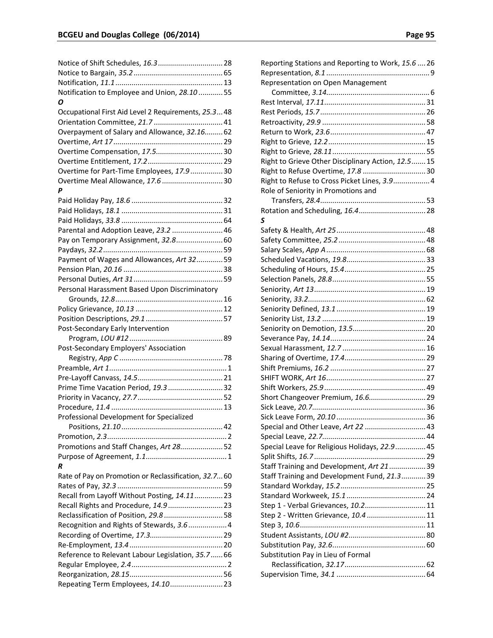| Notice of Shift Schedules, 16.3 28                   |  |
|------------------------------------------------------|--|
|                                                      |  |
|                                                      |  |
| Notification to Employee and Union, 28.10  55        |  |
| Ο                                                    |  |
| Occupational First Aid Level 2 Requirements, 25.348  |  |
|                                                      |  |
| Overpayment of Salary and Allowance, 32.16 62        |  |
|                                                      |  |
|                                                      |  |
|                                                      |  |
| Overtime for Part-Time Employees, 17.930             |  |
|                                                      |  |
| Overtime Meal Allowance, 17.6  30<br>Ρ               |  |
|                                                      |  |
|                                                      |  |
|                                                      |  |
|                                                      |  |
| Parental and Adoption Leave, 23.2  46                |  |
| Pay on Temporary Assignment, 32.8 60                 |  |
|                                                      |  |
| Payment of Wages and Allowances, Art 3259            |  |
|                                                      |  |
|                                                      |  |
| Personal Harassment Based Upon Discriminatory        |  |
|                                                      |  |
|                                                      |  |
|                                                      |  |
| Post-Secondary Early Intervention                    |  |
|                                                      |  |
| Post-Secondary Employers' Association                |  |
|                                                      |  |
|                                                      |  |
|                                                      |  |
| Prime Time Vacation Period, 19.3  32                 |  |
|                                                      |  |
|                                                      |  |
| Professional Development for Specialized             |  |
|                                                      |  |
|                                                      |  |
| Promotions and Staff Changes, Art 28 52              |  |
|                                                      |  |
| R                                                    |  |
|                                                      |  |
| Rate of Pay on Promotion or Reclassification, 32.760 |  |
|                                                      |  |
| Recall from Layoff Without Posting, 14.1123          |  |
| Recall Rights and Procedure, 14.9  23                |  |
| Reclassification of Position, 29.8  58               |  |
| Recognition and Rights of Stewards, 3.6 4            |  |
|                                                      |  |
|                                                      |  |
| Reference to Relevant Labour Legislation, 35.7 66    |  |
|                                                      |  |
|                                                      |  |
| Repeating Term Employees, 14.10 23                   |  |

| Reporting Stations and Reporting to Work, 15.6  26 |  |
|----------------------------------------------------|--|
|                                                    |  |
| Representation on Open Management                  |  |
|                                                    |  |
|                                                    |  |
|                                                    |  |
|                                                    |  |
|                                                    |  |
|                                                    |  |
|                                                    |  |
| Right to Grieve Other Disciplinary Action, 12.515  |  |
|                                                    |  |
| Right to Refuse to Cross Picket Lines, 3.9 4       |  |
| Role of Seniority in Promotions and                |  |
|                                                    |  |
|                                                    |  |
| S                                                  |  |
|                                                    |  |
|                                                    |  |
|                                                    |  |
|                                                    |  |
|                                                    |  |
|                                                    |  |
|                                                    |  |
|                                                    |  |
|                                                    |  |
|                                                    |  |
|                                                    |  |
|                                                    |  |
|                                                    |  |
|                                                    |  |
|                                                    |  |
|                                                    |  |
|                                                    |  |
|                                                    |  |
| Short Changeover Premium, 16.6 29                  |  |
|                                                    |  |
|                                                    |  |
| Special and Other Leave, Art 22  43                |  |
|                                                    |  |
| Special Leave for Religious Holidays, 22.9 45      |  |
|                                                    |  |
| Staff Training and Development, Art 21 39          |  |
| Staff Training and Development Fund, 21.339        |  |
|                                                    |  |
|                                                    |  |
| Step 1 - Verbal Grievances, 10.2 11                |  |
|                                                    |  |
| Step 2 - Written Grievance, 10.4  11               |  |
|                                                    |  |
|                                                    |  |
|                                                    |  |
| Substitution Pay in Lieu of Formal                 |  |
|                                                    |  |
|                                                    |  |